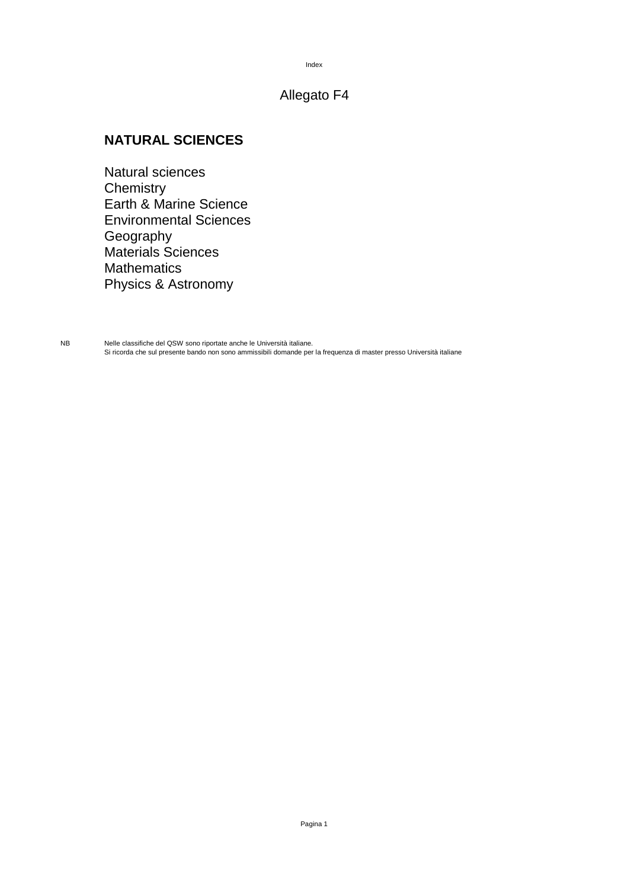#### Index

## Allegato F4

## **NATURAL SCIENCES**

Natural sciences **Chemistry** Earth & Marine Science Environmental Sciences Geography Materials Sciences Mathematics Physics & Astronomy

NB Nelle classifiche del QSW sono riportate anche le Università italiane. Si ricorda che sul presente bando non sono ammissibili domande per la frequenza di master presso Università italiane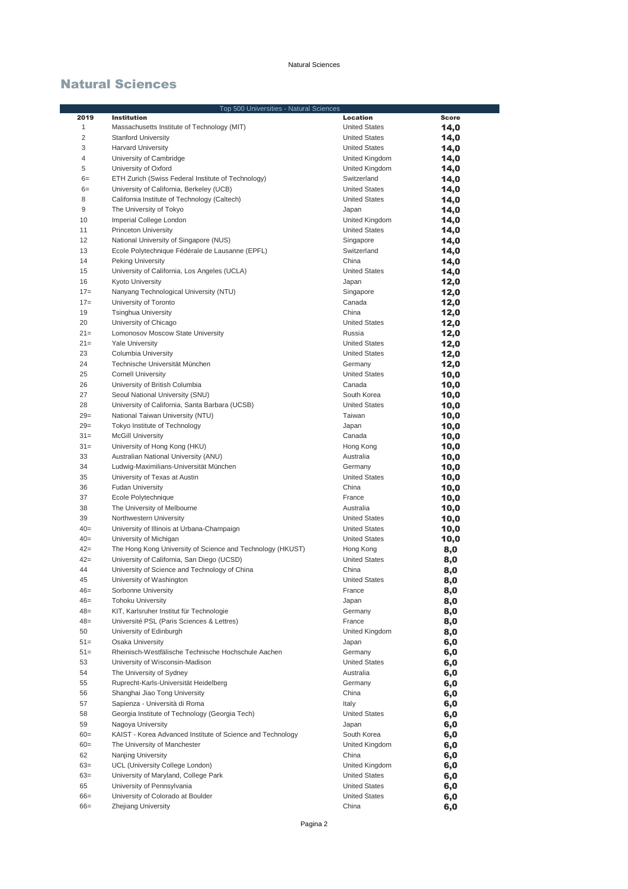|                 | Top 500 Universities - Natural Sciences                                                    |                               |              |
|-----------------|--------------------------------------------------------------------------------------------|-------------------------------|--------------|
| 2019            | <b>Institution</b>                                                                         | Location                      | <b>Score</b> |
| $\mathbf{1}$    | Massachusetts Institute of Technology (MIT)                                                | <b>United States</b>          | 14,0         |
| $\overline{c}$  | <b>Stanford University</b>                                                                 | <b>United States</b>          | 14,0         |
| 3               | <b>Harvard University</b>                                                                  | <b>United States</b>          | 14,0         |
| $\overline{4}$  | University of Cambridge                                                                    | United Kingdom                | 14,0         |
| 5               | University of Oxford                                                                       | United Kingdom                | 14,0         |
| $6=$            | ETH Zurich (Swiss Federal Institute of Technology)                                         | Switzerland                   | 14,0         |
| $6=$            | University of California, Berkeley (UCB)                                                   | <b>United States</b>          | 14,0         |
| 8               | California Institute of Technology (Caltech)                                               | <b>United States</b>          | 14,0         |
| 9               | The University of Tokyo                                                                    | Japan                         | 14,0         |
| 10              | Imperial College London                                                                    | United Kingdom                | 14,0         |
| 11              | <b>Princeton University</b>                                                                | <b>United States</b>          | 14,0         |
| 12              | National University of Singapore (NUS)                                                     | Singapore                     | 14,0         |
| 13              | Ecole Polytechnique Fédérale de Lausanne (EPFL)                                            | Switzerland                   | 14,0         |
| 14              | Peking University                                                                          | China                         | 14,0         |
| 15              | University of California, Los Angeles (UCLA)                                               | <b>United States</b>          | 14,0         |
| 16              | <b>Kyoto University</b>                                                                    | Japan                         | 12,0         |
| $17=$           | Nanyang Technological University (NTU)                                                     | Singapore                     | 12,0         |
| $17=$           | University of Toronto                                                                      | Canada                        | 12,0         |
| 19              | <b>Tsinghua University</b>                                                                 | China                         | 12,0         |
| 20              | University of Chicago                                                                      | <b>United States</b>          | 12,0         |
| $21=$           | Lomonosov Moscow State University                                                          | Russia                        | 12,0         |
| $21=$           | <b>Yale University</b>                                                                     | <b>United States</b>          | 12,0         |
| 23              | Columbia University                                                                        | <b>United States</b>          | 12,0         |
| 24              | Technische Universität München                                                             | Germany                       | 12,0         |
| 25              | <b>Cornell University</b>                                                                  | <b>United States</b>          | 10,0         |
| 26              | University of British Columbia                                                             | Canada                        | 10,0         |
| 27              | Seoul National University (SNU)                                                            | South Korea                   | 10,0         |
| 28              | University of California, Santa Barbara (UCSB)                                             | <b>United States</b>          | 10,0         |
| $29=$           | National Taiwan University (NTU)                                                           | Taiwan                        | 10,0         |
| $29=$           | Tokyo Institute of Technology                                                              | Japan                         | 10,0         |
| $31 =$          | <b>McGill University</b>                                                                   | Canada                        | 10,0         |
| $31 =$          | University of Hong Kong (HKU)                                                              | Hong Kong                     | 10,0         |
| 33<br>34        | Australian National University (ANU)<br>Ludwig-Maximilians-Universität München             | Australia<br>Germany          | 10,0         |
| 35              | University of Texas at Austin                                                              | <b>United States</b>          | 10,0         |
| 36              | <b>Fudan University</b>                                                                    | China                         | 10,0<br>10,0 |
| 37              | Ecole Polytechnique                                                                        | France                        | 10,0         |
| 38              | The University of Melbourne                                                                | Australia                     | 10,0         |
| 39              | Northwestern University                                                                    | <b>United States</b>          | 10,0         |
| $40=$           | University of Illinois at Urbana-Champaign                                                 | <b>United States</b>          | 10,0         |
| $40=$           | University of Michigan                                                                     | <b>United States</b>          | 10,0         |
| $42=$           | The Hong Kong University of Science and Technology (HKUST)                                 | Hong Kong                     | 8,0          |
| $42 =$          | University of California, San Diego (UCSD)                                                 | <b>United States</b>          | 8,0          |
| 44              | University of Science and Technology of China                                              | China                         | 8,0          |
| 45              | University of Washington                                                                   | United States                 | 8,0          |
| $46=$           | Sorbonne University                                                                        | France                        | 8,0          |
| $46=$           | <b>Tohoku University</b>                                                                   | Japan                         | 8,0          |
| $48=$           | KIT, Karlsruher Institut für Technologie                                                   | Germany                       | 8,0          |
| $48=$           | Université PSL (Paris Sciences & Lettres)                                                  | France                        | 8,0          |
| 50              | University of Edinburgh                                                                    | United Kingdom                | 8,0          |
| $51 =$          | Osaka University                                                                           | Japan                         | 6,0          |
| $51 =$          | Rheinisch-Westfälische Technische Hochschule Aachen                                        | Germany                       | 6,0          |
| 53              | University of Wisconsin-Madison                                                            | <b>United States</b>          | 6,0          |
| 54              | The University of Sydney                                                                   | Australia                     | 6,0          |
| 55              | Ruprecht-Karls-Universität Heidelberg                                                      | Germany                       | 6,0          |
| 56              | Shanghai Jiao Tong University                                                              | China                         | 6,0          |
| 57              | Sapienza - Università di Roma                                                              | Italy                         | 6,0          |
| 58              | Georgia Institute of Technology (Georgia Tech)                                             | <b>United States</b>          | 6,0          |
| 59              | Nagoya University                                                                          | Japan                         | 6,0          |
| $60 =$<br>$60=$ | KAIST - Korea Advanced Institute of Science and Technology<br>The University of Manchester | South Korea<br>United Kingdom | 6,0          |
| 62              | Nanjing University                                                                         | China                         | 6,0          |
| $63=$           | UCL (University College London)                                                            | United Kingdom                | 6,0<br>6,0   |
| $63=$           | University of Maryland, College Park                                                       | <b>United States</b>          | 6,0          |
| 65              | University of Pennsylvania                                                                 | <b>United States</b>          | 6,0          |
| $66=$           | University of Colorado at Boulder                                                          | <b>United States</b>          | 6,0          |
| $66=$           | Zhejiang University                                                                        | China                         | 6,0          |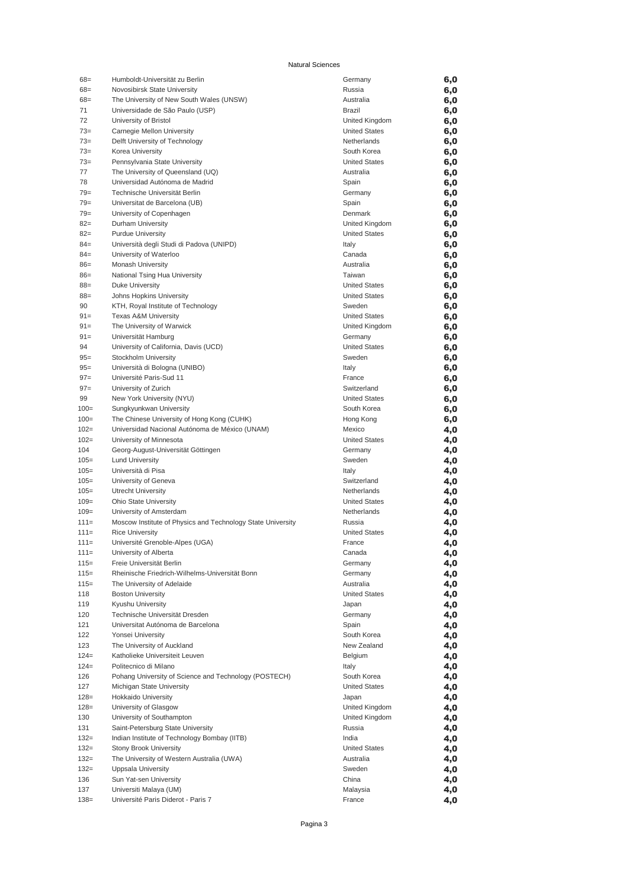| $68 =$  | Humboldt-Universität zu Berlin                              | Germany              | 6,0 |
|---------|-------------------------------------------------------------|----------------------|-----|
| $68 =$  | Novosibirsk State University                                | Russia               | 6,0 |
| $68 =$  | The University of New South Wales (UNSW)                    | Australia            | 6,0 |
| 71      | Universidade de São Paulo (USP)                             | Brazil               | 6,0 |
| 72      | University of Bristol                                       | United Kingdom       | 6,0 |
| $73=$   | Carnegie Mellon University                                  | <b>United States</b> | 6,0 |
| $73=$   | Delft University of Technology                              | Netherlands          | 6,0 |
| $73=$   |                                                             | South Korea          |     |
|         | Korea University                                            |                      | 6,0 |
| $73=$   | Pennsylvania State University                               | <b>United States</b> | 6,0 |
| 77      | The University of Queensland (UQ)                           | Australia            | 6,0 |
| 78      | Universidad Autónoma de Madrid                              | Spain                | 6,0 |
| $79 =$  | Technische Universität Berlin                               | Germany              | 6,0 |
| $79 =$  | Universitat de Barcelona (UB)                               | Spain                | 6,0 |
| $79 =$  | University of Copenhagen                                    | Denmark              | 6,0 |
| $82=$   | Durham University                                           | United Kingdom       | 6,0 |
| $82=$   | <b>Purdue University</b>                                    | <b>United States</b> | 6,0 |
| $84 =$  | Università degli Studi di Padova (UNIPD)                    | Italy                | 6,0 |
| $84 =$  | University of Waterloo                                      | Canada               | 6,0 |
| $86=$   | Monash University                                           | Australia            | 6,0 |
| $86=$   | National Tsing Hua University                               | Taiwan               | 6,0 |
| $88 =$  | <b>Duke University</b>                                      | <b>United States</b> |     |
|         |                                                             |                      | 6,0 |
| $88 =$  | Johns Hopkins University                                    | <b>United States</b> | 6,0 |
| 90      | KTH, Royal Institute of Technology                          | Sweden               | 6,0 |
| $91 =$  | <b>Texas A&amp;M University</b>                             | <b>United States</b> | 6,0 |
| $91 =$  | The University of Warwick                                   | United Kingdom       | 6,0 |
| $91 =$  | Universität Hamburg                                         | Germany              | 6,0 |
| 94      | University of California, Davis (UCD)                       | <b>United States</b> | 6,0 |
| $95 =$  | Stockholm University                                        | Sweden               | 6,0 |
| $95 =$  | Università di Bologna (UNIBO)                               | Italy                | 6,0 |
| $97 =$  | Université Paris-Sud 11                                     | France               | 6,0 |
| $97 =$  | University of Zurich                                        | Switzerland          | 6,0 |
| 99      | New York University (NYU)                                   | <b>United States</b> | 6,0 |
| $100 =$ | Sungkyunkwan University                                     | South Korea          | 6,0 |
| $100=$  |                                                             |                      |     |
|         | The Chinese University of Hong Kong (CUHK)                  | Hong Kong            | 6,0 |
| $102 =$ | Universidad Nacional Autónoma de México (UNAM)              | Mexico               | 4,0 |
| $102=$  | University of Minnesota                                     | <b>United States</b> | 4,0 |
| 104     | Georg-August-Universität Göttingen                          | Germany              | 4,0 |
| $105 =$ | <b>Lund University</b>                                      | Sweden               | 4,0 |
| $105 =$ | Università di Pisa                                          | Italy                | 4,0 |
| $105 =$ | University of Geneva                                        | Switzerland          | 4,0 |
| $105 =$ | Utrecht University                                          | Netherlands          | 4,0 |
| $109=$  | <b>Ohio State University</b>                                | <b>United States</b> | 4,0 |
| $109 =$ | University of Amsterdam                                     | Netherlands          | 4,0 |
| $111 =$ | Moscow Institute of Physics and Technology State University | Russia               | 4,0 |
| $111 =$ | <b>Rice University</b>                                      | <b>United States</b> | 4,0 |
| $111 =$ | Université Grenoble-Alpes (UGA)                             | France               | 4,0 |
| $111 =$ | University of Alberta                                       | Canada               | 4,0 |
|         | Freie Universität Berlin                                    | Germany              |     |
| $115=$  |                                                             |                      | 4,0 |
| $115=$  | Rheinische Friedrich-Wilhelms-Universität Bonn              | Germany              | 4,0 |
| $115=$  | The University of Adelaide                                  | Australia            | 4,0 |
| 118     | <b>Boston University</b>                                    | <b>United States</b> | 4,0 |
| 119     | Kyushu University                                           | Japan                | 4,0 |
| 120     | Technische Universität Dresden                              | Germany              | 4,0 |
| 121     | Universitat Autónoma de Barcelona                           | Spain                | 4,0 |
| 122     | Yonsei University                                           | South Korea          | 4,0 |
| 123     | The University of Auckland                                  | New Zealand          | 4,0 |
| $124=$  | Katholieke Universiteit Leuven                              | Belgium              | 4,0 |
| $124=$  | Politecnico di Milano                                       | Italy                | 4,0 |
| 126     | Pohang University of Science and Technology (POSTECH)       | South Korea          | 4,0 |
| 127     | Michigan State University                                   | <b>United States</b> | 4,0 |
| $128=$  | <b>Hokkaido University</b>                                  | Japan                |     |
|         |                                                             |                      | 4,0 |
| $128=$  | University of Glasgow                                       | United Kingdom       | 4,0 |
| 130     | University of Southampton                                   | United Kingdom       | 4,0 |
| 131     | Saint-Petersburg State University                           | Russia               | 4,0 |
| $132=$  | Indian Institute of Technology Bombay (IITB)                | India                | 4,0 |
| $132=$  | <b>Stony Brook University</b>                               | <b>United States</b> | 4,0 |
| $132=$  | The University of Western Australia (UWA)                   | Australia            | 4,0 |
| $132=$  | Uppsala University                                          | Sweden               | 4,0 |
| 136     | Sun Yat-sen University                                      | China                | 4,0 |
| 137     | Universiti Malaya (UM)                                      | Malaysia             | 4,0 |
| $138=$  | Université Paris Diderot - Paris 7                          | France               | 4,0 |
|         |                                                             |                      |     |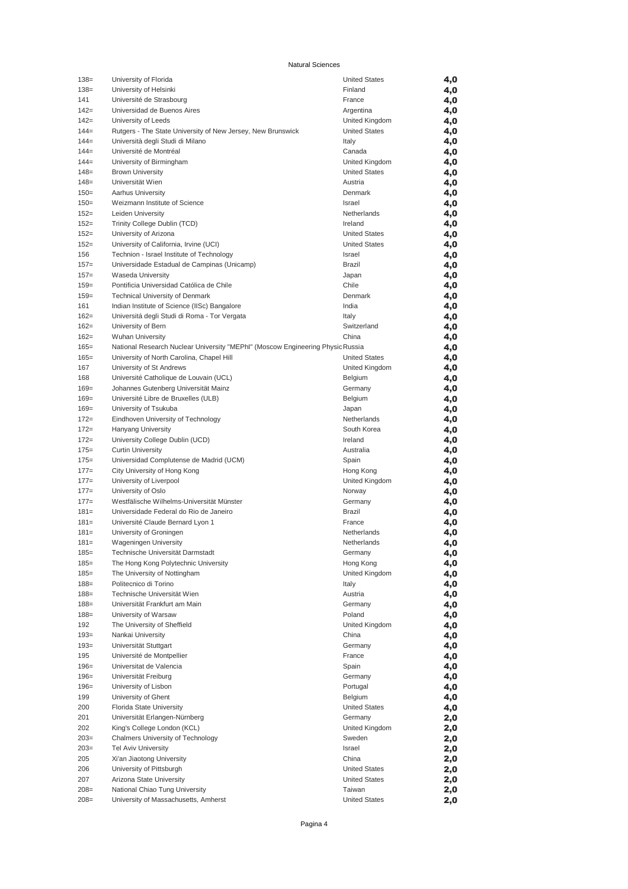| $138=$            | University of Florida                                                          | <b>United States</b>            | 4,0        |
|-------------------|--------------------------------------------------------------------------------|---------------------------------|------------|
| $138=$            | University of Helsinki                                                         | Finland                         | 4,0        |
| 141               | Université de Strasbourg                                                       | France                          | 4,0        |
| $142=$            | Universidad de Buenos Aires                                                    | Argentina                       | 4,0        |
| $142=$            | University of Leeds                                                            | United Kingdom                  | 4,0        |
| $144=$            | Rutgers - The State University of New Jersey, New Brunswick                    | <b>United States</b>            | 4,0        |
| $144=$            | Università degli Studi di Milano                                               | Italy                           | 4,0        |
| $144=$            | Université de Montréal                                                         | Canada                          | 4,0        |
| $144=$            | University of Birmingham                                                       | United Kingdom                  | 4,0        |
| $148=$<br>$148=$  | <b>Brown University</b><br>Universität Wien                                    | <b>United States</b><br>Austria | 4,0        |
| $150=$            | Aarhus University                                                              | Denmark                         | 4,0<br>4,0 |
| $150=$            | Weizmann Institute of Science                                                  | Israel                          | 4,0        |
| $152 =$           | Leiden University                                                              | Netherlands                     | 4,0        |
| $152 =$           | Trinity College Dublin (TCD)                                                   | Ireland                         | 4,0        |
| $152 =$           | University of Arizona                                                          | <b>United States</b>            | 4,0        |
| $152 =$           | University of California, Irvine (UCI)                                         | <b>United States</b>            | 4,0        |
| 156               | Technion - Israel Institute of Technology                                      | Israel                          | 4,0        |
| $157=$            | Universidade Estadual de Campinas (Unicamp)                                    | <b>Brazil</b>                   | 4,0        |
| $157 =$           | Waseda University                                                              | Japan                           | 4,0        |
| $159=$            | Pontificia Universidad Católica de Chile                                       | Chile                           | 4,0        |
| $159=$            | <b>Technical University of Denmark</b>                                         | Denmark                         | 4,0        |
| 161               | Indian Institute of Science (IISc) Bangalore                                   | India                           | 4,0        |
| $162=$            | Universitá degli Studi di Roma - Tor Vergata                                   | Italy                           | 4,0        |
| $162=$            | University of Bern                                                             | Switzerland                     | 4,0        |
| $162=$            | <b>Wuhan University</b>                                                        | China                           | 4,0        |
| $165 =$           | National Research Nuclear University "MEPhl" (Moscow Engineering Physic Russia |                                 | 4,0        |
| $165=$            | University of North Carolina, Chapel Hill                                      | <b>United States</b>            | 4,0        |
| 167               | University of St Andrews                                                       | United Kingdom                  | 4,0        |
| 168               | Université Catholique de Louvain (UCL)                                         | Belgium                         | 4,0        |
| $169=$            | Johannes Gutenberg Universität Mainz                                           | Germany                         | 4,0        |
| $169=$            | Université Libre de Bruxelles (ULB)                                            | Belgium                         | 4,0        |
| $169=$            | University of Tsukuba                                                          | Japan                           | 4,0        |
| $172 =$<br>$172=$ | Eindhoven University of Technology<br><b>Hanyang University</b>                | Netherlands<br>South Korea      | 4,0        |
| $172 =$           | University College Dublin (UCD)                                                | Ireland                         | 4,0<br>4,0 |
| $175=$            | <b>Curtin University</b>                                                       | Australia                       | 4,0        |
| $175=$            | Universidad Complutense de Madrid (UCM)                                        | Spain                           | 4,0        |
| $177 =$           | City University of Hong Kong                                                   | Hong Kong                       | 4,0        |
| $177 =$           | University of Liverpool                                                        | United Kingdom                  | 4,0        |
| $177 =$           | University of Oslo                                                             | Norway                          | 4,0        |
| $177 =$           | Westfälische Wilhelms-Universität Münster                                      | Germany                         | 4,0        |
| $181=$            | Universidade Federal do Rio de Janeiro                                         | <b>Brazil</b>                   | 4,0        |
| $181=$            | Université Claude Bernard Lyon 1                                               | France                          | 4,0        |
| $181=$            | University of Groningen                                                        | Netherlands                     | 4,0        |
| $181=$            | <b>Wageningen University</b>                                                   | Netherlands                     | 4,0        |
| $185 =$           | Technische Universität Darmstadt                                               | Germany                         | 4,0        |
| 185=              | The Hong Kong Polytechnic University                                           | Hong Kong                       | 4,0        |
| $185 =$           | The University of Nottingham                                                   | United Kingdom                  | 4,0        |
| $188 =$           | Politecnico di Torino                                                          | Italy                           | 4,0        |
| $188 =$           | Technische Universität Wien                                                    | Austria                         | 4,0        |
| $188 =$           | Universität Frankfurt am Main                                                  | Germany                         | 4,0        |
| $188 =$           | University of Warsaw                                                           | Poland                          | 4,0        |
| 192               | The University of Sheffield                                                    | United Kingdom                  | 4,0        |
| $193=$            | Nankai University                                                              | China                           | 4,0        |
| $193=$            | Universität Stuttgart                                                          | Germany                         | 4,0        |
| 195               | Université de Montpellier                                                      | France                          | 4,0        |
| $196 =$           | Universitat de Valencia                                                        | Spain                           | 4,0        |
| $196 =$           | Universität Freiburg                                                           | Germany                         | 4,0        |
| $196=$<br>199     | University of Lisbon<br>University of Ghent                                    | Portugal<br>Belgium             | 4,0        |
| 200               | Florida State University                                                       | <b>United States</b>            | 4,0<br>4,0 |
| 201               | Universität Erlangen-Nürnberg                                                  | Germany                         | 2,0        |
| 202               | King's College London (KCL)                                                    | United Kingdom                  | 2,0        |
| $203=$            | Chalmers University of Technology                                              | Sweden                          | 2,0        |
| $203=$            | <b>Tel Aviv University</b>                                                     | Israel                          | 2,0        |
| 205               | Xi'an Jiaotong University                                                      | China                           | 2,0        |
| 206               | University of Pittsburgh                                                       | <b>United States</b>            | 2,0        |
| 207               | Arizona State University                                                       | <b>United States</b>            | 2,0        |
| $208=$            | National Chiao Tung University                                                 | Taiwan                          | 2,0        |
| $208=$            | University of Massachusetts, Amherst                                           | <b>United States</b>            | 2,0        |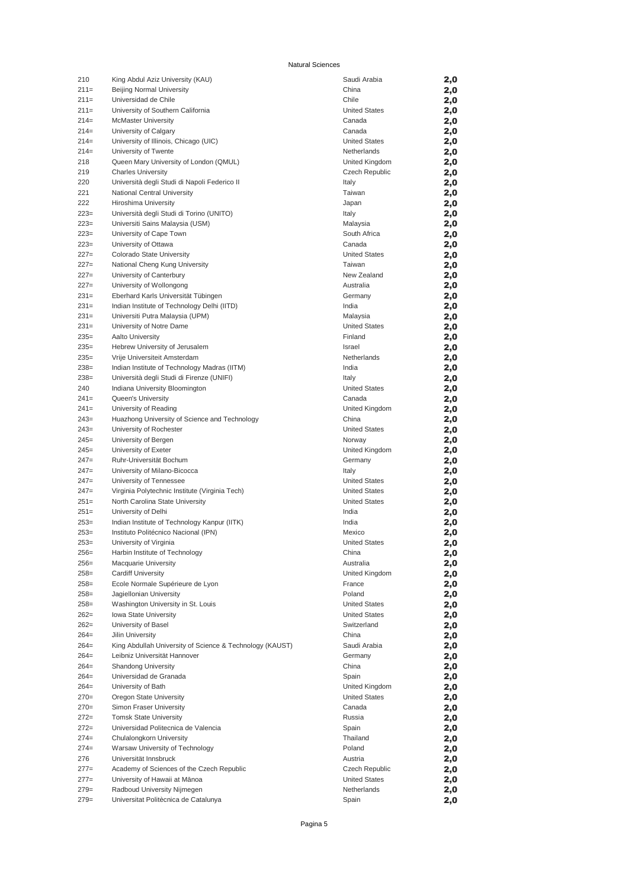| 210    | King Abdul Aziz University (KAU)                         | Saudi Arabia         | 2,0 |
|--------|----------------------------------------------------------|----------------------|-----|
| $211=$ | Beijing Normal University                                | China                | 2,0 |
| $211=$ | Universidad de Chile                                     | Chile                | 2,0 |
| $211=$ | University of Southern California                        | <b>United States</b> | 2,0 |
| $214=$ | <b>McMaster University</b>                               | Canada               | 2,0 |
| $214=$ | University of Calgary                                    | Canada               | 2,0 |
| $214=$ | University of Illinois, Chicago (UIC)                    | <b>United States</b> | 2,0 |
| $214=$ | University of Twente                                     | Netherlands          | 2,0 |
| 218    | Queen Mary University of London (QMUL)                   | United Kingdom       | 2,0 |
| 219    | <b>Charles University</b>                                | Czech Republic       | 2,0 |
| 220    | Università degli Studi di Napoli Federico II             | Italy                | 2,0 |
| 221    | National Central University                              | Taiwan               | 2,0 |
| 222    | Hiroshima University                                     | Japan                | 2,0 |
| $223=$ | Università degli Studi di Torino (UNITO)                 | Italy                | 2,0 |
| $223=$ | Universiti Sains Malaysia (USM)                          | Malaysia             | 2,0 |
| $223=$ | University of Cape Town                                  | South Africa         | 2,0 |
| $223=$ | University of Ottawa                                     | Canada               | 2,0 |
| $227=$ | Colorado State University                                | <b>United States</b> | 2,0 |
| $227=$ | National Cheng Kung University                           | Taiwan               | 2,0 |
| $227=$ | University of Canterbury                                 | New Zealand          | 2,0 |
| $227=$ | University of Wollongong                                 | Australia            | 2,0 |
| $231=$ | Eberhard Karls Universität Tübingen                      | Germany              | 2,0 |
| $231=$ | Indian Institute of Technology Delhi (IITD)              | India                |     |
| $231=$ | Universiti Putra Malaysia (UPM)                          | Malaysia             | 2,0 |
| $231=$ |                                                          | <b>United States</b> | 2,0 |
|        | University of Notre Dame                                 |                      | 2,0 |
| $235=$ | Aalto University                                         | Finland              | 2,0 |
| $235=$ | Hebrew University of Jerusalem                           | Israel               | 2,0 |
| $235=$ | Vrije Universiteit Amsterdam                             | Netherlands          | 2,0 |
| $238=$ | Indian Institute of Technology Madras (IITM)             | India                | 2,0 |
| $238=$ | Università degli Studi di Firenze (UNIFI)                | Italy                | 2,0 |
| 240    | Indiana University Bloomington                           | <b>United States</b> | 2,0 |
| $241=$ | Queen's University                                       | Canada               | 2,0 |
| $241=$ | University of Reading                                    | United Kingdom       | 2,0 |
| $243=$ | Huazhong University of Science and Technology            | China                | 2,0 |
| $243=$ | University of Rochester                                  | <b>United States</b> | 2,0 |
| $245=$ | University of Bergen                                     | Norway               | 2,0 |
| $245=$ | University of Exeter                                     | United Kingdom       | 2,0 |
| $247=$ | Ruhr-Universität Bochum                                  | Germany              | 2,0 |
| $247=$ | University of Milano-Bicocca                             | Italy                | 2,0 |
| $247=$ | University of Tennessee                                  | <b>United States</b> | 2,0 |
| $247=$ | Virginia Polytechnic Institute (Virginia Tech)           | <b>United States</b> | 2,0 |
| $251=$ | North Carolina State University                          | <b>United States</b> | 2,0 |
| $251=$ | University of Delhi                                      | India                | 2,0 |
| $253=$ | Indian Institute of Technology Kanpur (IITK)             | India                | 2,0 |
| $253=$ | Instituto Politécnico Nacional (IPN)                     | Mexico               | 2,0 |
| $253=$ | University of Virginia                                   | <b>United States</b> | 2,0 |
| $256=$ | Harbin Institute of Technology                           | China                | 2,0 |
| $256=$ | <b>Macquarie University</b>                              | Australia            | 2,0 |
| $258=$ | <b>Cardiff University</b>                                | United Kingdom       | 2,0 |
| $258=$ | Ecole Normale Supérieure de Lyon                         | France               | 2,0 |
| $258=$ | Jagiellonian University                                  | Poland               | 2,0 |
| $258=$ | Washington University in St. Louis                       | <b>United States</b> | 2,0 |
| $262=$ | Iowa State University                                    | <b>United States</b> | 2,0 |
| $262=$ | University of Basel                                      | Switzerland          | 2,0 |
| $264=$ | Jilin University                                         | China                | 2,0 |
| $264=$ | King Abdullah University of Science & Technology (KAUST) | Saudi Arabia         | 2,0 |
| $264=$ | Leibniz Universität Hannover                             | Germany              | 2,0 |
| $264=$ | <b>Shandong University</b>                               | China                | 2,0 |
| $264=$ | Universidad de Granada                                   | Spain                | 2,0 |
| $264=$ | University of Bath                                       | United Kingdom       | 2,0 |
| $270=$ | Oregon State University                                  | <b>United States</b> | 2,0 |
| $270=$ | Simon Fraser University                                  | Canada               | 2,0 |
| $272=$ | <b>Tomsk State University</b>                            | Russia               |     |
| $272=$ | Universidad Politecnica de Valencia                      | Spain                | 2,0 |
|        |                                                          | Thailand             | 2,0 |
| $274=$ | Chulalongkorn University                                 |                      | 2,0 |
| $274=$ | Warsaw University of Technology                          | Poland               | 2,0 |
| 276    | Universität Innsbruck                                    | Austria              | 2,0 |
| $277=$ | Academy of Sciences of the Czech Republic                | Czech Republic       | 2,0 |
| $277=$ | University of Hawaii at Mānoa                            | <b>United States</b> | 2,0 |
| $279=$ | Radboud University Nijmegen                              | Netherlands          | 2,0 |
| $279=$ | Universitat Politècnica de Catalunya                     | Spain                | 2,0 |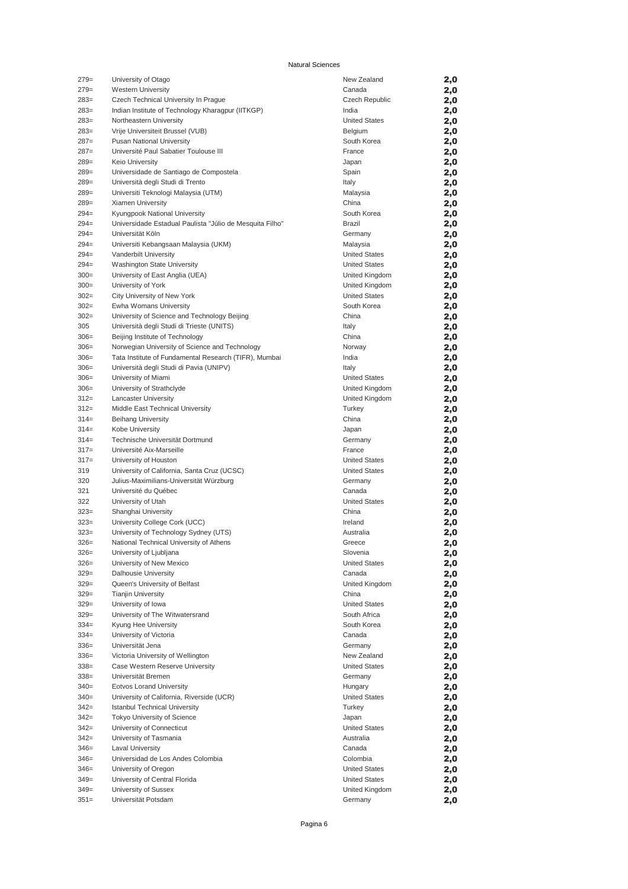| $279=$           | University of Otago                                                              | New Zealand                   | 2,0            |
|------------------|----------------------------------------------------------------------------------|-------------------------------|----------------|
| $279=$           | <b>Western University</b>                                                        | Canada                        | 2,0            |
| $283=$           | Czech Technical University In Prague                                             | Czech Republic                | 2,0            |
| $283=$           | Indian Institute of Technology Kharagpur (IITKGP)                                | India                         | 2,0            |
| $283=$           | Northeastern University                                                          | <b>United States</b>          | 2,0            |
| $283=$           | Vrije Universiteit Brussel (VUB)                                                 | Belgium                       | 2,0            |
| $287=$<br>$287=$ | Pusan National University<br>Université Paul Sabatier Toulouse III               | South Korea<br>France         | 2,0            |
| $289=$           | <b>Keio University</b>                                                           | Japan                         | 2,0<br>2,0     |
| $289=$           | Universidade de Santiago de Compostela                                           | Spain                         | 2,0            |
| $289=$           | Università degli Studi di Trento                                                 | Italy                         | 2,0            |
| $289=$           | Universiti Teknologi Malaysia (UTM)                                              | Malaysia                      | 2,0            |
| $289=$           | Xiamen University                                                                | China                         | 2,0            |
| $294=$           | Kyungpook National University                                                    | South Korea                   | 2,0            |
| $294=$           | Universidade Estadual Paulista "Júlio de Mesquita Filho"                         | Brazil                        | 2,0            |
| $294=$           | Universität Köln                                                                 | Germany                       | 2,0            |
| $294=$           | Universiti Kebangsaan Malaysia (UKM)                                             | Malaysia                      | 2,0            |
| $294=$           | Vanderbilt University                                                            | <b>United States</b>          | 2,0            |
| $294=$           | Washington State University                                                      | <b>United States</b>          | 2,0            |
| $300=$           | University of East Anglia (UEA)                                                  | United Kingdom                | 2,0            |
| $300=$           | University of York                                                               | United Kingdom                | 2,0            |
| $302 =$          | City University of New York                                                      | <b>United States</b>          | 2,0            |
| $302=$           | Ewha Womans University                                                           | South Korea                   | 2,0            |
| $302=$           | University of Science and Technology Beijing                                     | China                         | 2,0            |
| 305<br>$306=$    | Università degli Studi di Trieste (UNITS)<br>Beijing Institute of Technology     | Italy                         | 2,0            |
| $306=$           | Norwegian University of Science and Technology                                   | China<br>Norway               | 2,0<br>2,0     |
| $306 =$          | Tata Institute of Fundamental Research (TIFR), Mumbai                            | India                         | 2,0            |
| $306=$           | Università degli Studi di Pavia (UNIPV)                                          | Italy                         | 2,0            |
| $306 =$          | University of Miami                                                              | <b>United States</b>          | 2,0            |
| $306=$           | University of Strathclyde                                                        | United Kingdom                | 2,0            |
| $312=$           | <b>Lancaster University</b>                                                      | United Kingdom                | 2,0            |
| $312=$           | Middle East Technical University                                                 | Turkey                        | 2,0            |
| $314=$           | <b>Beihang University</b>                                                        | China                         | 2,0            |
| $314=$           | Kobe University                                                                  | Japan                         | 2,0            |
| $314=$           | Technische Universität Dortmund                                                  | Germany                       | 2,0            |
| $317=$           | Université Aix-Marseille                                                         | France                        | 2,0            |
| $317=$           | University of Houston                                                            | <b>United States</b>          | 2,0            |
| 319              | University of California, Santa Cruz (UCSC)                                      | <b>United States</b>          | 2,0            |
| 320              | Julius-Maximilians-Universität Würzburg                                          | Germany                       | 2,0            |
| 321              | Université du Québec                                                             | Canada                        | 2,0            |
| 322              | University of Utah                                                               | <b>United States</b>          | 2,0            |
| $323=$           | Shanghai University                                                              | China                         | 2,0            |
| $323=$<br>$323=$ | University College Cork (UCC)                                                    | Ireland<br>Australia          | 2,0            |
| $326=$           | University of Technology Sydney (UTS)<br>National Technical University of Athens | Greece                        | 2,0<br>2,0     |
| $326=$           | University of Ljubljana                                                          | Slovenia                      | $\mathbf{2,0}$ |
| $326=$           | University of New Mexico                                                         | <b>United States</b>          | 2,0            |
| $329=$           | Dalhousie University                                                             | Canada                        | 2,0            |
| $329=$           | Queen's University of Belfast                                                    | United Kingdom                | 2,0            |
| $329=$           | <b>Tianjin University</b>                                                        | China                         | 2,0            |
| $329=$           | University of Iowa                                                               | <b>United States</b>          | 2,0            |
| $329=$           | University of The Witwatersrand                                                  | South Africa                  | 2,0            |
| $334=$           | Kyung Hee University                                                             | South Korea                   | 2,0            |
| $334=$           | University of Victoria                                                           | Canada                        | 2,0            |
| $336=$           | Universität Jena                                                                 | Germany                       | 2,0            |
| $336=$           | Victoria University of Wellington                                                | New Zealand                   | 2,0            |
| $338=$           | Case Western Reserve University                                                  | <b>United States</b>          | 2,0            |
| $338=$           | Universität Bremen                                                               | Germany                       | 2,0            |
| $340=$           | <b>Eotvos Lorand University</b>                                                  | Hungary                       | 2,0            |
| $340=$           | University of California, Riverside (UCR)                                        | <b>United States</b>          | 2,0            |
| $342=$<br>$342=$ | <b>Istanbul Technical University</b>                                             | Turkey                        | 2,0            |
| $342=$           | Tokyo University of Science<br>University of Connecticut                         | Japan<br><b>United States</b> | 2,0<br>2,0     |
| $342=$           | University of Tasmania                                                           | Australia                     | 2,0            |
| $346=$           | <b>Laval University</b>                                                          | Canada                        | 2,0            |
| $346=$           | Universidad de Los Andes Colombia                                                | Colombia                      | 2,0            |
| $346=$           | University of Oregon                                                             | <b>United States</b>          | 2,0            |
| $349=$           | University of Central Florida                                                    | <b>United States</b>          | 2,0            |
| $349=$           | University of Sussex                                                             | United Kingdom                | 2,0            |
| $351 =$          | Universität Potsdam                                                              | Germany                       | 2,0            |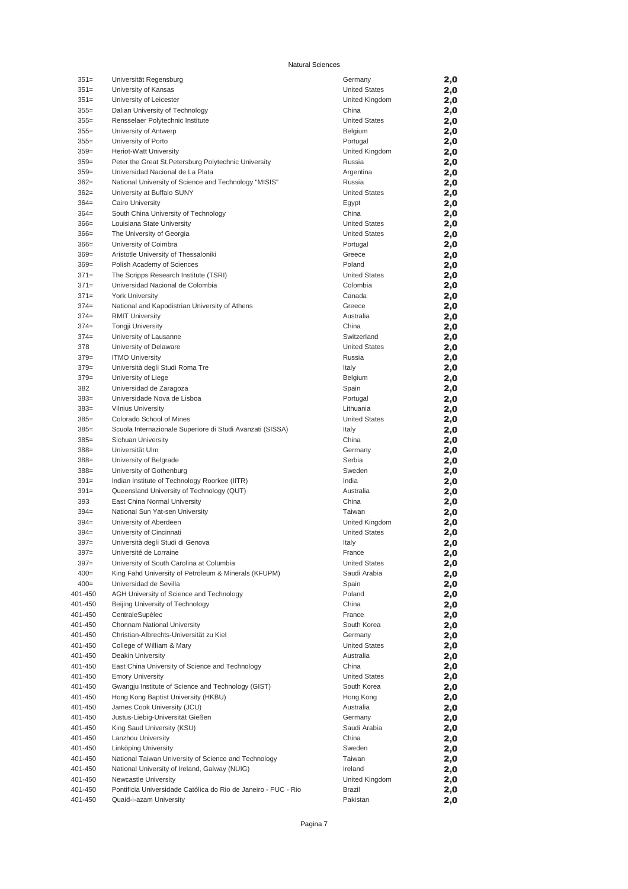| $351=$  | Universität Regensburg                                         | Germany              | 2,0 |
|---------|----------------------------------------------------------------|----------------------|-----|
| $351 =$ | University of Kansas                                           | <b>United States</b> | 2,0 |
| $351 =$ | University of Leicester                                        | United Kingdom       | 2,0 |
| $355 =$ | Dalian University of Technology                                | China                | 2,0 |
| $355 =$ | Rensselaer Polytechnic Institute                               | <b>United States</b> | 2,0 |
| $355 =$ | University of Antwerp                                          | Belgium              | 2,0 |
| $355 =$ | University of Porto                                            | Portugal             | 2,0 |
| $359=$  | Heriot-Watt University                                         | United Kingdom       | 2,0 |
| $359=$  |                                                                |                      |     |
|         | Peter the Great St. Petersburg Polytechnic University          | Russia               | 2,0 |
| $359=$  | Universidad Nacional de La Plata                               | Argentina            | 2,0 |
| $362=$  | National University of Science and Technology "MISIS"          | Russia               | 2,0 |
| $362=$  | University at Buffalo SUNY                                     | <b>United States</b> | 2,0 |
| $364=$  | Cairo University                                               | Egypt                | 2,0 |
| $364=$  | South China University of Technology                           | China                | 2,0 |
| $366=$  | Louisiana State University                                     | <b>United States</b> | 2,0 |
| $366=$  | The University of Georgia                                      | <b>United States</b> | 2,0 |
| $366=$  | University of Coimbra                                          | Portugal             | 2,0 |
| $369=$  | Aristotle University of Thessaloniki                           | Greece               | 2,0 |
| $369=$  | Polish Academy of Sciences                                     | Poland               | 2,0 |
| $371 =$ | The Scripps Research Institute (TSRI)                          | <b>United States</b> | 2,0 |
|         |                                                                |                      |     |
| $371 =$ | Universidad Nacional de Colombia                               | Colombia             | 2,0 |
| $371 =$ | <b>York University</b>                                         | Canada               | 2,0 |
| $374=$  | National and Kapodistrian University of Athens                 | Greece               | 2,0 |
| $374=$  | <b>RMIT University</b>                                         | Australia            | 2,0 |
| $374=$  | Tongji University                                              | China                | 2,0 |
| $374=$  | University of Lausanne                                         | Switzerland          | 2,0 |
| 378     | University of Delaware                                         | <b>United States</b> | 2,0 |
| $379=$  | <b>ITMO University</b>                                         | Russia               | 2,0 |
| $379=$  | Università degli Studi Roma Tre                                | Italy                | 2,0 |
| $379=$  | University of Liege                                            | Belgium              |     |
|         |                                                                |                      | 2,0 |
| 382     | Universidad de Zaragoza                                        | Spain                | 2,0 |
| $383=$  | Universidade Nova de Lisboa                                    | Portugal             | 2,0 |
| $383=$  | <b>Vilnius University</b>                                      | Lithuania            | 2,0 |
| $385=$  | Colorado School of Mines                                       | <b>United States</b> | 2,0 |
| $385=$  | Scuola Internazionale Superiore di Studi Avanzati (SISSA)      | Italy                | 2,0 |
| $385=$  | Sichuan University                                             | China                | 2,0 |
| $388 =$ | Universität Ulm                                                | Germany              | 2,0 |
| $388 =$ | University of Belgrade                                         | Serbia               | 2,0 |
| $388 =$ | University of Gothenburg                                       | Sweden               | 2,0 |
| $391=$  |                                                                | India                |     |
|         | Indian Institute of Technology Roorkee (IITR)                  |                      | 2,0 |
| $391=$  | Queensland University of Technology (QUT)                      | Australia            | 2,0 |
| 393     | East China Normal University                                   | China                | 2,0 |
| $394=$  | National Sun Yat-sen University                                | Taiwan               | 2,0 |
| $394=$  | University of Aberdeen                                         | United Kingdom       | 2,0 |
| $394=$  | University of Cincinnati                                       | <b>United States</b> | 2,0 |
| $397=$  | Università degli Studi di Genova                               | Italy                | 2,0 |
| $397 =$ | Université de Lorraine                                         | France               | 2,0 |
| $397=$  | University of South Carolina at Columbia                       | <b>United States</b> | 2,0 |
| $400=$  | King Fahd University of Petroleum & Minerals (KFUPM)           | Saudi Arabia         | 2,0 |
| $400=$  | Universidad de Sevilla                                         | Spain                |     |
|         | AGH University of Science and Technology                       | Poland               | 2,0 |
| 401-450 |                                                                |                      | 2,0 |
| 401-450 | Beijing University of Technology                               | China                | 2,0 |
| 401-450 | CentraleSupélec                                                | France               | 2,0 |
| 401-450 | Chonnam National University                                    | South Korea          | 2,0 |
| 401-450 | Christian-Albrechts-Universität zu Kiel                        | Germany              | 2,0 |
| 401-450 | College of William & Mary                                      | <b>United States</b> | 2,0 |
| 401-450 | Deakin University                                              | Australia            | 2,0 |
| 401-450 | East China University of Science and Technology                | China                | 2,0 |
| 401-450 | <b>Emory University</b>                                        | <b>United States</b> | 2,0 |
| 401-450 | Gwangju Institute of Science and Technology (GIST)             | South Korea          |     |
|         |                                                                |                      | 2,0 |
| 401-450 | Hong Kong Baptist University (HKBU)                            | Hong Kong            | 2,0 |
| 401-450 | James Cook University (JCU)                                    | Australia            | 2,0 |
| 401-450 | Justus-Liebig-Universität Gießen                               | Germany              | 2,0 |
| 401-450 | King Saud University (KSU)                                     | Saudi Arabia         | 2,0 |
| 401-450 | Lanzhou University                                             | China                | 2,0 |
| 401-450 | Linköping University                                           | Sweden               | 2,0 |
| 401-450 | National Taiwan University of Science and Technology           | Taiwan               | 2,0 |
| 401-450 | National University of Ireland, Galway (NUIG)                  | Ireland              | 2,0 |
| 401-450 | Newcastle University                                           | United Kingdom       | 2,0 |
| 401-450 | Pontificia Universidade Católica do Rio de Janeiro - PUC - Rio | Brazil               |     |
| 401-450 | Quaid-i-azam University                                        | Pakistan             | 2,0 |
|         |                                                                |                      | 2,0 |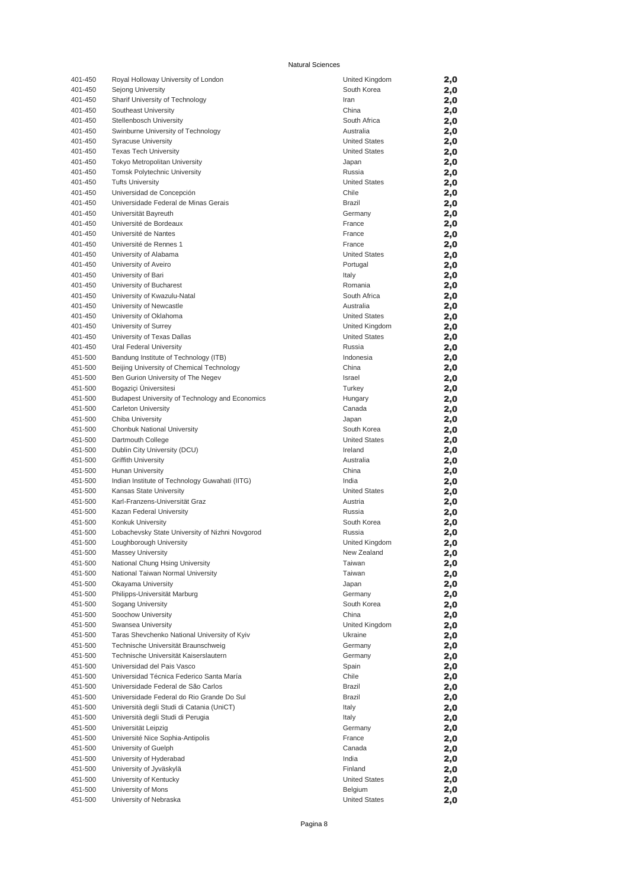| 401-450 | Royal Holloway University of London             | United Kingdom       | 2,0 |
|---------|-------------------------------------------------|----------------------|-----|
| 401-450 | Sejong University                               | South Korea          | 2,0 |
| 401-450 | Sharif University of Technology                 | Iran                 | 2,0 |
| 401-450 | Southeast University                            | China                | 2,0 |
| 401-450 | Stellenbosch University                         | South Africa         | 2,0 |
| 401-450 | Swinburne University of Technology              | Australia            | 2,0 |
| 401-450 | <b>Syracuse University</b>                      | <b>United States</b> | 2,0 |
| 401-450 | <b>Texas Tech University</b>                    | <b>United States</b> | 2,0 |
| 401-450 | Tokyo Metropolitan University                   | Japan                | 2,0 |
| 401-450 | Tomsk Polytechnic University                    | Russia               | 2,0 |
| 401-450 | <b>Tufts University</b>                         | <b>United States</b> | 2,0 |
| 401-450 | Universidad de Concepción                       | Chile                | 2,0 |
| 401-450 | Universidade Federal de Minas Gerais            | Brazil               | 2,0 |
| 401-450 | Universität Bayreuth                            | Germany              | 2,0 |
| 401-450 | Université de Bordeaux                          | France               | 2,0 |
| 401-450 | Université de Nantes                            | France               | 2,0 |
| 401-450 | Université de Rennes 1                          | France               | 2,0 |
| 401-450 | University of Alabama                           | <b>United States</b> | 2,0 |
| 401-450 | University of Aveiro                            | Portugal             | 2,0 |
| 401-450 | University of Bari                              | Italy                | 2,0 |
| 401-450 | University of Bucharest                         | Romania              | 2,0 |
| 401-450 | University of Kwazulu-Natal                     | South Africa         | 2,0 |
| 401-450 | University of Newcastle                         | Australia            | 2,0 |
| 401-450 | University of Oklahoma                          | <b>United States</b> | 2,0 |
| 401-450 | University of Surrey                            | United Kingdom       | 2,0 |
| 401-450 | University of Texas Dallas                      | <b>United States</b> | 2,0 |
| 401-450 | Ural Federal University                         | Russia               | 2,0 |
| 451-500 | Bandung Institute of Technology (ITB)           | Indonesia            | 2,0 |
| 451-500 | Beijing University of Chemical Technology       | China                | 2,0 |
| 451-500 | Ben Gurion University of The Negev              | Israel               | 2,0 |
| 451-500 | Bogaziçi Üniversitesi                           | Turkey               | 2,0 |
| 451-500 | Budapest University of Technology and Economics | Hungary              | 2,0 |
| 451-500 | Carleton University                             | Canada               | 2,0 |
| 451-500 | Chiba University                                | Japan                | 2,0 |
| 451-500 | Chonbuk National University                     | South Korea          | 2,0 |
| 451-500 | Dartmouth College                               | <b>United States</b> | 2,0 |
| 451-500 | Dublin City University (DCU)                    | Ireland              | 2,0 |
| 451-500 | <b>Griffith University</b>                      | Australia            | 2,0 |
| 451-500 | Hunan University                                | China                | 2,0 |
| 451-500 | Indian Institute of Technology Guwahati (IITG)  | India                | 2,0 |
| 451-500 | Kansas State University                         | <b>United States</b> | 2,0 |
| 451-500 | Karl-Franzens-Universität Graz                  | Austria              | 2,0 |
| 451-500 | Kazan Federal University                        | Russia               | 2,0 |
| 451-500 | Konkuk University                               | South Korea          | 2,0 |
| 451-500 | Lobachevsky State University of Nizhni Novgorod | Russia               | 2,0 |
| 451-500 | Loughborough University                         | United Kingdom       | 2,0 |
| 451-500 | <b>Massey University</b>                        | New Zealand          | 2,0 |
| 451-500 | National Chung Hsing University                 | Taiwan               | 2,0 |
| 451-500 | National Taiwan Normal University               | Taiwan               | 2,0 |
| 451-500 | Okayama University                              | Japan                | 2,0 |
| 451-500 | Philipps-Universität Marburg                    | Germany              | 2,0 |
| 451-500 | Sogang University                               | South Korea          | 2,0 |
| 451-500 | Soochow University                              | China                | 2,0 |
| 451-500 | Swansea University                              | United Kingdom       | 2,0 |
| 451-500 | Taras Shevchenko National University of Kyiv    | Ukraine              | 2,0 |
| 451-500 | Technische Universität Braunschweig             | Germany              | 2,0 |
| 451-500 | Technische Universität Kaiserslautern           | Germany              | 2,0 |
| 451-500 | Universidad del Pais Vasco                      | Spain                | 2,0 |
| 451-500 | Universidad Técnica Federico Santa María        | Chile                | 2,0 |
| 451-500 | Universidade Federal de São Carlos              | Brazil               | 2,0 |
| 451-500 | Universidade Federal do Rio Grande Do Sul       | Brazil               | 2,0 |
| 451-500 | Università degli Studi di Catania (UniCT)       | Italy                | 2,0 |
| 451-500 | Università degli Studi di Perugia               | Italy                | 2,0 |
| 451-500 | Universität Leipzig                             | Germany              | 2,0 |
| 451-500 | Université Nice Sophia-Antipolis                | France               | 2,0 |
| 451-500 | University of Guelph                            | Canada               | 2,0 |
| 451-500 | University of Hyderabad                         | India                | 2,0 |
| 451-500 | University of Jyväskylä                         | Finland              | 2,0 |
| 451-500 | University of Kentucky                          | <b>United States</b> | 2,0 |
| 451-500 | University of Mons                              | Belgium              | 2,0 |
| 451-500 | University of Nebraska                          | <b>United States</b> | 2,0 |
|         |                                                 |                      |     |

| United Kingdom       | 2,0 |
|----------------------|-----|
| South Korea          |     |
|                      | 2,0 |
| Iran                 | 2,0 |
| China                | 2,0 |
| South Africa         | 2,0 |
| Australia            | 2,0 |
| <b>United States</b> | 2,0 |
| <b>United States</b> | 2,0 |
| Japan                | 2,0 |
|                      |     |
| Russia               | 2,0 |
| <b>United States</b> | 2,0 |
| Chile                | 2,0 |
| Brazil               | 2,0 |
| Germany              | 2,0 |
| France               | 2,0 |
| France               | 2,0 |
| France               | 2,0 |
| <b>United States</b> |     |
|                      | 2,0 |
| Portugal             | 2,0 |
| Italy                | 2,0 |
| Romania              | 2,0 |
| South Africa         | 2,0 |
| Australia            | 2,0 |
| <b>United States</b> | 2,0 |
| United Kingdom       | 2,0 |
| <b>United States</b> | 2,0 |
| Russia               | 2,0 |
|                      |     |
| Indonesia            | 2,0 |
| China                | 2,0 |
| Israel               | 2,0 |
| Turkey               | 2,0 |
| Hungary              | 2,0 |
| Canada               | 2,0 |
| Japan                | 2,0 |
| South Korea          | 2,0 |
| <b>United States</b> | 2,0 |
| Ireland              |     |
|                      | 2,0 |
| Australia            | 2,0 |
| China                | 2,0 |
| India                | 2,0 |
| <b>United States</b> | 2,0 |
| Austria              | 2,0 |
| Russia               | 2,0 |
| South Korea          | 2,0 |
| Russia               | 2,0 |
| United Kingdom       | 2,0 |
| New Zealand          | 2,0 |
| Taiwan               | 2,0 |
| Taiwan               | 2,0 |
|                      |     |
| Japan                | 2,0 |
| Germany              | 2,0 |
| South Korea          | 2,0 |
| China                | 2,0 |
| United Kingdom       | 2,0 |
| Ukraine              | 2,0 |
| Germany              | 2,0 |
| Germany              | 2,0 |
| Spain                | 2,0 |
| Chile                | 2,0 |
| Brazil               | 2,0 |
| <b>Brazil</b>        |     |
|                      | 2,0 |
| Italy                | 2,0 |
| Italy                | 2,0 |
| Germany              | 2,0 |
| France               | 2,0 |
| Canada               | 2,0 |
| India                | 2,0 |
| Finland              | 2,0 |
| <b>United States</b> | 2,0 |
| Belgium              | 2,0 |
|                      |     |
| <b>United States</b> | 2,0 |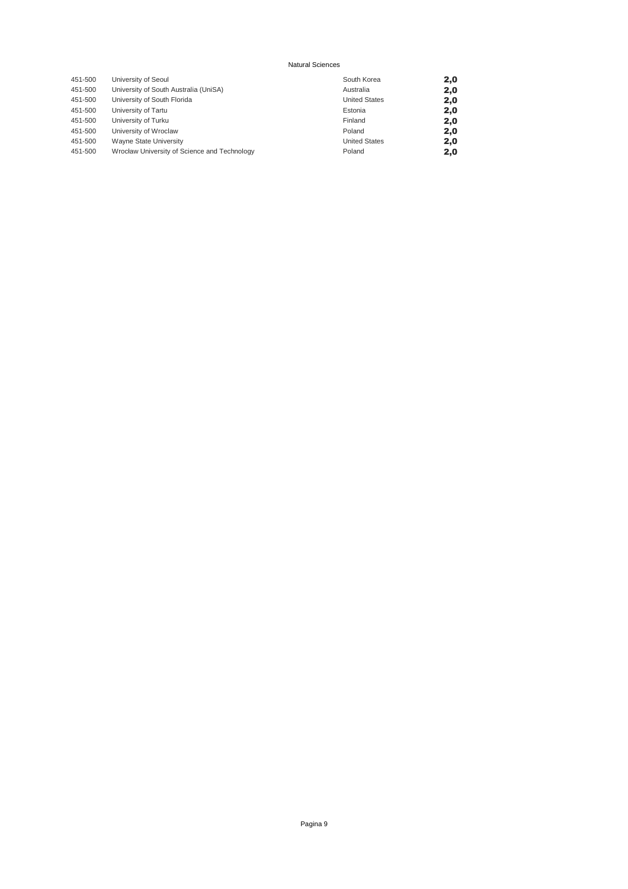| 451-500 | University of Seoul                          | South Korea          | 2,0 |
|---------|----------------------------------------------|----------------------|-----|
| 451-500 | University of South Australia (UniSA)        | Australia            | 2,0 |
| 451-500 | University of South Florida                  | <b>United States</b> | 2,0 |
| 451-500 | University of Tartu                          | Estonia              | 2,0 |
| 451-500 | University of Turku                          | Finland              | 2,0 |
| 451-500 | University of Wroclaw                        | Poland               | 2,0 |
| 451-500 | Wayne State University                       | <b>United States</b> | 2,0 |
| 451-500 | Wrocław University of Science and Technology | Poland               | 2,0 |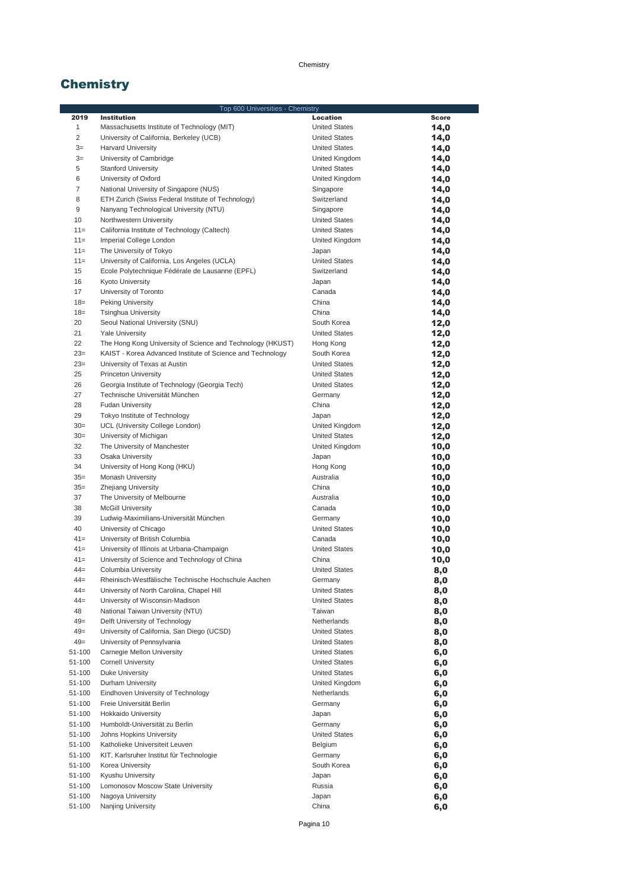# **Chemistry**

|                | Top 600 Universities - Chemistry                           |                      |              |
|----------------|------------------------------------------------------------|----------------------|--------------|
| 2019           | <b>Institution</b>                                         | Location             | <b>Score</b> |
| $\mathbf{1}$   | Massachusetts Institute of Technology (MIT)                | <b>United States</b> | 14,0         |
| $\overline{2}$ | University of California, Berkeley (UCB)                   | <b>United States</b> | 14,0         |
| $3=$           | <b>Harvard University</b>                                  | <b>United States</b> | 14,0         |
| $3=$           | University of Cambridge                                    | United Kingdom       | 14,0         |
| 5              | <b>Stanford University</b>                                 | <b>United States</b> | 14,0         |
| 6              | University of Oxford                                       | United Kingdom       |              |
|                |                                                            |                      | 14,0         |
| $\overline{7}$ | National University of Singapore (NUS)                     | Singapore            | 14,0         |
| 8              | ETH Zurich (Swiss Federal Institute of Technology)         | Switzerland          | 14,0         |
| 9              | Nanyang Technological University (NTU)                     | Singapore            | 14,0         |
| 10             | Northwestern University                                    | <b>United States</b> | 14,0         |
| $11 =$         | California Institute of Technology (Caltech)               | <b>United States</b> | 14,0         |
| $11 =$         | Imperial College London                                    | United Kingdom       | 14,0         |
| $11 =$         | The University of Tokyo                                    | Japan                | 14,0         |
| $11 =$         | University of California, Los Angeles (UCLA)               | <b>United States</b> | 14,0         |
| 15             | Ecole Polytechnique Fédérale de Lausanne (EPFL)            | Switzerland          | 14,0         |
| 16             | <b>Kyoto University</b>                                    | Japan                | 14,0         |
| 17             |                                                            | Canada               |              |
|                | University of Toronto                                      |                      | 14,0         |
| $18=$          | Peking University                                          | China                | 14,0         |
| $18=$          | <b>Tsinghua University</b>                                 | China                | 14,0         |
| 20             | Seoul National University (SNU)                            | South Korea          | 12,0         |
| 21             | <b>Yale University</b>                                     | <b>United States</b> | 12,0         |
| 22             | The Hong Kong University of Science and Technology (HKUST) | Hong Kong            | 12,0         |
| $23=$          | KAIST - Korea Advanced Institute of Science and Technology | South Korea          | 12,0         |
| $23=$          | University of Texas at Austin                              | <b>United States</b> | 12,0         |
| 25             | <b>Princeton University</b>                                | <b>United States</b> | 12,0         |
| 26             | Georgia Institute of Technology (Georgia Tech)             | <b>United States</b> | 12,0         |
| 27             | Technische Universität München                             | Germany              |              |
|                |                                                            |                      | 12,0         |
| 28             | <b>Fudan University</b>                                    | China                | 12,0         |
| 29             | Tokyo Institute of Technology                              | Japan                | 12,0         |
| $30=$          | UCL (University College London)                            | United Kingdom       | 12,0         |
| $30=$          | University of Michigan                                     | <b>United States</b> | 12,0         |
| 32             | The University of Manchester                               | United Kingdom       | 10,0         |
| 33             | Osaka University                                           | Japan                | 10,0         |
| 34             | University of Hong Kong (HKU)                              | Hong Kong            | 10,0         |
| $35=$          | <b>Monash University</b>                                   | Australia            | 10,0         |
| $35=$          | Zhejiang University                                        | China                | 10,0         |
| 37             | The University of Melbourne                                | Australia            | 10,0         |
| 38             | <b>McGill University</b>                                   | Canada               | 10,0         |
|                |                                                            |                      |              |
| 39             | Ludwig-Maximilians-Universität München                     | Germany              | 10,0         |
| 40             | University of Chicago                                      | <b>United States</b> | 10,0         |
| $41 =$         | University of British Columbia                             | Canada               | 10,0         |
| $41=$          | University of Illinois at Urbana-Champaign                 | <b>United States</b> | 10,0         |
| $41 =$         | University of Science and Technology of China              | China                | 10,0         |
| $44 =$         | Columbia University                                        | <b>United States</b> | 8,0          |
| $44 =$         | Rheinisch-Westfälische Technische Hochschule Aachen        | Germany              | 8,0          |
| $44 =$         | University of North Carolina, Chapel Hill                  | <b>United States</b> | 8,0          |
| $44 =$         | University of Wisconsin-Madison                            | <b>United States</b> | 8,0          |
| 48             | National Taiwan University (NTU)                           | Taiwan               | 8,0          |
| $49=$          | Delft University of Technology                             | Netherlands          | 8,0          |
| $49=$          | University of California, San Diego (UCSD)                 | <b>United States</b> | 8,0          |
| $49=$          | University of Pennsylvania                                 | <b>United States</b> |              |
|                |                                                            |                      | 8,0          |
| 51-100         | Carnegie Mellon University                                 | <b>United States</b> | 6,0          |
| 51-100         | <b>Cornell University</b>                                  | <b>United States</b> | 6,0          |
| 51-100         | Duke University                                            | <b>United States</b> | 6,0          |
| 51-100         | Durham University                                          | United Kingdom       | 6,0          |
| 51-100         | Eindhoven University of Technology                         | Netherlands          | 6,0          |
| 51-100         | Freie Universität Berlin                                   | Germany              | 6,0          |
| 51-100         | <b>Hokkaido University</b>                                 | Japan                | 6,0          |
| 51-100         | Humboldt-Universität zu Berlin                             | Germany              | 6,0          |
| 51-100         | Johns Hopkins University                                   | <b>United States</b> | 6,0          |
| 51-100         | Katholieke Universiteit Leuven                             | Belgium              | 6,0          |
| 51-100         | KIT, Karlsruher Institut für Technologie                   | Germany              |              |
|                |                                                            |                      | 6,0          |
| 51-100         | Korea University                                           | South Korea          | 6,0          |
| 51-100         | Kyushu University                                          | Japan                | 6,0          |
| 51-100         | Lomonosov Moscow State University                          | Russia               | 6,0          |
| 51-100         | Nagoya University                                          | Japan                | 6,0          |
| 51-100         | Nanjing University                                         | China                | 6,0          |

Pagina 10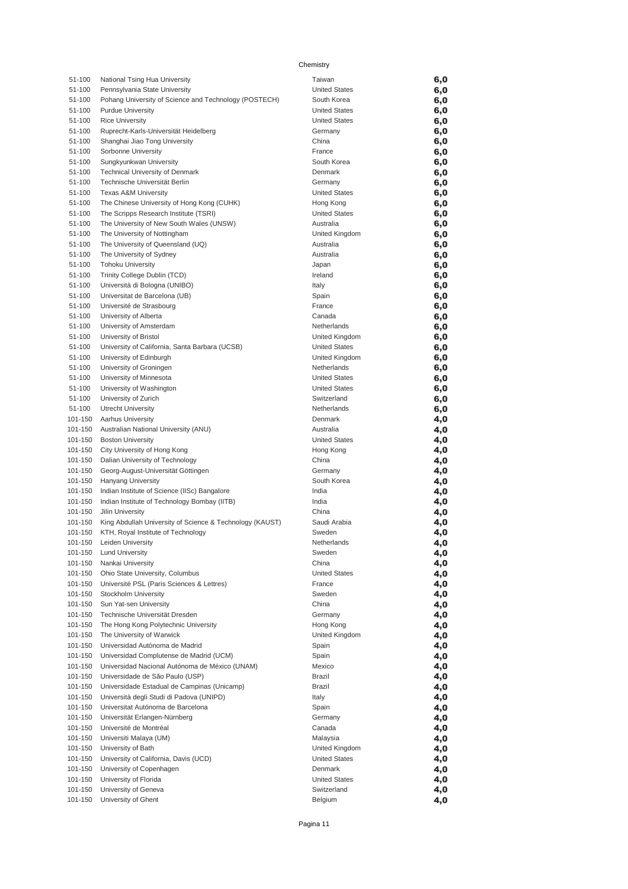| 51-100             | National Tsing Hua University                                          | Taiwan                              | 6,0        |
|--------------------|------------------------------------------------------------------------|-------------------------------------|------------|
| 51-100             | Pennsylvania State University                                          | <b>United States</b>                | 6,0        |
| 51-100             | Pohang University of Science and Technology (POSTECH)                  | South Korea                         | 6,0        |
| 51-100             | <b>Purdue University</b>                                               | <b>United States</b>                | 6,0        |
| 51-100             | <b>Rice University</b>                                                 | <b>United States</b>                | 6,0        |
| 51-100<br>51-100   | Ruprecht-Karls-Universität Heidelberg                                  | Germany<br>China                    | 6,0        |
| 51-100             | Shanghai Jiao Tong University<br>Sorbonne University                   | France                              | 6,0<br>6,0 |
| 51-100             | Sungkyunkwan University                                                | South Korea                         | 6,0        |
| 51-100             | Technical University of Denmark                                        | Denmark                             | 6,0        |
| 51-100             | Technische Universität Berlin                                          | Germany                             | 6,0        |
| 51-100             | <b>Texas A&amp;M University</b>                                        | <b>United States</b>                | 6,0        |
| 51-100             | The Chinese University of Hong Kong (CUHK)                             | Hong Kong                           | 6,0        |
| 51-100             | The Scripps Research Institute (TSRI)                                  | <b>United States</b>                | 6,0        |
| 51-100             | The University of New South Wales (UNSW)                               | Australia                           | 6,0        |
| 51-100             | The University of Nottingham                                           | United Kingdom                      | 6,0        |
| 51-100             | The University of Queensland (UQ)                                      | Australia                           | 6,0        |
| 51-100             | The University of Sydney                                               | Australia                           | 6,0        |
| 51-100<br>51-100   | <b>Tohoku University</b><br>Trinity College Dublin (TCD)               | Japan<br>Ireland                    | 6,0<br>6,0 |
| 51-100             | Università di Bologna (UNIBO)                                          | Italy                               | 6,0        |
| 51-100             | Universitat de Barcelona (UB)                                          | Spain                               | 6,0        |
| 51-100             | Université de Strasbourg                                               | France                              | 6,0        |
| 51-100             | University of Alberta                                                  | Canada                              | 6,0        |
| 51-100             | University of Amsterdam                                                | Netherlands                         | 6,0        |
| 51-100             | University of Bristol                                                  | United Kingdom                      | 6,0        |
| 51-100             | University of California, Santa Barbara (UCSB)                         | <b>United States</b>                | 6,0        |
| 51-100             | University of Edinburgh                                                | United Kingdom                      | 6,0        |
| 51-100             | University of Groningen                                                | Netherlands                         | 6,0        |
| 51-100             | University of Minnesota                                                | <b>United States</b>                | 6,0        |
| 51-100<br>51-100   | University of Washington<br>University of Zurich                       | <b>United States</b><br>Switzerland | 6,0<br>6,0 |
| 51-100             | <b>Utrecht University</b>                                              | Netherlands                         | 6,0        |
| 101-150            | Aarhus University                                                      | Denmark                             | 4,0        |
| 101-150            | Australian National University (ANU)                                   | Australia                           | 4,0        |
| 101-150            | <b>Boston University</b>                                               | <b>United States</b>                | 4,0        |
| 101-150            | City University of Hong Kong                                           | Hong Kong                           | 4,0        |
| 101-150            | Dalian University of Technology                                        | China                               | 4,0        |
| 101-150            | Georg-August-Universität Göttingen                                     | Germany                             | 4,0        |
| 101-150            | Hanyang University                                                     | South Korea                         | 4,0        |
| 101-150            | Indian Institute of Science (IISc) Bangalore                           | India                               | 4,0        |
| 101-150<br>101-150 | Indian Institute of Technology Bombay (IITB)<br>Jilin University       | India<br>China                      | 4,0        |
| 101-150            | King Abdullah University of Science & Technology (KAUST)               | Saudi Arabia                        | 4,0<br>4,0 |
| 101-150            | KTH, Royal Institute of Technology                                     | Sweden                              | 4,0        |
| 101-150            | Leiden University                                                      | Netherlands                         | 4,0        |
| 101-150            | <b>Lund University</b>                                                 | Sweden                              | 4,0        |
| 101-150            | Nankai University                                                      | China                               | 4,0        |
| 101-150            | Ohio State University, Columbus                                        | <b>United States</b>                | 4,0        |
| 101-150            | Université PSL (Paris Sciences & Lettres)                              | France                              | 4,0        |
| 101-150            | Stockholm University                                                   | Sweden                              | 4,0        |
| 101-150            | Sun Yat-sen University                                                 | China                               | 4,0        |
| 101-150<br>101-150 | Technische Universität Dresden<br>The Hong Kong Polytechnic University | Germany                             | 4,0        |
| 101-150            | The University of Warwick                                              | Hong Kong<br>United Kingdom         | 4,0<br>4,0 |
| 101-150            | Universidad Autónoma de Madrid                                         | Spain                               | 4,0        |
| 101-150            | Universidad Complutense de Madrid (UCM)                                | Spain                               | 4,0        |
| 101-150            | Universidad Nacional Autónoma de México (UNAM)                         | Mexico                              | 4,0        |
| 101-150            | Universidade de São Paulo (USP)                                        | Brazil                              | 4,0        |
| 101-150            | Universidade Estadual de Campinas (Unicamp)                            | Brazil                              | 4,0        |
| 101-150            | Università degli Studi di Padova (UNIPD)                               | Italy                               | 4,0        |
| 101-150            | Universitat Autónoma de Barcelona                                      | Spain                               | 4,0        |
| 101-150            | Universität Erlangen-Nürnberg                                          | Germany                             | 4,0        |
| 101-150            | Université de Montréal                                                 | Canada                              | 4,0        |
| 101-150<br>101-150 | Universiti Malaya (UM)<br>University of Bath                           | Malaysia<br>United Kingdom          | 4,0        |
| 101-150            | University of California, Davis (UCD)                                  | <b>United States</b>                | 4,0<br>4,0 |
|                    |                                                                        |                                     |            |
|                    |                                                                        | Denmark                             |            |
| 101-150<br>101-150 | University of Copenhagen<br>University of Florida                      | <b>United States</b>                | 4,0        |
| 101-150            | University of Geneva                                                   | Switzerland                         | 4,0<br>4,0 |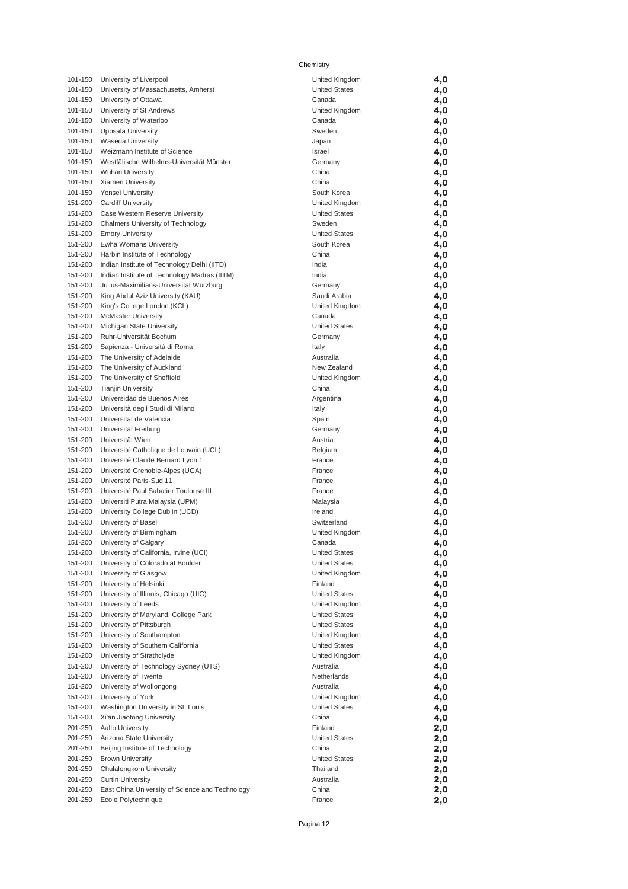| 101-150            | University of Liverpool                                              | United Kingdom                         | 4,0        |
|--------------------|----------------------------------------------------------------------|----------------------------------------|------------|
| 101-150            | University of Massachusetts, Amherst                                 | <b>United States</b>                   | 4,0        |
| 101-150            | University of Ottawa                                                 | Canada                                 | 4,0        |
| 101-150            | University of St Andrews                                             | United Kingdom                         | 4,0        |
| 101-150            | University of Waterloo                                               | Canada                                 | 4,0        |
| 101-150            | Uppsala University                                                   | Sweden                                 | 4,0        |
| 101-150            | Waseda University                                                    | Japan                                  | 4,0        |
| 101-150            | Weizmann Institute of Science                                        | Israel                                 | 4,0        |
| 101-150<br>101-150 | Westfälische Wilhelms-Universität Münster<br><b>Wuhan University</b> | Germany<br>China                       | 4,0        |
| 101-150            | Xiamen University                                                    | China                                  | 4,0<br>4,0 |
| 101-150            | Yonsei University                                                    | South Korea                            | 4,0        |
| 151-200            | <b>Cardiff University</b>                                            | United Kingdom                         | 4,0        |
| 151-200            | Case Western Reserve University                                      | <b>United States</b>                   | 4,0        |
| 151-200            | Chalmers University of Technology                                    | Sweden                                 | 4,0        |
| 151-200            | <b>Emory University</b>                                              | <b>United States</b>                   | 4,0        |
| 151-200            | Ewha Womans University                                               | South Korea                            | 4,0        |
| 151-200            | Harbin Institute of Technology                                       | China                                  | 4,0        |
| 151-200            | Indian Institute of Technology Delhi (IITD)                          | India                                  | 4,0        |
| 151-200            | Indian Institute of Technology Madras (IITM)                         | India                                  | 4,0        |
| 151-200            | Julius-Maximilians-Universität Würzburg                              | Germany                                | 4,0        |
| 151-200            | King Abdul Aziz University (KAU)                                     | Saudi Arabia                           | 4,0        |
| 151-200            | King's College London (KCL)                                          | United Kingdom                         | 4,0        |
| 151-200            | <b>McMaster University</b>                                           | Canada                                 | 4,0        |
| 151-200            | Michigan State University                                            | <b>United States</b>                   | 4,0        |
| 151-200<br>151-200 | Ruhr-Universität Bochum<br>Sapienza - Università di Roma             | Germany                                | 4,0        |
| 151-200            | The University of Adelaide                                           | Italy<br>Australia                     | 4,0<br>4,0 |
| 151-200            | The University of Auckland                                           | New Zealand                            | 4,0        |
| 151-200            | The University of Sheffield                                          | United Kingdom                         | 4,0        |
| 151-200            | <b>Tianjin University</b>                                            | China                                  | 4,0        |
| 151-200            | Universidad de Buenos Aires                                          | Argentina                              | 4,0        |
| 151-200            | Università degli Studi di Milano                                     | Italy                                  | 4,0        |
| 151-200            | Universitat de Valencia                                              | Spain                                  | 4,0        |
| 151-200            | Universität Freiburg                                                 | Germany                                | 4,0        |
| 151-200            | Universität Wien                                                     | Austria                                | 4,0        |
| 151-200            | Université Catholique de Louvain (UCL)                               | Belgium                                | 4,0        |
| 151-200            | Université Claude Bernard Lyon 1                                     | France                                 | 4,0        |
| 151-200            | Université Grenoble-Alpes (UGA)                                      | France                                 | 4,0        |
| 151-200            | Université Paris-Sud 11                                              | France                                 | 4,0        |
| 151-200            | Université Paul Sabatier Toulouse III                                | France                                 | 4,0        |
| 151-200            | Universiti Putra Malaysia (UPM)                                      | Malaysia                               | 4,0        |
| 151-200            | University College Dublin (UCD)                                      | Ireland                                | 4,0        |
| 151-200<br>151-200 | University of Basel<br>University of Birmingham                      | Switzerland<br>United Kingdom          | 4,0<br>4,0 |
| 151-200            | University of Calgary                                                | Canada                                 | 4,0        |
| 151-200            | University of California, Irvine (UCI)                               | <b>United States</b>                   | 4,0        |
| 151-200            | University of Colorado at Boulder                                    | <b>United States</b>                   | 4,0        |
| 151-200            | University of Glasgow                                                | United Kingdom                         | 4,0        |
| 151-200            | University of Helsinki                                               | Finland                                | 4,0        |
| 151-200            | University of Illinois, Chicago (UIC)                                | <b>United States</b>                   | 4,0        |
| 151-200            | University of Leeds                                                  | United Kingdom                         | 4,0        |
| 151-200            | University of Maryland, College Park                                 | <b>United States</b>                   | 4,0        |
| 151-200            | University of Pittsburgh                                             | <b>United States</b>                   | 4,0        |
| 151-200            | University of Southampton                                            | United Kingdom                         | 4,0        |
| 151-200            | University of Southern California                                    | <b>United States</b>                   | 4,0        |
| 151-200            | University of Strathclyde                                            | United Kingdom                         | 4,0        |
| 151-200            | University of Technology Sydney (UTS)                                | Australia                              | 4,0        |
| 151-200            | University of Twente                                                 | Netherlands                            | 4,0        |
| 151-200            | University of Wollongong                                             | Australia                              | 4,0        |
| 151-200<br>151-200 | University of York<br>Washington University in St. Louis             | United Kingdom<br><b>United States</b> | 4,0        |
| 151-200            | Xi'an Jiaotong University                                            | China                                  | 4,0<br>4,0 |
| 201-250            | Aalto University                                                     | Finland                                | 2,0        |
| 201-250            | Arizona State University                                             | <b>United States</b>                   | 2,0        |
| 201-250            | Beijing Institute of Technology                                      | China                                  | 2,0        |
| 201-250            | <b>Brown University</b>                                              | <b>United States</b>                   | 2,0        |
| 201-250            | Chulalongkorn University                                             | Thailand                               | 2,0        |
| 201-250            | <b>Curtin University</b>                                             | Australia                              | 2,0        |
| 201-250            | East China University of Science and Technology                      | China                                  | 2,0        |
| 201-250            | Ecole Polytechnique                                                  | France                                 | 2,0        |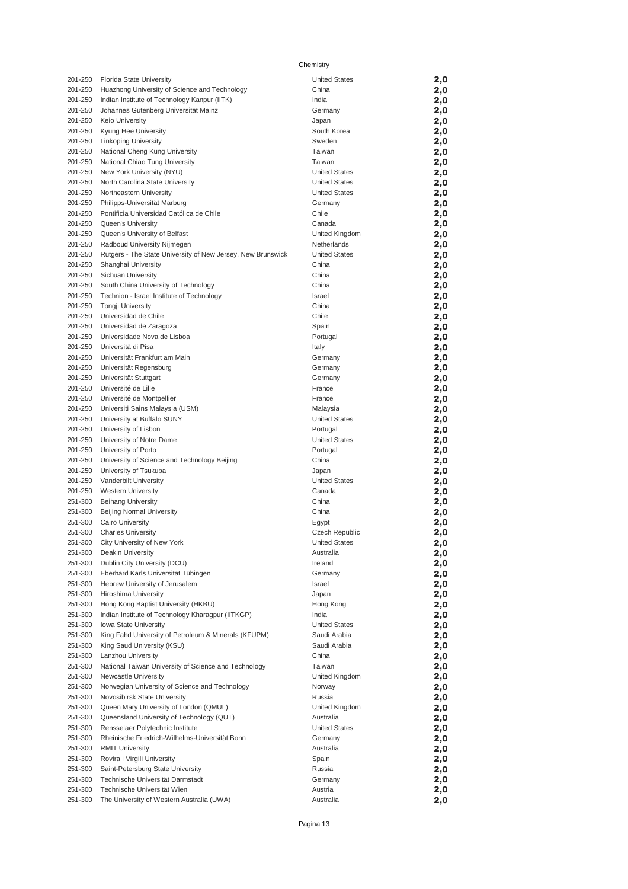| 201-250            | Florida State University                                         | <b>United States</b>          | 2,0        |
|--------------------|------------------------------------------------------------------|-------------------------------|------------|
| 201-250            | Huazhong University of Science and Technology                    | China                         | 2,0        |
| 201-250            | Indian Institute of Technology Kanpur (IITK)                     | India                         | 2,0        |
| 201-250            | Johannes Gutenberg Universität Mainz                             | Germany                       | 2,0        |
| 201-250            | <b>Keio University</b>                                           | Japan                         | 2,0        |
| 201-250            | Kyung Hee University                                             | South Korea                   | 2,0        |
| 201-250            | Linköping University                                             | Sweden                        | 2,0        |
| 201-250            | National Cheng Kung University                                   | Taiwan                        | 2,0        |
| 201-250            | National Chiao Tung University                                   | Taiwan                        | 2,0        |
| 201-250            | New York University (NYU)                                        | <b>United States</b>          | 2,0        |
| 201-250            | North Carolina State University                                  | <b>United States</b>          | 2,0        |
| 201-250            | Northeastern University                                          | <b>United States</b>          | 2,0        |
| 201-250            | Philipps-Universität Marburg                                     | Germany                       | 2,0        |
| 201-250            | Pontificia Universidad Católica de Chile                         | Chile                         | 2,0        |
| 201-250            | <b>Queen's University</b>                                        | Canada                        | 2,0        |
| 201-250            | Queen's University of Belfast                                    | United Kingdom                | 2,0        |
| 201-250            | Radboud University Nijmegen                                      | Netherlands                   | 2,0        |
| 201-250<br>201-250 | Rutgers - The State University of New Jersey, New Brunswick      | <b>United States</b><br>China | 2,0        |
| 201-250            | Shanghai University<br>Sichuan University                        | China                         | 2,0<br>2,0 |
| 201-250            | South China University of Technology                             | China                         | 2,0        |
| 201-250            | Technion - Israel Institute of Technology                        | Israel                        | 2,0        |
| 201-250            | <b>Tongji University</b>                                         | China                         | 2,0        |
| 201-250            | Universidad de Chile                                             | Chile                         | 2,0        |
| 201-250            | Universidad de Zaragoza                                          | Spain                         | 2,0        |
| 201-250            | Universidade Nova de Lisboa                                      | Portugal                      | 2,0        |
| 201-250            | Università di Pisa                                               | Italy                         | 2,0        |
| 201-250            | Universität Frankfurt am Main                                    | Germany                       | 2,0        |
| 201-250            | Universität Regensburg                                           | Germany                       | 2,0        |
| 201-250            | Universität Stuttgart                                            | Germany                       | 2,0        |
| 201-250            | Université de Lille                                              | France                        | 2,0        |
| 201-250            | Université de Montpellier                                        | France                        | 2,0        |
| 201-250            | Universiti Sains Malaysia (USM)                                  | Malaysia                      | 2,0        |
| 201-250            | University at Buffalo SUNY                                       | <b>United States</b>          | 2,0        |
| 201-250            | University of Lisbon                                             | Portugal                      | 2,0        |
| 201-250            | University of Notre Dame                                         | <b>United States</b>          | 2,0        |
| 201-250            | University of Porto                                              | Portugal                      | 2,0        |
| 201-250            | University of Science and Technology Beijing                     | China                         | 2,0        |
| 201-250            | University of Tsukuba                                            | Japan                         | 2,0        |
| 201-250            | Vanderbilt University                                            | <b>United States</b>          | 2,0        |
| 201-250            | <b>Western University</b>                                        | Canada                        | 2,0        |
| 251-300            | <b>Beihang University</b>                                        | China<br>China                | 2,0        |
| 251-300<br>251-300 | Beijing Normal University<br><b>Cairo University</b>             |                               | 2,0        |
| 251-300            | <b>Charles University</b>                                        | Egypt<br>Czech Republic       | 2,0<br>2,0 |
| 251-300            | City University of New York                                      | <b>United States</b>          | 2,0        |
| 251-300            | Deakin University                                                | Australia                     | 2,0        |
| 251-300            | Dublin City University (DCU)                                     | Ireland                       | 2,0        |
| 251-300            | Eberhard Karls Universität Tübingen                              | Germany                       | 2,0        |
| 251-300            | Hebrew University of Jerusalem                                   | Israel                        | 2,0        |
| 251-300            | Hiroshima University                                             | Japan                         | 2,0        |
| 251-300            | Hong Kong Baptist University (HKBU)                              | Hong Kong                     | 2,0        |
| 251-300            | Indian Institute of Technology Kharagpur (IITKGP)                | India                         | 2,0        |
| 251-300            | Iowa State University                                            | <b>United States</b>          | 2,0        |
| 251-300            | King Fahd University of Petroleum & Minerals (KFUPM)             | Saudi Arabia                  | 2,0        |
| 251-300            | King Saud University (KSU)                                       | Saudi Arabia                  | 2,0        |
| 251-300            | Lanzhou University                                               | China                         | 2,0        |
| 251-300            | National Taiwan University of Science and Technology             | Taiwan                        | 2,0        |
| 251-300            | Newcastle University                                             | United Kingdom                | 2,0        |
| 251-300            | Norwegian University of Science and Technology                   | Norway                        | 2,0        |
| 251-300            | Novosibirsk State University                                     | Russia                        | 2,0        |
| 251-300            | Queen Mary University of London (QMUL)                           | United Kingdom                | 2,0        |
| 251-300            | Queensland University of Technology (QUT)                        | Australia                     | 2,0        |
| 251-300            | Rensselaer Polytechnic Institute                                 | <b>United States</b>          | 2,0        |
| 251-300            | Rheinische Friedrich-Wilhelms-Universität Bonn                   | Germany                       | 2,0        |
| 251-300            | <b>RMIT University</b>                                           | Australia                     | 2,0        |
| 251-300            | Rovira i Virgili University<br>Saint-Petersburg State University | Spain<br>Russia               | 2,0        |
| 251-300<br>251-300 | Technische Universität Darmstadt                                 | Germany                       | 2,0<br>2,0 |
| 251-300            | Technische Universität Wien                                      | Austria                       | 2,0        |
| 251-300            | The University of Western Australia (UWA)                        | Australia                     | 2,0        |
|                    |                                                                  |                               |            |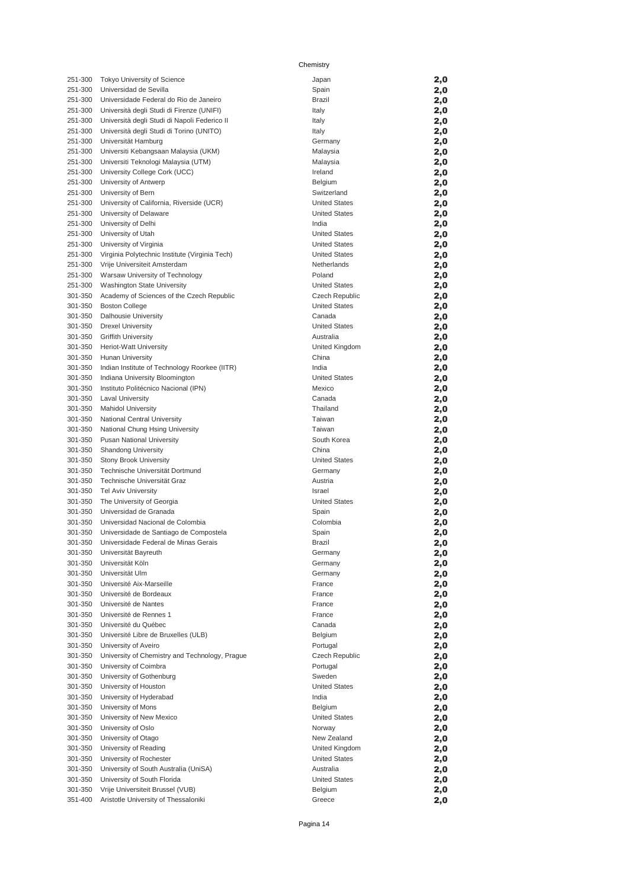| 251-300 | Tokyo University of Science                    | Japan                | 2,0 |
|---------|------------------------------------------------|----------------------|-----|
| 251-300 | Universidad de Sevilla                         | Spain                | 2,0 |
|         |                                                |                      |     |
| 251-300 | Universidade Federal do Rio de Janeiro         | Brazil               | 2,0 |
| 251-300 | Università degli Studi di Firenze (UNIFI)      | Italy                | 2,0 |
| 251-300 | Università degli Studi di Napoli Federico II   | Italy                | 2,0 |
| 251-300 | Università degli Studi di Torino (UNITO)       |                      |     |
|         |                                                | Italy                | 2,0 |
| 251-300 | Universität Hamburg                            | Germany              | 2,0 |
| 251-300 | Universiti Kebangsaan Malaysia (UKM)           | Malaysia             | 2,0 |
| 251-300 | Universiti Teknologi Malaysia (UTM)            | Malaysia             | 2,0 |
|         |                                                |                      |     |
| 251-300 | University College Cork (UCC)                  | Ireland              | 2,0 |
| 251-300 | University of Antwerp                          | Belgium              | 2,0 |
| 251-300 | University of Bern                             | Switzerland          | 2,0 |
|         |                                                |                      |     |
| 251-300 | University of California, Riverside (UCR)      | <b>United States</b> | 2,0 |
| 251-300 | University of Delaware                         | <b>United States</b> | 2,0 |
| 251-300 | University of Delhi                            | India                | 2,0 |
|         |                                                |                      |     |
| 251-300 | University of Utah                             | <b>United States</b> | 2,0 |
| 251-300 | University of Virginia                         | <b>United States</b> | 2,0 |
| 251-300 | Virginia Polytechnic Institute (Virginia Tech) | <b>United States</b> | 2,0 |
| 251-300 |                                                | Netherlands          |     |
|         | Vrije Universiteit Amsterdam                   |                      | 2,0 |
| 251-300 | Warsaw University of Technology                | Poland               | 2,0 |
| 251-300 | <b>Washington State University</b>             | <b>United States</b> | 2,0 |
| 301-350 | Academy of Sciences of the Czech Republic      | Czech Republic       | 2,0 |
|         |                                                | <b>United States</b> |     |
| 301-350 | <b>Boston College</b>                          |                      | 2,0 |
| 301-350 | Dalhousie University                           | Canada               | 2,0 |
| 301-350 | <b>Drexel University</b>                       | <b>United States</b> | 2,0 |
| 301-350 | <b>Griffith University</b>                     | Australia            | 2,0 |
|         |                                                |                      |     |
| 301-350 | Heriot-Watt University                         | United Kingdom       | 2,0 |
| 301-350 | <b>Hunan University</b>                        | China                | 2,0 |
| 301-350 | Indian Institute of Technology Roorkee (IITR)  | India                | 2,0 |
| 301-350 |                                                | <b>United States</b> |     |
|         | Indiana University Bloomington                 |                      | 2,0 |
| 301-350 | Instituto Politécnico Nacional (IPN)           | Mexico               | 2,0 |
| 301-350 | <b>Laval University</b>                        | Canada               | 2,0 |
| 301-350 | <b>Mahidol University</b>                      | Thailand             | 2,0 |
| 301-350 |                                                | Taiwan               |     |
|         | National Central University                    |                      | 2,0 |
| 301-350 | National Chung Hsing University                | Taiwan               | 2,0 |
| 301-350 | <b>Pusan National University</b>               | South Korea          | 2,0 |
| 301-350 | <b>Shandong University</b>                     | China                | 2,0 |
| 301-350 |                                                | <b>United States</b> |     |
|         | Stony Brook University                         |                      | 2,0 |
| 301-350 | Technische Universität Dortmund                | Germany              | 2,0 |
| 301-350 | Technische Universität Graz                    | Austria              | 2,0 |
| 301-350 | <b>Tel Aviv University</b>                     | Israel               | 2,0 |
| 301-350 | The University of Georgia                      | <b>United States</b> |     |
|         |                                                |                      | 2,0 |
| 301-350 | Universidad de Granada                         | Spain                | 2,0 |
| 301-350 | Universidad Nacional de Colombia               | Colombia             | 2,0 |
| 301-350 | Universidade de Santiago de Compostela         | Spain                | 2,0 |
|         | Universidade Federal de Minas Gerais           |                      |     |
| 301-350 |                                                | Brazil               | 2,0 |
| 301-350 | Universität Bayreuth                           | Germany              | 2,0 |
| 301-350 | Universität Köln                               | Germany              | 2,0 |
| 301-350 | Universität Ulm                                | Germany              | 2,0 |
|         |                                                |                      |     |
| 301-350 | Université Aix-Marseille                       | France               | 2,0 |
| 301-350 | Université de Bordeaux                         | France               | 2,0 |
| 301-350 | Université de Nantes                           | France               | 2,0 |
| 301-350 | Université de Rennes 1                         | France               |     |
|         |                                                |                      | 2,0 |
| 301-350 | Université du Québec                           | Canada               | 2,0 |
| 301-350 | Université Libre de Bruxelles (ULB)            | Belgium              | 2,0 |
| 301-350 | University of Aveiro                           | Portugal             | 2,0 |
| 301-350 | University of Chemistry and Technology, Prague | Czech Republic       | 2,0 |
|         |                                                |                      |     |
| 301-350 | University of Coimbra                          | Portugal             | 2,0 |
| 301-350 | University of Gothenburg                       | Sweden               | 2,0 |
| 301-350 | University of Houston                          | <b>United States</b> | 2,0 |
| 301-350 | University of Hyderabad                        | India                |     |
|         |                                                |                      | 2,0 |
| 301-350 | University of Mons                             | Belgium              | 2,0 |
| 301-350 | University of New Mexico                       | <b>United States</b> | 2,0 |
| 301-350 | University of Oslo                             | Norway               | 2,0 |
| 301-350 | University of Otago                            | New Zealand          | 2,0 |
|         |                                                |                      |     |
| 301-350 | University of Reading                          | United Kingdom       | 2,0 |
| 301-350 | University of Rochester                        | <b>United States</b> | 2,0 |
| 301-350 | University of South Australia (UniSA)          | Australia            | 2,0 |
| 301-350 | University of South Florida                    | <b>United States</b> | 2,0 |
|         |                                                |                      |     |
| 301-350 | Vrije Universiteit Brussel (VUB)               | Belgium              | 2,0 |
| 351-400 | Aristotle University of Thessaloniki           | Greece               | 2,0 |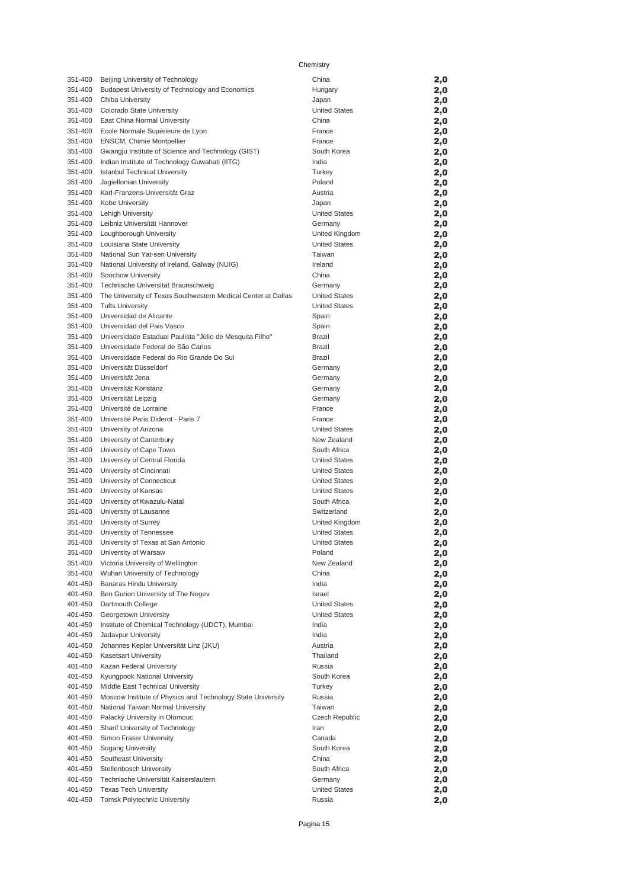| 351-400            | Beijing University of Technology                              | China                          | 2,0        |
|--------------------|---------------------------------------------------------------|--------------------------------|------------|
| 351-400            | Budapest University of Technology and Economics               | Hungary                        | 2,0        |
| 351-400            | Chiba University                                              | Japan                          | 2,0        |
| 351-400            | Colorado State University                                     | <b>United States</b>           | 2,0        |
| 351-400            | East China Normal University                                  | China                          | 2,0        |
| 351-400            | Ecole Normale Supérieure de Lyon                              | France                         | 2,0        |
| 351-400            | ENSCM, Chimie Montpellier                                     | France                         | 2,0        |
| 351-400            | Gwangju Institute of Science and Technology (GIST)            | South Korea                    | 2,0        |
| 351-400            | Indian Institute of Technology Guwahati (IITG)                | India                          | 2,0        |
| 351-400            | <b>Istanbul Technical University</b>                          | Turkey                         | 2,0        |
| 351-400            | Jagiellonian University                                       | Poland                         | 2,0        |
| 351-400            | Karl-Franzens-Universität Graz                                | Austria                        | 2,0        |
| 351-400            | Kobe University                                               | Japan                          | 2,0        |
| 351-400            | <b>Lehigh University</b>                                      | <b>United States</b>           | 2,0        |
| 351-400            | Leibniz Universität Hannover                                  | Germany                        | 2,0        |
| 351-400            | Loughborough University                                       | United Kingdom                 | 2,0        |
| 351-400            | Louisiana State University                                    | <b>United States</b>           | 2,0        |
| 351-400            | National Sun Yat-sen University                               | Taiwan                         | 2,0        |
| 351-400            | National University of Ireland, Galway (NUIG)                 | Ireland                        | 2,0        |
| 351-400            | Soochow University                                            | China                          | 2,0        |
| 351-400            | Technische Universität Braunschweig                           | Germany                        | 2,0        |
| 351-400            | The University of Texas Southwestern Medical Center at Dallas | <b>United States</b>           | 2,0        |
| 351-400            | <b>Tufts University</b>                                       | <b>United States</b>           | 2,0        |
| 351-400            | Universidad de Alicante                                       | Spain                          | 2,0        |
| 351-400            | Universidad del Pais Vasco                                    | Spain                          | 2,0        |
| 351-400            | Universidade Estadual Paulista "Júlio de Mesquita Filho"      | Brazil                         | 2,0        |
| 351-400            | Universidade Federal de São Carlos                            | Brazil                         | 2,0        |
| 351-400            | Universidade Federal do Rio Grande Do Sul                     | Brazil                         | 2,0        |
| 351-400            | Universität Düsseldorf                                        | Germany                        | 2,0        |
| 351-400            | Universität Jena                                              | Germany                        | 2,0        |
| 351-400            | Universität Konstanz                                          | Germany                        | 2,0        |
| 351-400            | Universität Leipzig                                           | Germany                        | 2,0        |
| 351-400            | Université de Lorraine                                        | France                         | 2,0        |
| 351-400<br>351-400 | Université Paris Diderot - Paris 7                            | France<br><b>United States</b> | 2,0        |
| 351-400            | University of Arizona                                         | New Zealand                    | 2,0        |
| 351-400            | University of Canterbury<br>University of Cape Town           | South Africa                   | 2,0        |
| 351-400            | University of Central Florida                                 | <b>United States</b>           | 2,0<br>2,0 |
| 351-400            | University of Cincinnati                                      | <b>United States</b>           | 2,0        |
| 351-400            | University of Connecticut                                     | <b>United States</b>           | 2,0        |
| 351-400            | University of Kansas                                          | <b>United States</b>           | 2,0        |
| 351-400            | University of Kwazulu-Natal                                   | South Africa                   | 2,0        |
| 351-400            | University of Lausanne                                        | Switzerland                    | 2,0        |
| 351-400            | University of Surrey                                          | United Kingdom                 | 2,0        |
| 351-400            | University of Tennessee                                       | <b>United States</b>           | 2,0        |
| 351-400            | University of Texas at San Antonio                            | <b>United States</b>           | 2,0        |
| 351-400            | University of Warsaw                                          | Poland                         | 2,0        |
| 351-400            | Victoria University of Wellington                             | New Zealand                    | 2,0        |
| 351-400            | Wuhan University of Technology                                | China                          | 2,0        |
| 401-450            | <b>Banaras Hindu University</b>                               | India                          | 2,0        |
| 401-450            | Ben Gurion University of The Negev                            | Israel                         | 2,0        |
| 401-450            | Dartmouth College                                             | <b>United States</b>           | 2,0        |
| 401-450            | Georgetown University                                         | <b>United States</b>           | 2,0        |
| 401-450            | Institute of Chemical Technology (UDCT), Mumbai               | India                          | 2,0        |
| 401-450            | Jadavpur University                                           | India                          | 2,0        |
| 401-450            | Johannes Kepler Universität Linz (JKU)                        | Austria                        | 2,0        |
| 401-450            | <b>Kasetsart University</b>                                   | Thailand                       | 2,0        |
| 401-450            | Kazan Federal University                                      | Russia                         | 2,0        |
| 401-450            | Kyungpook National University                                 | South Korea                    | 2,0        |
| 401-450            | Middle East Technical University                              | Turkey                         | 2,0        |
| 401-450            | Moscow Institute of Physics and Technology State University   | Russia                         | 2,0        |
| 401-450            | National Taiwan Normal University                             | Taiwan                         | 2,0        |
| 401-450            | Palacký University in Olomouc                                 | Czech Republic                 | 2,0        |
| 401-450            | Sharif University of Technology                               | Iran                           | 2,0        |
| 401-450            | Simon Fraser University                                       | Canada                         | 2,0        |
| 401-450            | Sogang University                                             | South Korea                    | 2,0        |
| 401-450            | Southeast University                                          | China                          | 2,0        |
| 401-450            | Stellenbosch University                                       | South Africa                   | 2,0        |
| 401-450            | Technische Universität Kaiserslautern                         | Germany                        | 2,0        |
| 401-450            | <b>Texas Tech University</b>                                  | <b>United States</b>           | 2,0        |
| 401-450            | <b>Tomsk Polytechnic University</b>                           | Russia                         | 2,0        |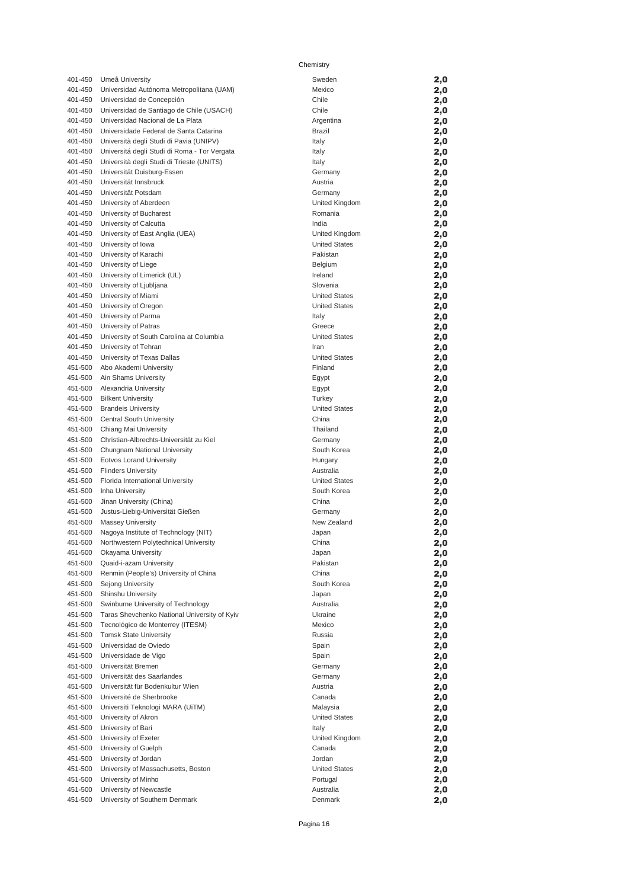| 401-450 | Umeå University                              | Sweden               | 2,0 |
|---------|----------------------------------------------|----------------------|-----|
| 401-450 | Universidad Autónoma Metropolitana (UAM)     | Mexico               | 2,0 |
| 401-450 | Universidad de Concepción                    | Chile                | 2,0 |
| 401-450 | Universidad de Santiago de Chile (USACH)     | Chile                | 2,0 |
| 401-450 | Universidad Nacional de La Plata             | Argentina            | 2,0 |
| 401-450 | Universidade Federal de Santa Catarina       | <b>Brazil</b>        | 2,0 |
| 401-450 | Università degli Studi di Pavia (UNIPV)      | Italy                | 2,0 |
| 401-450 | Universitá degli Studi di Roma - Tor Vergata | Italy                | 2,0 |
| 401-450 | Università degli Studi di Trieste (UNITS)    | Italy                | 2,0 |
| 401-450 | Universität Duisburg-Essen                   | Germany              | 2,0 |
| 401-450 | Universität Innsbruck                        | Austria              | 2,0 |
| 401-450 | Universität Potsdam                          | Germany              | 2,0 |
| 401-450 | University of Aberdeen                       | United Kingdom       | 2,0 |
| 401-450 | University of Bucharest                      | Romania              | 2,0 |
| 401-450 | University of Calcutta                       | India                | 2,0 |
| 401-450 | University of East Anglia (UEA)              | United Kingdom       | 2,0 |
| 401-450 | University of Iowa                           | <b>United States</b> | 2,0 |
| 401-450 | University of Karachi                        | Pakistan             | 2,0 |
| 401-450 | University of Liege                          | Belgium              | 2,0 |
| 401-450 | University of Limerick (UL)                  | Ireland              | 2,0 |
| 401-450 | University of Ljubljana                      | Slovenia             | 2,0 |
| 401-450 | University of Miami                          | <b>United States</b> | 2,0 |
| 401-450 | University of Oregon                         | <b>United States</b> | 2,0 |
| 401-450 | University of Parma                          | Italy                | 2,0 |
| 401-450 | University of Patras                         | Greece               | 2,0 |
| 401-450 | University of South Carolina at Columbia     | <b>United States</b> | 2,0 |
| 401-450 | University of Tehran                         | Iran                 | 2,0 |
| 401-450 | University of Texas Dallas                   | <b>United States</b> | 2,0 |
| 451-500 | Abo Akademi University                       | Finland              | 2,0 |
| 451-500 | Ain Shams University                         | Egypt                | 2,0 |
| 451-500 | Alexandria University                        | Egypt                | 2,0 |
| 451-500 | <b>Bilkent University</b>                    | Turkey               | 2,0 |
| 451-500 | <b>Brandeis University</b>                   | <b>United States</b> | 2,0 |
| 451-500 | Central South University                     | China                | 2,0 |
| 451-500 | Chiang Mai University                        | Thailand             | 2,0 |
| 451-500 | Christian-Albrechts-Universität zu Kiel      | Germany              | 2,0 |
| 451-500 | Chungnam National University                 | South Korea          | 2,0 |
| 451-500 | Eotvos Lorand University                     | Hungary              | 2,0 |
| 451-500 | <b>Flinders University</b>                   | Australia            | 2,0 |
| 451-500 | Florida International University             | <b>United States</b> | 2,0 |
| 451-500 | Inha University                              | South Korea          | 2,0 |
| 451-500 | Jinan University (China)                     | China                | 2,0 |
| 451-500 | Justus-Liebig-Universität Gießen             | Germany              | 2,0 |
| 451-500 | <b>Massey University</b>                     | New Zealand          | 2,0 |
| 451-500 | Nagoya Institute of Technology (NIT)         | Japan                | 2,0 |
| 451-500 | Northwestern Polytechnical University        | China                | 2,0 |
| 451-500 | Okayama University                           | Japan                | 2,0 |
| 451-500 | Quaid-i-azam University                      | Pakistan             | 2,0 |
| 451-500 | Renmin (People's) University of China        | China                | 2,0 |
| 451-500 | Sejong University                            | South Korea          | 2,0 |
| 451-500 | Shinshu University                           | Japan                | 2,0 |
| 451-500 | Swinburne University of Technology           | Australia            | 2,0 |
| 451-500 | Taras Shevchenko National University of Kyiv | Ukraine              | 2,0 |
| 451-500 | Tecnológico de Monterrey (ITESM)             | Mexico               | 2,0 |
| 451-500 | <b>Tomsk State University</b>                | Russia               | 2,0 |
| 451-500 | Universidad de Oviedo                        | Spain                | 2,0 |
| 451-500 | Universidade de Vigo                         | Spain                | 2,0 |
| 451-500 | Universität Bremen                           | Germany              | 2,0 |
| 451-500 | Universität des Saarlandes                   | Germany              | 2,0 |
| 451-500 | Universität für Bodenkultur Wien             | Austria              | 2,0 |
| 451-500 | Université de Sherbrooke                     | Canada               | 2,0 |
| 451-500 | Universiti Teknologi MARA (UiTM)             | Malaysia             | 2,0 |
| 451-500 | University of Akron                          | <b>United States</b> | 2,0 |
| 451-500 | University of Bari                           | Italy                | 2,0 |
| 451-500 | University of Exeter                         | United Kingdom       | 2,0 |
| 451-500 | University of Guelph                         | Canada               | 2,0 |
| 451-500 | University of Jordan                         | Jordan               | 2,0 |
| 451-500 | University of Massachusetts, Boston          | <b>United States</b> | 2,0 |
| 451-500 | University of Minho                          | Portugal             | 2,0 |
| 451-500 | University of Newcastle                      | Australia            | 2,0 |
| 451-500 | University of Southern Denmark               | Denmark              | 2,0 |

Pagina 16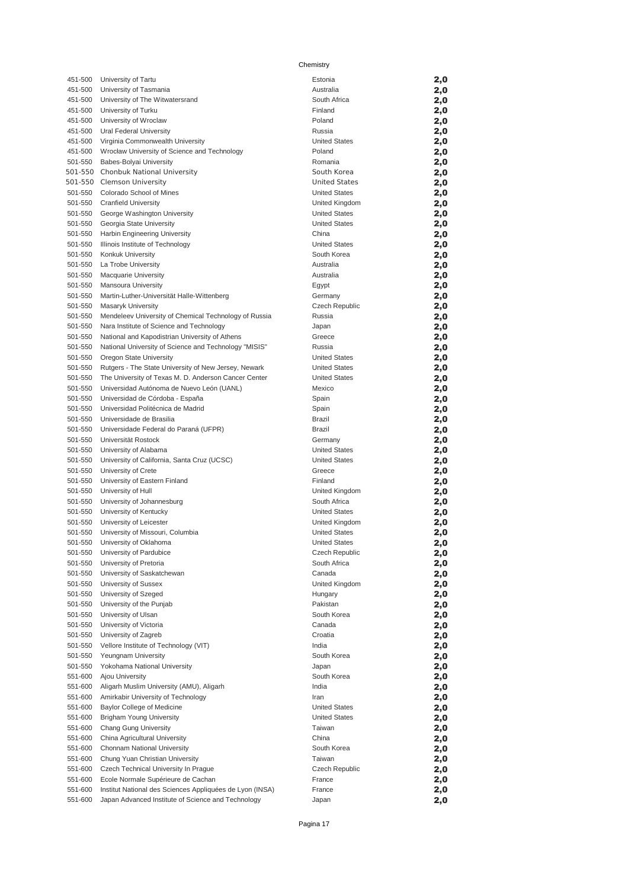| 451-500            | University of Tartu                                                                                            | Estonia                                      | 2,0        |
|--------------------|----------------------------------------------------------------------------------------------------------------|----------------------------------------------|------------|
| 451-500            | University of Tasmania                                                                                         | Australia                                    | 2,0        |
| 451-500            | University of The Witwatersrand                                                                                | South Africa                                 | 2,0        |
| 451-500            | University of Turku                                                                                            | Finland                                      | 2,0        |
| 451-500            | University of Wroclaw                                                                                          | Poland                                       | 2,0        |
| 451-500            | Ural Federal University                                                                                        | Russia                                       | 2,0        |
| 451-500<br>451-500 | Virginia Commonwealth University<br>Wrocław University of Science and Technology                               | <b>United States</b><br>Poland               | 2,0        |
| 501-550            | Babes-Bolyai University                                                                                        | Romania                                      | 2,0<br>2,0 |
|                    | 501-550 Chonbuk National University                                                                            | South Korea                                  | 2,0        |
|                    | 501-550 Clemson University                                                                                     | <b>United States</b>                         | 2,0        |
| 501-550            | Colorado School of Mines                                                                                       | <b>United States</b>                         | 2,0        |
| 501-550            | <b>Cranfield University</b>                                                                                    | United Kingdom                               | 2,0        |
| 501-550            | George Washington University                                                                                   | <b>United States</b>                         | 2,0        |
| 501-550            | Georgia State University                                                                                       | <b>United States</b>                         | 2,0        |
| 501-550            | Harbin Engineering University                                                                                  | China                                        | 2,0        |
| 501-550            | Illinois Institute of Technology                                                                               | <b>United States</b>                         | 2,0        |
| 501-550            | Konkuk University                                                                                              | South Korea                                  | 2,0        |
| 501-550<br>501-550 | La Trobe University                                                                                            | Australia<br>Australia                       | 2,0        |
| 501-550            | <b>Macquarie University</b><br>Mansoura University                                                             | Egypt                                        | 2,0<br>2,0 |
| 501-550            | Martin-Luther-Universität Halle-Wittenberg                                                                     | Germany                                      | 2,0        |
| 501-550            | Masaryk University                                                                                             | Czech Republic                               | 2,0        |
| 501-550            | Mendeleev University of Chemical Technology of Russia                                                          | Russia                                       | 2,0        |
| 501-550            | Nara Institute of Science and Technology                                                                       | Japan                                        | 2,0        |
| 501-550            | National and Kapodistrian University of Athens                                                                 | Greece                                       | 2,0        |
| 501-550            | National University of Science and Technology "MISIS"                                                          | Russia                                       | 2,0        |
| 501-550            | Oregon State University                                                                                        | <b>United States</b>                         | 2,0        |
| 501-550            | Rutgers - The State University of New Jersey, Newark                                                           | <b>United States</b>                         | 2,0        |
| 501-550            | The University of Texas M. D. Anderson Cancer Center                                                           | <b>United States</b>                         | 2,0        |
| 501-550            | Universidad Autónoma de Nuevo León (UANL)                                                                      | Mexico                                       | 2,0        |
| 501-550            | Universidad de Córdoba - España                                                                                | Spain                                        | 2,0        |
| 501-550<br>501-550 | Universidad Politécnica de Madrid<br>Universidade de Brasilia                                                  | Spain<br>Brazil                              | 2,0        |
| 501-550            | Universidade Federal do Paraná (UFPR)                                                                          | Brazil                                       | 2,0<br>2,0 |
| 501-550            | Universität Rostock                                                                                            | Germany                                      | 2,0        |
| 501-550            | University of Alabama                                                                                          | <b>United States</b>                         | 2,0        |
| 501-550            | University of California, Santa Cruz (UCSC)                                                                    | <b>United States</b>                         | 2,0        |
| 501-550            | University of Crete                                                                                            | Greece                                       | 2,0        |
| 501-550            | University of Eastern Finland                                                                                  | Finland                                      | 2,0        |
| 501-550            | University of Hull                                                                                             | United Kingdom                               | 2,0        |
| 501-550            | University of Johannesburg                                                                                     | South Africa                                 | 2,0        |
| 501-550            | University of Kentucky                                                                                         | <b>United States</b>                         | 2,0        |
| 501-550            | University of Leicester                                                                                        | United Kingdom                               | 2,0        |
| 501-550<br>501-550 | University of Missouri, Columbia<br>University of Oklahoma                                                     | <b>United States</b><br><b>United States</b> | 2,0        |
| 501-550            | University of Pardubice                                                                                        | Czech Republic                               | 2,0<br>2,0 |
| 501-550            | University of Pretoria                                                                                         | South Africa                                 | 2,0        |
| 501-550            | University of Saskatchewan                                                                                     | Canada                                       | 2,0        |
| 501-550            | University of Sussex                                                                                           | United Kingdom                               | 2,0        |
| 501-550            | University of Szeged                                                                                           | Hungary                                      | 2,0        |
| 501-550            | University of the Punjab                                                                                       | Pakistan                                     | 2,0        |
| 501-550            | University of Ulsan                                                                                            | South Korea                                  | 2,0        |
| 501-550            | University of Victoria                                                                                         | Canada                                       | 2,0        |
| 501-550            | University of Zagreb                                                                                           | Croatia                                      | 2,0        |
| 501-550            | Vellore Institute of Technology (VIT)                                                                          | India                                        | 2,0        |
| 501-550            | Yeungnam University<br>Yokohama National University                                                            | South Korea                                  | 2,0        |
| 501-550<br>551-600 | Ajou University                                                                                                | Japan<br>South Korea                         | 2,0<br>2,0 |
| 551-600            | Aligarh Muslim University (AMU), Aligarh                                                                       | India                                        | 2,0        |
| 551-600            | Amirkabir University of Technology                                                                             | Iran                                         | 2,0        |
| 551-600            | <b>Baylor College of Medicine</b>                                                                              | <b>United States</b>                         | 2,0        |
| 551-600            | <b>Brigham Young University</b>                                                                                | <b>United States</b>                         | 2,0        |
| 551-600            | Chang Gung University                                                                                          | Taiwan                                       | 2,0        |
| 551-600            | China Agricultural University                                                                                  | China                                        | 2,0        |
| 551-600            | Chonnam National University                                                                                    | South Korea                                  | 2,0        |
| 551-600            | Chung Yuan Christian University                                                                                | Taiwan                                       | 2,0        |
| 551-600            | Czech Technical University In Prague                                                                           | Czech Republic                               | 2,0        |
| 551-600            | Ecole Normale Supérieure de Cachan                                                                             | France                                       | 2,0        |
| 551-600<br>551-600 | Institut National des Sciences Appliquées de Lyon (INSA)<br>Japan Advanced Institute of Science and Technology | France<br>Japan                              | 2,0<br>2,0 |
|                    |                                                                                                                |                                              |            |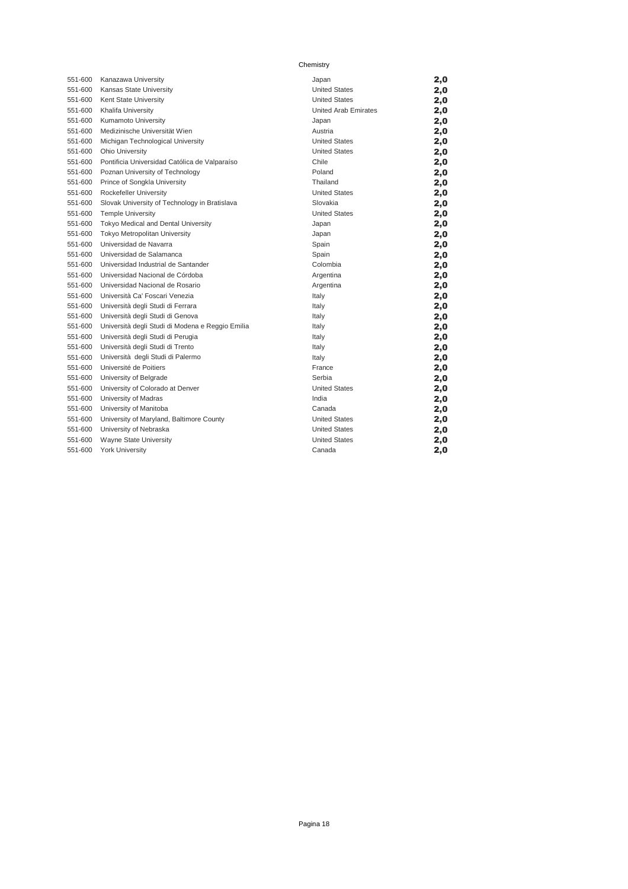| 551-600 | Kanazawa University                              | Japan                | 2,0 |
|---------|--------------------------------------------------|----------------------|-----|
| 551-600 | Kansas State University                          | <b>United States</b> | 2,0 |
| 551-600 | Kent State University                            | <b>United States</b> | 2,0 |
| 551-600 | Khalifa University                               | United Arab Emirates | 2,0 |
| 551-600 | Kumamoto University                              | Japan                | 2,0 |
| 551-600 | Medizinische Universität Wien                    | Austria              | 2,0 |
| 551-600 | Michigan Technological University                | <b>United States</b> | 2,0 |
| 551-600 | Ohio University                                  | <b>United States</b> | 2,0 |
| 551-600 | Pontificia Universidad Católica de Valparaíso    | Chile                | 2,0 |
| 551-600 | Poznan University of Technology                  | Poland               | 2,0 |
| 551-600 | Prince of Songkla University                     | Thailand             | 2,0 |
| 551-600 | Rockefeller University                           | <b>United States</b> | 2,0 |
| 551-600 | Slovak University of Technology in Bratislava    | Slovakia             | 2,0 |
| 551-600 | <b>Temple University</b>                         | <b>United States</b> | 2,0 |
| 551-600 | Tokyo Medical and Dental University              | Japan                | 2,0 |
| 551-600 | Tokyo Metropolitan University                    | Japan                | 2,0 |
| 551-600 | Universidad de Navarra                           | Spain                | 2,0 |
| 551-600 | Universidad de Salamanca                         | Spain                | 2,0 |
| 551-600 | Universidad Industrial de Santander              | Colombia             | 2,0 |
| 551-600 | Universidad Nacional de Córdoba                  | Argentina            | 2,0 |
| 551-600 | Universidad Nacional de Rosario                  | Argentina            | 2,0 |
| 551-600 | Università Ca' Foscari Venezia                   | Italy                | 2,0 |
| 551-600 | Università degli Studi di Ferrara                | Italy                | 2,0 |
| 551-600 | Università degli Studi di Genova                 | Italy                | 2,0 |
| 551-600 | Università degli Studi di Modena e Reggio Emilia | Italy                | 2,0 |
| 551-600 | Università degli Studi di Perugia                | Italy                | 2,0 |
| 551-600 | Università degli Studi di Trento                 | Italy                | 2,0 |
| 551-600 | Università degli Studi di Palermo                | Italy                | 2,0 |
| 551-600 | Université de Poitiers                           | France               | 2,0 |
| 551-600 | University of Belgrade                           | Serbia               | 2,0 |
| 551-600 | University of Colorado at Denver                 | <b>United States</b> | 2,0 |
| 551-600 | University of Madras                             | India                | 2,0 |
| 551-600 | University of Manitoba                           | Canada               | 2,0 |
| 551-600 | University of Maryland, Baltimore County         | <b>United States</b> | 2,0 |
| 551-600 | University of Nebraska                           | <b>United States</b> | 2,0 |
| 551-600 | Wayne State University                           | <b>United States</b> | 2,0 |
| 551-600 | <b>York University</b>                           | Canada               | 2,0 |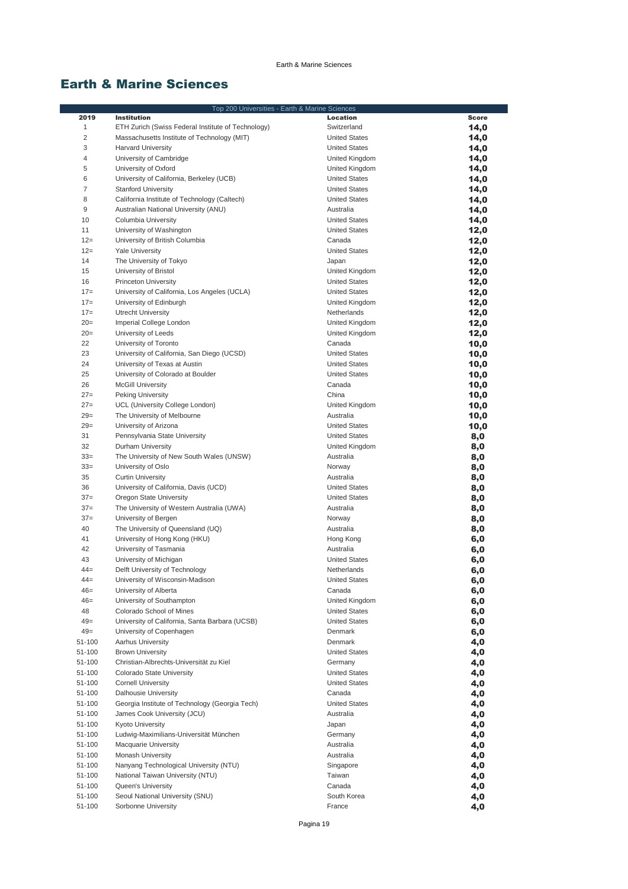# Earth & Marine Sciences

|                |                                                    | Top 200 Universities - Earth & Marine Sciences |              |
|----------------|----------------------------------------------------|------------------------------------------------|--------------|
| 2019           | <b>Institution</b>                                 | Location                                       | <b>Score</b> |
| $\mathbf{1}$   | ETH Zurich (Swiss Federal Institute of Technology) | Switzerland                                    | 14,0         |
| $\overline{c}$ | Massachusetts Institute of Technology (MIT)        | <b>United States</b>                           | 14,0         |
| 3              | <b>Harvard University</b>                          | <b>United States</b>                           | 14,0         |
| 4              | University of Cambridge                            | United Kingdom                                 | 14,0         |
| 5              | University of Oxford                               | United Kingdom                                 | 14,0         |
| 6              | University of California, Berkeley (UCB)           | <b>United States</b>                           | 14,0         |
| $\overline{7}$ | <b>Stanford University</b>                         | <b>United States</b>                           | 14,0         |
| 8              | California Institute of Technology (Caltech)       | <b>United States</b>                           | 14,0         |
| 9              | Australian National University (ANU)               | Australia                                      |              |
| 10             |                                                    | <b>United States</b>                           | 14,0         |
|                | Columbia University                                |                                                | 14,0         |
| 11             | University of Washington                           | <b>United States</b>                           | 12,0         |
| $12 =$         | University of British Columbia                     | Canada                                         | 12,0         |
| $12 =$         | <b>Yale University</b>                             | <b>United States</b>                           | 12,0         |
| 14             | The University of Tokyo                            | Japan                                          | 12,0         |
| 15             | University of Bristol                              | United Kingdom                                 | 12,0         |
| 16             | <b>Princeton University</b>                        | <b>United States</b>                           | 12,0         |
| $17=$          | University of California, Los Angeles (UCLA)       | <b>United States</b>                           | 12,0         |
| $17 =$         | University of Edinburgh                            | United Kingdom                                 | 12,0         |
| $17=$          | <b>Utrecht University</b>                          | Netherlands                                    | 12,0         |
| $20=$          | Imperial College London                            | United Kingdom                                 | 12,0         |
| $20=$          | University of Leeds                                | United Kingdom                                 | 12,0         |
| 22             | University of Toronto                              | Canada                                         | 10,0         |
| 23             | University of California, San Diego (UCSD)         | <b>United States</b>                           | 10,0         |
| 24             | University of Texas at Austin                      | <b>United States</b>                           | 10,0         |
| 25             | University of Colorado at Boulder                  | <b>United States</b>                           | 10,0         |
| 26             | <b>McGill University</b>                           | Canada                                         | 10,0         |
| $27=$          | <b>Peking University</b>                           | China                                          | 10,0         |
| $27=$          | UCL (University College London)                    | United Kingdom                                 | 10,0         |
| $29=$          | The University of Melbourne                        | Australia                                      | 10,0         |
| $29=$          | University of Arizona                              | <b>United States</b>                           |              |
| 31             |                                                    | <b>United States</b>                           | 10,0         |
| 32             | Pennsylvania State University                      |                                                | 8,0          |
|                | Durham University                                  | United Kingdom                                 | 8,0          |
| $33=$          | The University of New South Wales (UNSW)           | Australia                                      | 8,0          |
| $33=$          | University of Oslo                                 | Norway                                         | 8,0          |
| 35             | <b>Curtin University</b>                           | Australia                                      | 8,0          |
| 36             | University of California, Davis (UCD)              | <b>United States</b>                           | 8,0          |
| $37=$          | Oregon State University                            | <b>United States</b>                           | 8,0          |
| $37=$          | The University of Western Australia (UWA)          | Australia                                      | 8,0          |
| $37=$          | University of Bergen                               | Norway                                         | 8,0          |
| 40             | The University of Queensland (UQ)                  | Australia                                      | 8,0          |
| 41             | University of Hong Kong (HKU)                      | Hong Kong                                      | 6,0          |
| 42             | University of Tasmania                             | Australia                                      | 6,0          |
| 43             | University of Michigan                             | <b>United States</b>                           | 6,0          |
| $44 =$         | Delft University of Technology                     | Netherlands                                    | 6,0          |
| $44 =$         | University of Wisconsin-Madison                    | <b>United States</b>                           | 6,0          |
| $46=$          | University of Alberta                              | Canada                                         | 6,0          |
| $46=$          | University of Southampton                          | United Kingdom                                 | 6,0          |
| 48             | Colorado School of Mines                           | <b>United States</b>                           | 6,0          |
| $49=$          | University of California, Santa Barbara (UCSB)     | <b>United States</b>                           | 6,0          |
| $49=$          | University of Copenhagen                           | Denmark                                        | 6,0          |
| 51-100         | <b>Aarhus University</b>                           | Denmark                                        | 4,0          |
| 51-100         | <b>Brown University</b>                            | <b>United States</b>                           | 4,0          |
| 51-100         | Christian-Albrechts-Universität zu Kiel            | Germany                                        | 4,0          |
|                | Colorado State University                          | <b>United States</b>                           |              |
| 51-100         |                                                    | <b>United States</b>                           | 4,0          |
| 51-100         | <b>Cornell University</b>                          |                                                | 4,0          |
| 51-100         | Dalhousie University                               | Canada                                         | 4,0          |
| 51-100         | Georgia Institute of Technology (Georgia Tech)     | <b>United States</b>                           | 4,0          |
| 51-100         | James Cook University (JCU)                        | Australia                                      | 4,0          |
| 51-100         | Kyoto University                                   | Japan                                          | 4,0          |
| 51-100         | Ludwig-Maximilians-Universität München             | Germany                                        | 4,0          |
| 51-100         | <b>Macquarie University</b>                        | Australia                                      | 4,0          |
| 51-100         | Monash University                                  | Australia                                      | 4,0          |
| 51-100         | Nanyang Technological University (NTU)             | Singapore                                      | 4,0          |
| 51-100         | National Taiwan University (NTU)                   | Taiwan                                         | 4,0          |
| 51-100         | Queen's University                                 | Canada                                         | 4,0          |
| 51-100         | Seoul National University (SNU)                    | South Korea                                    | 4,0          |
| 51-100         | Sorbonne University                                | France                                         | 4,0          |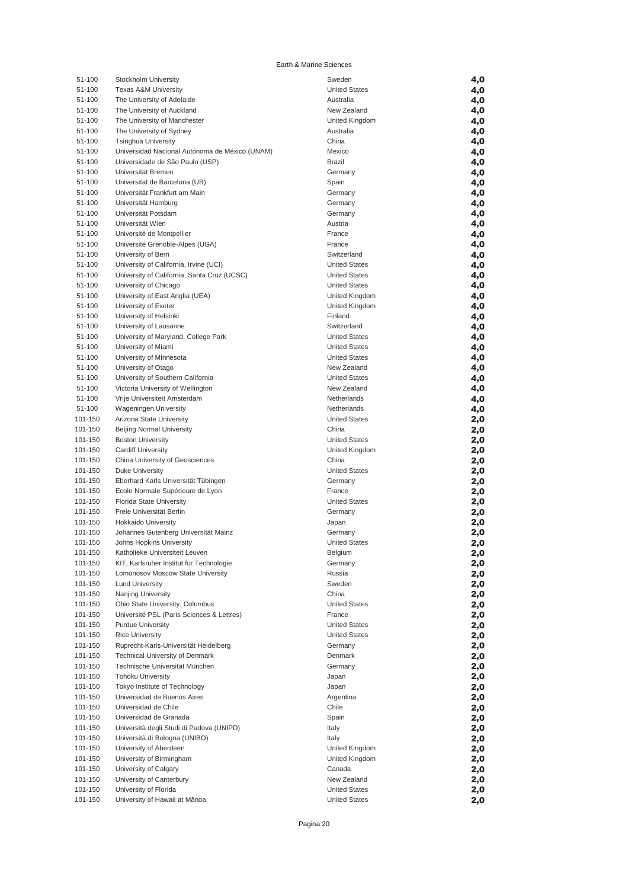#### Earth & Marine Sciences

| 51-100  | Stockholm University                           | Sweden               | 4,0 |
|---------|------------------------------------------------|----------------------|-----|
| 51-100  | <b>Texas A&amp;M University</b>                | <b>United States</b> | 4,0 |
| 51-100  | The University of Adelaide                     | Australia            | 4,0 |
| 51-100  | The University of Auckland                     | New Zealand          | 4,0 |
| 51-100  | The University of Manchester                   | United Kingdom       | 4,0 |
| 51-100  | The University of Sydney                       | Australia            | 4,0 |
| 51-100  | <b>Tsinghua University</b>                     | China                | 4,0 |
| 51-100  | Universidad Nacional Autónoma de México (UNAM) | Mexico               | 4,0 |
| 51-100  | Universidade de São Paulo (USP)                | Brazil               | 4,0 |
| 51-100  | Universität Bremen                             | Germany              | 4,0 |
| 51-100  | Universitat de Barcelona (UB)                  | Spain                | 4,0 |
| 51-100  | Universität Frankfurt am Main                  | Germany              | 4,0 |
| 51-100  | Universität Hamburg                            | Germany              | 4,0 |
| 51-100  | Universität Potsdam                            | Germany              | 4,0 |
| 51-100  | Universität Wien                               | Austria              | 4,0 |
| 51-100  | Université de Montpellier                      | France               | 4,0 |
| 51-100  | Université Grenoble-Alpes (UGA)                | France               | 4,0 |
| 51-100  | University of Bern                             | Switzerland          | 4,0 |
| 51-100  | University of California, Irvine (UCI)         | <b>United States</b> | 4,0 |
| 51-100  | University of California, Santa Cruz (UCSC)    | <b>United States</b> | 4,0 |
| 51-100  | University of Chicago                          | <b>United States</b> | 4,0 |
| 51-100  | University of East Anglia (UEA)                | United Kingdom       | 4,0 |
| 51-100  | University of Exeter                           | United Kingdom       | 4,0 |
| 51-100  | University of Helsinki                         | Finland              | 4,0 |
| 51-100  | University of Lausanne                         | Switzerland          | 4,0 |
| 51-100  | University of Maryland, College Park           | <b>United States</b> | 4,0 |
| 51-100  | University of Miami                            | <b>United States</b> | 4,0 |
| 51-100  | University of Minnesota                        | <b>United States</b> | 4,0 |
| 51-100  | University of Otago                            | New Zealand          | 4,0 |
| 51-100  | University of Southern California              | <b>United States</b> | 4,0 |
| 51-100  | Victoria University of Wellington              | New Zealand          | 4,0 |
| 51-100  | Vrije Universiteit Amsterdam                   | Netherlands          | 4,0 |
| 51-100  | <b>Wageningen University</b>                   | Netherlands          | 4,0 |
| 101-150 | Arizona State University                       | <b>United States</b> | 2,0 |
| 101-150 | Beijing Normal University                      | China                | 2,0 |
| 101-150 | <b>Boston University</b>                       | <b>United States</b> | 2,0 |
| 101-150 | <b>Cardiff University</b>                      | United Kingdom       | 2,0 |
| 101-150 | China University of Geosciences                | China                | 2,0 |
| 101-150 | <b>Duke University</b>                         | <b>United States</b> | 2,0 |
| 101-150 | Eberhard Karls Universität Tübingen            | Germany              | 2,0 |
| 101-150 | Ecole Normale Supérieure de Lyon               | France               | 2,0 |
| 101-150 | Florida State University                       | <b>United States</b> | 2,0 |
| 101-150 | Freie Universität Berlin                       | Germany              | 2,0 |
| 101-150 | <b>Hokkaido University</b>                     | Japan                | 2,0 |
| 101-150 | Johannes Gutenberg Universität Mainz           | Germany              | 2,0 |
| 101-150 | Johns Hopkins University                       | <b>United States</b> | 2,0 |
| 101-150 | Katholieke Universiteit Leuven                 | Belgium              | 2,0 |
| 101-150 | KIT, Karlsruher Institut für Technologie       | Germany              | 2,0 |
| 101-150 | Lomonosov Moscow State University              | Russia               | 2,0 |
| 101-150 | <b>Lund University</b>                         | Sweden               | 2,0 |
| 101-150 | Nanjing University                             | China                | 2,0 |
| 101-150 | Ohio State University, Columbus                | <b>United States</b> | 2,0 |
| 101-150 | Université PSL (Paris Sciences & Lettres)      | France               | 2,0 |
| 101-150 | <b>Purdue University</b>                       | <b>United States</b> | 2,0 |
| 101-150 | <b>Rice University</b>                         | <b>United States</b> | 2,0 |
| 101-150 | Ruprecht-Karls-Universität Heidelberg          | Germany              | 2,0 |
| 101-150 | <b>Technical University of Denmark</b>         | Denmark              | 2,0 |
| 101-150 | Technische Universität München                 | Germany              | 2,0 |
| 101-150 | <b>Tohoku University</b>                       | Japan                | 2,0 |
| 101-150 | Tokyo Institute of Technology                  | Japan                | 2,0 |
| 101-150 | Universidad de Buenos Aires                    | Argentina            | 2,0 |
| 101-150 | Universidad de Chile                           | Chile                | 2,0 |
| 101-150 | Universidad de Granada                         | Spain                | 2,0 |
| 101-150 | Università degli Studi di Padova (UNIPD)       | Italy                | 2,0 |
| 101-150 | Università di Bologna (UNIBO)                  | Italy                | 2,0 |
| 101-150 | University of Aberdeen                         | United Kingdom       | 2,0 |
| 101-150 | University of Birmingham                       | United Kingdom       | 2,0 |
| 101-150 | University of Calgary                          | Canada               | 2,0 |
| 101-150 | University of Canterbury                       | New Zealand          | 2,0 |
| 101-150 | University of Florida                          | <b>United States</b> | 2,0 |
| 101-150 | University of Hawaii at Mānoa                  | <b>United States</b> | 2,0 |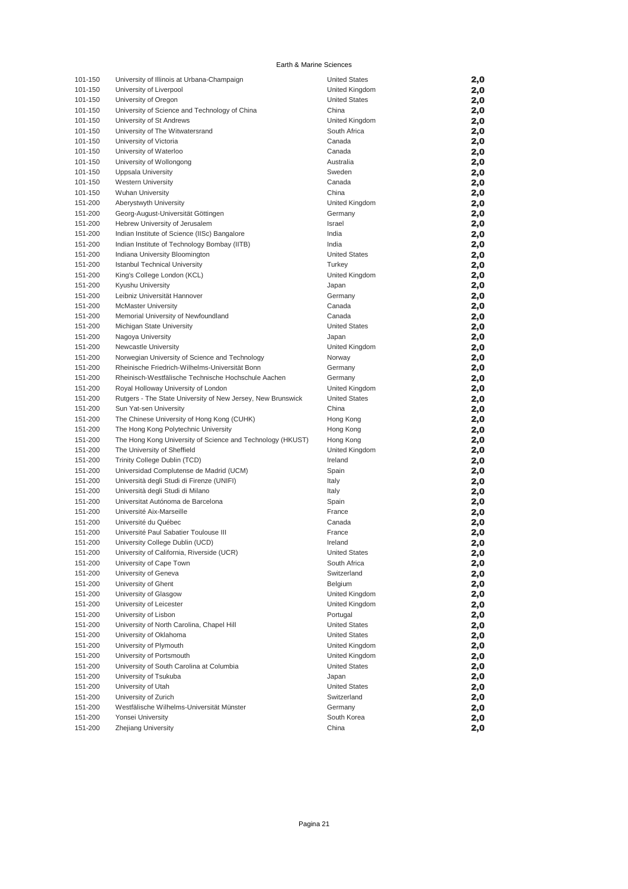#### Earth & Marine Sciences

| 101-150 | University of Illinois at Urbana-Champaign                  | <b>United States</b> |     |
|---------|-------------------------------------------------------------|----------------------|-----|
|         |                                                             |                      | 2,0 |
| 101-150 | University of Liverpool                                     | United Kingdom       | 2,0 |
| 101-150 | University of Oregon                                        | <b>United States</b> | 2,0 |
| 101-150 | University of Science and Technology of China               | China                | 2,0 |
| 101-150 | University of St Andrews                                    | United Kingdom       | 2,0 |
| 101-150 | University of The Witwatersrand                             | South Africa         | 2,0 |
| 101-150 | University of Victoria                                      | Canada               | 2,0 |
| 101-150 | University of Waterloo                                      | Canada               | 2,0 |
| 101-150 | University of Wollongong                                    | Australia            | 2,0 |
| 101-150 | Uppsala University                                          | Sweden               | 2,0 |
| 101-150 | <b>Western University</b>                                   | Canada               | 2,0 |
| 101-150 | <b>Wuhan University</b>                                     | China                | 2,0 |
| 151-200 | Aberystwyth University                                      | United Kingdom       | 2,0 |
| 151-200 | Georg-August-Universität Göttingen                          | Germany              | 2,0 |
| 151-200 | Hebrew University of Jerusalem                              | Israel               | 2,0 |
| 151-200 | Indian Institute of Science (IISc) Bangalore                | India                | 2,0 |
| 151-200 | Indian Institute of Technology Bombay (IITB)                | India                | 2,0 |
| 151-200 | Indiana University Bloomington                              | <b>United States</b> | 2,0 |
| 151-200 | <b>Istanbul Technical University</b>                        | Turkey               |     |
| 151-200 | King's College London (KCL)                                 | United Kingdom       | 2,0 |
|         |                                                             |                      | 2,0 |
| 151-200 | Kyushu University                                           | Japan                | 2,0 |
| 151-200 | Leibniz Universität Hannover                                | Germany              | 2,0 |
| 151-200 | <b>McMaster University</b>                                  | Canada               | 2,0 |
| 151-200 | Memorial University of Newfoundland                         | Canada               | 2,0 |
| 151-200 | Michigan State University                                   | <b>United States</b> | 2,0 |
| 151-200 | Nagoya University                                           | Japan                | 2,0 |
| 151-200 | Newcastle University                                        | United Kingdom       | 2,0 |
| 151-200 | Norwegian University of Science and Technology              | Norway               | 2,0 |
| 151-200 | Rheinische Friedrich-Wilhelms-Universität Bonn              | Germany              | 2,0 |
| 151-200 | Rheinisch-Westfälische Technische Hochschule Aachen         | Germany              | 2,0 |
| 151-200 | Royal Holloway University of London                         | United Kingdom       | 2,0 |
| 151-200 | Rutgers - The State University of New Jersey, New Brunswick | <b>United States</b> | 2,0 |
| 151-200 | Sun Yat-sen University                                      | China                | 2,0 |
| 151-200 | The Chinese University of Hong Kong (CUHK)                  | Hong Kong            | 2,0 |
| 151-200 | The Hong Kong Polytechnic University                        | Hong Kong            | 2,0 |
| 151-200 | The Hong Kong University of Science and Technology (HKUST)  | Hong Kong            | 2,0 |
| 151-200 | The University of Sheffield                                 | United Kingdom       | 2,0 |
| 151-200 | Trinity College Dublin (TCD)                                | Ireland              | 2,0 |
| 151-200 | Universidad Complutense de Madrid (UCM)                     | Spain                | 2,0 |
| 151-200 | Università degli Studi di Firenze (UNIFI)                   | Italy                | 2,0 |
| 151-200 | Università degli Studi di Milano                            | Italy                | 2,0 |
| 151-200 | Universitat Autónoma de Barcelona                           | Spain                | 2,0 |
| 151-200 | Université Aix-Marseille                                    | France               | 2,0 |
| 151-200 | Université du Québec                                        | Canada               | 2,0 |
| 151-200 | Université Paul Sabatier Toulouse III                       | France               | 2,0 |
| 151-200 | University College Dublin (UCD)                             | Ireland              | 2,0 |
| 151-200 | University of California, Riverside (UCR)                   | <b>United States</b> |     |
|         |                                                             |                      | 2,0 |
| 151-200 | University of Cape Town                                     | South Africa         | 2,0 |
| 151-200 | University of Geneva                                        | Switzerland          | 2,0 |
| 151-200 | University of Ghent                                         | Belgium              | 2,0 |
| 151-200 | University of Glasgow                                       | United Kingdom       | 2,0 |
| 151-200 | University of Leicester                                     | United Kingdom       | 2,0 |
| 151-200 | University of Lisbon                                        | Portugal             | 2,0 |
| 151-200 | University of North Carolina, Chapel Hill                   | <b>United States</b> | 2,0 |
| 151-200 | University of Oklahoma                                      | <b>United States</b> | 2,0 |
| 151-200 | University of Plymouth                                      | United Kingdom       | 2,0 |
| 151-200 | University of Portsmouth                                    | United Kingdom       | 2,0 |
| 151-200 | University of South Carolina at Columbia                    | <b>United States</b> | 2,0 |
| 151-200 | University of Tsukuba                                       | Japan                | 2,0 |
| 151-200 | University of Utah                                          | <b>United States</b> | 2,0 |
| 151-200 | University of Zurich                                        | Switzerland          | 2,0 |
| 151-200 | Westfälische Wilhelms-Universität Münster                   | Germany              | 2,0 |
| 151-200 | Yonsei University                                           | South Korea          | 2,0 |
| 151-200 | Zhejiang University                                         | China                | 2,0 |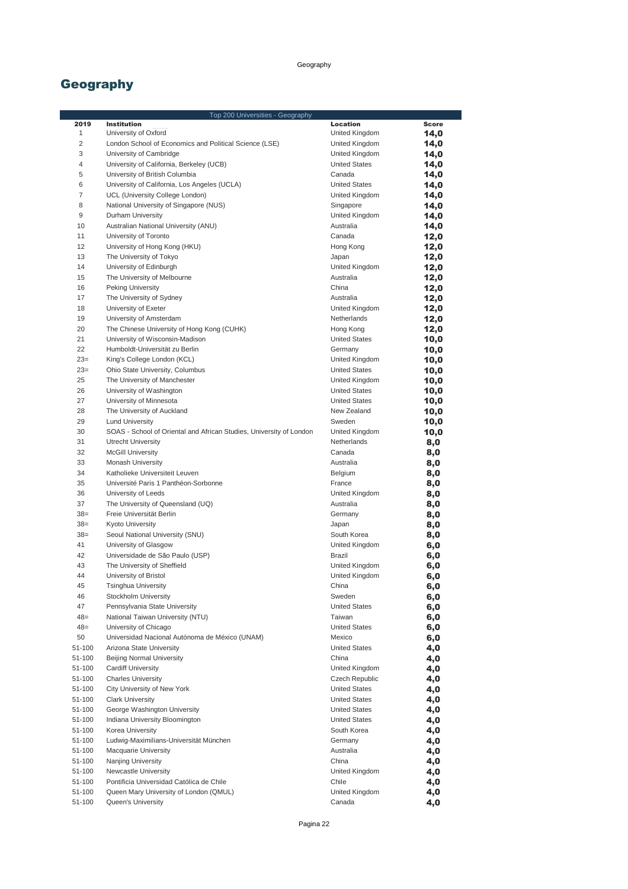## Geography

| Top 200 Universities - Geography |                                                                     |                             |              |
|----------------------------------|---------------------------------------------------------------------|-----------------------------|--------------|
| 2019                             | Institution                                                         | Location                    | <b>Score</b> |
| 1                                | University of Oxford                                                | United Kingdom              | 14,0         |
| $\overline{2}$                   | London School of Economics and Political Science (LSE)              | United Kingdom              | 14,0         |
| 3                                | University of Cambridge                                             | United Kingdom              | 14,0         |
| 4                                | University of California, Berkeley (UCB)                            | <b>United States</b>        | 14,0         |
| 5                                | University of British Columbia                                      | Canada                      | 14,0         |
| 6<br>$\overline{7}$              | University of California, Los Angeles (UCLA)                        | <b>United States</b>        | 14,0         |
|                                  | UCL (University College London)                                     | United Kingdom              | 14,0         |
| 8<br>9                           | National University of Singapore (NUS)<br>Durham University         | Singapore                   | 14,0         |
| 10                               | Australian National University (ANU)                                | United Kingdom<br>Australia | 14,0         |
| 11                               | University of Toronto                                               | Canada                      | 14,0<br>12,0 |
| 12                               | University of Hong Kong (HKU)                                       | Hong Kong                   | 12,0         |
| 13                               | The University of Tokyo                                             | Japan                       | 12,0         |
| 14                               | University of Edinburgh                                             | United Kingdom              | 12,0         |
| 15                               | The University of Melbourne                                         | Australia                   | 12,0         |
| 16                               | Peking University                                                   | China                       | 12,0         |
| 17                               | The University of Sydney                                            | Australia                   | 12,0         |
| 18                               | University of Exeter                                                | United Kingdom              | 12,0         |
| 19                               | University of Amsterdam                                             | Netherlands                 | 12,0         |
| 20                               | The Chinese University of Hong Kong (CUHK)                          | Hong Kong                   | 12,0         |
| 21                               | University of Wisconsin-Madison                                     | <b>United States</b>        | 10,0         |
| 22                               | Humboldt-Universität zu Berlin                                      | Germany                     | 10,0         |
| $23=$                            | King's College London (KCL)                                         | United Kingdom              | 10,0         |
| $23=$                            | Ohio State University, Columbus                                     | <b>United States</b>        | 10,0         |
| 25                               | The University of Manchester                                        | United Kingdom              | 10,0         |
| 26                               | University of Washington                                            | <b>United States</b>        | 10,0         |
| 27                               | University of Minnesota                                             | <b>United States</b>        | 10,0         |
| 28                               | The University of Auckland                                          | New Zealand                 | 10,0         |
| 29                               | <b>Lund University</b>                                              | Sweden                      | 10,0         |
| 30                               | SOAS - School of Oriental and African Studies, University of London | United Kingdom              | 10,0         |
| 31                               | <b>Utrecht University</b>                                           | Netherlands                 | 8,0          |
| 32                               | <b>McGill University</b>                                            | Canada                      | 8,0          |
| 33                               | Monash University                                                   | Australia                   | 8,0          |
| 34                               | Katholieke Universiteit Leuven                                      | Belgium                     | 8,0          |
| 35                               | Université Paris 1 Panthéon-Sorbonne                                | France                      | 8,0          |
| 36                               | University of Leeds                                                 | United Kingdom              | 8,0          |
| 37                               | The University of Queensland (UQ)                                   | Australia                   | 8,0          |
| $38=$                            | Freie Universität Berlin                                            | Germany                     | 8,0          |
| $38=$                            | Kyoto University                                                    | Japan                       | 8,0          |
| $38=$                            | Seoul National University (SNU)                                     | South Korea                 | 8,0          |
| 41                               | University of Glasgow                                               | United Kingdom              | 6,0          |
| 42                               | Universidade de São Paulo (USP)                                     | <b>Brazil</b>               | 6,0          |
| 43                               | The University of Sheffield                                         | United Kingdom              | 6,0          |
| 44                               | University of Bristol                                               | United Kingdom              | 6,0          |
| 45                               | Tsinghua University                                                 | China                       | 6,0          |
| 46                               | Stockholm University                                                | Sweden                      | 6,0          |
| 47                               | Pennsylvania State University                                       | <b>United States</b>        | 6,0          |
| $48=$                            | National Taiwan University (NTU)                                    | Taiwan                      | 6,0          |
| $48=$                            | University of Chicago                                               | <b>United States</b>        | 6,0          |
| 50                               | Universidad Nacional Autónoma de México (UNAM)                      | Mexico                      | 6,0          |
| 51-100                           | Arizona State University                                            | <b>United States</b>        | 4,0          |
| 51-100                           | Beijing Normal University                                           | China                       | 4,0          |
| 51-100                           | <b>Cardiff University</b>                                           | United Kingdom              | 4,0          |
| 51-100                           | <b>Charles University</b>                                           | Czech Republic              | 4,0          |
| 51-100                           | City University of New York                                         | <b>United States</b>        | 4,0          |
| 51-100                           | <b>Clark University</b>                                             | <b>United States</b>        | 4,0          |
| 51-100                           | George Washington University                                        | <b>United States</b>        | 4,0          |
| 51-100                           | Indiana University Bloomington                                      | <b>United States</b>        | 4,0          |
| 51-100                           | Korea University                                                    | South Korea                 | 4,0          |
| 51-100                           | Ludwig-Maximilians-Universität München                              | Germany                     | 4,0          |
| 51-100                           | Macquarie University                                                | Australia                   | 4,0          |
| 51-100                           | Nanjing University                                                  | China                       | 4,0          |
| 51-100<br>51-100                 | Newcastle University<br>Pontificia Universidad Católica de Chile    | United Kingdom<br>Chile     | 4,0          |
| 51-100                           | Queen Mary University of London (QMUL)                              | United Kingdom              | 4,0          |
| 51-100                           | Queen's University                                                  | Canada                      | 4,0<br>4,0   |
|                                  |                                                                     |                             |              |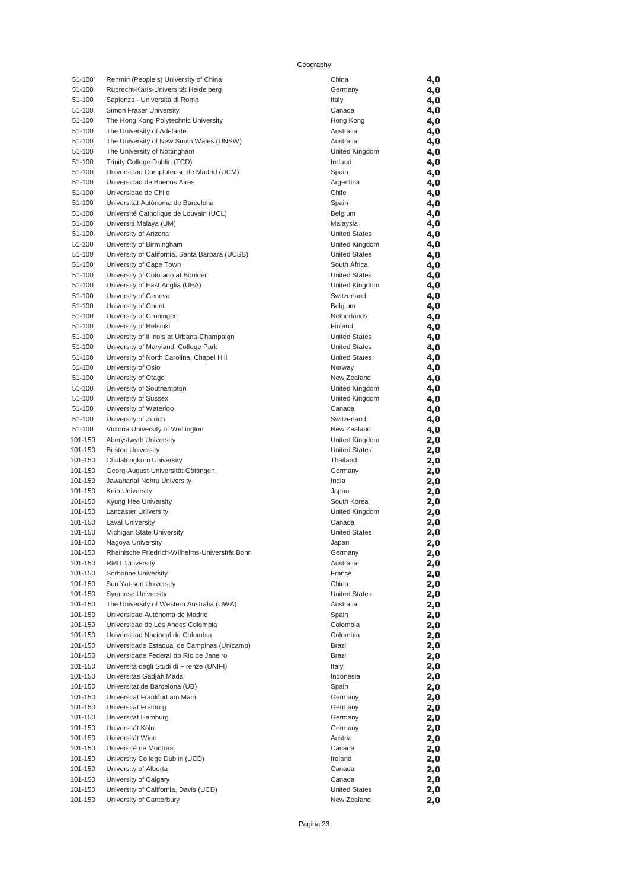Geography

| 51-100             | Renmin (People's) University of China          | China                          | 4,0        |
|--------------------|------------------------------------------------|--------------------------------|------------|
| 51-100             | Ruprecht-Karls-Universität Heidelberg          | Germany                        | 4,0        |
| 51-100             | Sapienza - Università di Roma                  | Italy                          | 4,0        |
| 51-100             | Simon Fraser University                        | Canada                         | 4,0        |
| 51-100             | The Hong Kong Polytechnic University           | Hong Kong                      | 4,0        |
| 51-100             | The University of Adelaide                     | Australia                      | 4,0        |
| 51-100             | The University of New South Wales (UNSW)       | Australia                      | 4,0        |
| 51-100             | The University of Nottingham                   | United Kingdom                 | 4,0        |
| 51-100             | Trinity College Dublin (TCD)                   | Ireland                        | 4,0        |
| 51-100             | Universidad Complutense de Madrid (UCM)        | Spain                          | 4,0        |
| 51-100             | Universidad de Buenos Aires                    | Argentina                      | 4,0        |
| 51-100             | Universidad de Chile                           | Chile                          | 4,0        |
| 51-100             | Universitat Autónoma de Barcelona              | Spain                          | 4,0        |
| 51-100             | Université Catholique de Louvain (UCL)         | Belgium                        | 4,0        |
| 51-100             | Universiti Malaya (UM)                         | Malaysia                       | 4,0        |
| 51-100             | University of Arizona                          | <b>United States</b>           | 4,0        |
| 51-100             | University of Birmingham                       | United Kingdom                 | 4,0        |
| 51-100             | University of California, Santa Barbara (UCSB) | <b>United States</b>           | 4,0        |
| 51-100             | University of Cape Town                        | South Africa                   | 4,0        |
| 51-100             | University of Colorado at Boulder              | <b>United States</b>           | 4,0        |
| 51-100             | University of East Anglia (UEA)                | United Kingdom                 | 4,0        |
| 51-100             | University of Geneva                           | Switzerland                    | 4,0        |
| 51-100             | University of Ghent                            | Belgium                        | 4,0        |
| 51-100             | University of Groningen                        | Netherlands                    | 4,0        |
| 51-100             | University of Helsinki                         | Finland                        | 4,0        |
| 51-100             | University of Illinois at Urbana-Champaign     | <b>United States</b>           | 4,0        |
| 51-100             | University of Maryland, College Park           | <b>United States</b>           | 4,0        |
| 51-100             | University of North Carolina, Chapel Hill      | <b>United States</b>           | 4,0        |
| 51-100             | University of Oslo                             | Norway                         | 4,0        |
| 51-100             | University of Otago                            | New Zealand                    | 4,0        |
| 51-100             | University of Southampton                      | United Kingdom                 | 4,0        |
| 51-100             | University of Sussex                           | United Kingdom                 | 4,0        |
| 51-100             | University of Waterloo                         | Canada                         | 4,0        |
| 51-100             | University of Zurich                           | Switzerland                    | 4,0        |
| 51-100             | Victoria University of Wellington              | New Zealand                    | 4,0        |
| 101-150            | Aberystwyth University                         | United Kingdom                 | 2,0        |
| 101-150            | <b>Boston University</b>                       | <b>United States</b>           | 2,0        |
| 101-150            | Chulalongkorn University                       | Thailand                       | 2,0        |
| 101-150            | Georg-August-Universität Göttingen             | Germany                        | 2,0        |
| 101-150            | Jawaharlal Nehru University                    | India                          | 2,0        |
| 101-150            | Keio University                                | Japan                          | 2,0        |
| 101-150            | Kyung Hee University                           | South Korea                    | 2,0        |
| 101-150            | Lancaster University                           | United Kingdom                 | 2,0        |
| 101-150<br>101-150 | Laval University                               | Canada<br><b>United States</b> | 2,0        |
|                    | Michigan State University                      |                                | 2,0        |
| 101-150            | Nagoya University                              | Japan                          | 2,0        |
| 101-150            | Rheinische Friedrich-Wilhelms-Universität Bonn | Germany                        | 2,0        |
| 101-150            | <b>RMIT University</b><br>Sorbonne University  | Australia<br>France            | 2,0        |
| 101-150<br>101-150 | Sun Yat-sen University                         | China                          | 2,0        |
| 101-150            | <b>Syracuse University</b>                     | <b>United States</b>           | 2,0<br>2,0 |
| 101-150            | The University of Western Australia (UWA)      | Australia                      |            |
| 101-150            | Universidad Autónoma de Madrid                 | Spain                          | 2,0<br>2,0 |
| 101-150            | Universidad de Los Andes Colombia              | Colombia                       |            |
| 101-150            | Universidad Nacional de Colombia               | Colombia                       | 2,0<br>2,0 |
| 101-150            | Universidade Estadual de Campinas (Unicamp)    | Brazil                         | 2,0        |
| 101-150            | Universidade Federal do Rio de Janeiro         | <b>Brazil</b>                  | 2,0        |
| 101-150            | Università degli Studi di Firenze (UNIFI)      | Italy                          | 2,0        |
| 101-150            | Universitas Gadjah Mada                        | Indonesia                      | 2,0        |
| 101-150            | Universitat de Barcelona (UB)                  | Spain                          | 2,0        |
| 101-150            | Universität Frankfurt am Main                  | Germany                        | 2,0        |
| 101-150            | Universität Freiburg                           | Germany                        | 2,0        |
| 101-150            | Universität Hamburg                            | Germany                        | 2,0        |
| 101-150            | Universität Köln                               | Germany                        | 2,0        |
| 101-150            | Universität Wien                               | Austria                        | 2,0        |
| 101-150            | Université de Montréal                         | Canada                         | 2,0        |
| 101-150            | University College Dublin (UCD)                | Ireland                        | 2,0        |
| 101-150            | University of Alberta                          | Canada                         | 2,0        |
| 101-150            | University of Calgary                          | Canada                         | 2,0        |
| 101-150            | University of California, Davis (UCD)          | <b>United States</b>           | 2,0        |
| 101-150            | University of Canterbury                       | New Zealand                    | 2,0        |
|                    |                                                |                                |            |

| ıγ                               |                              |
|----------------------------------|------------------------------|
| China                            | 4                            |
| Germany                          | 4                            |
| Italy                            | 4                            |
| Canada                           | 4                            |
| Hong Kong                        | 4                            |
| Australia                        | 4                            |
| Australia                        | 4                            |
| United Kingdom                   | 4                            |
| Ireland                          | 4                            |
| Spain<br>Argentina               | 4<br>4                       |
| Chile                            | 4                            |
| Spain                            | 4                            |
| Belgium                          | 4                            |
| Malaysia                         | 4                            |
| <b>United States</b>             | 4                            |
| United Kingdom                   | 4                            |
| <b>United States</b>             | 4                            |
| South Africa                     | 4                            |
| <b>United States</b>             | 4                            |
| United Kingdom                   | 4                            |
| Switzerland                      | 4                            |
| Belgium                          | 4<br>4                       |
| Netherlands<br>Finland           | 4                            |
| <b>United States</b>             | 4                            |
| <b>United States</b>             | 4                            |
| <b>United States</b>             | 4                            |
| Norway                           | 4                            |
| New Zealand                      | 4                            |
| United Kingdom                   | 4                            |
| United Kingdom                   | 4                            |
| Canada                           | 4                            |
| Switzerland                      | 4                            |
| New Zealand                      | 4                            |
| United Kingdom                   | $\overline{2}$<br>2          |
| <b>United States</b><br>Thailand | 2                            |
| Germany                          | 2                            |
| India                            | 2                            |
| Japan                            | $\overline{a}$               |
| South Korea                      | 2                            |
| United Kingdom                   | 2                            |
| Canada                           | 2                            |
| <b>United States</b>             | $\overline{a}$               |
| Japan                            | $\overline{2}$               |
| Germany                          | 2                            |
| Australia                        | 2                            |
| France<br>China                  | 2<br>$\overline{\mathbf{2}}$ |
| <b>United States</b>             | 2                            |
| Australia                        | 2                            |
| Spain                            | 2                            |
| Colombia                         | 2                            |
| Colombia                         | 2                            |
| <b>Brazil</b>                    | 2                            |
| <b>Brazil</b>                    | 2                            |
| Italy                            | 2                            |
| Indonesia                        | 2                            |
| Spain                            | 2                            |
| Germany                          | 2                            |
| Germany                          | $\overline{a}$               |
| Germany                          | 2                            |
| Germany<br>Austria               | 2<br>$\overline{2}$          |
| Canada                           | $\overline{\mathbf{2}}$      |
| Ireland                          | 2                            |
| Canada                           | 2                            |
| Canada                           | 2                            |
| <b>United States</b>             | $\overline{a}$               |
|                                  |                              |

Pagina 23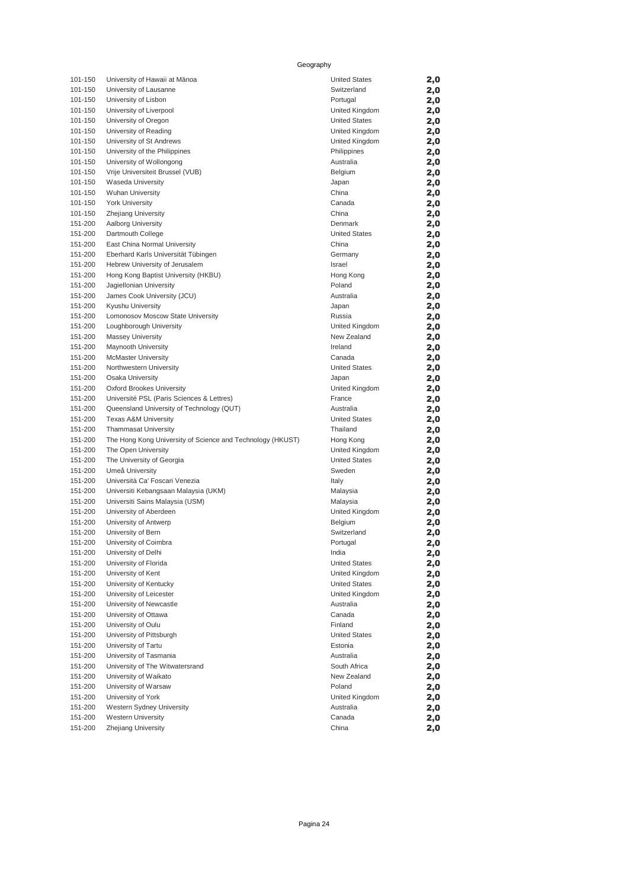#### Geography

| 101-150            | University of Hawaii at Mānoa                              | <b>United States</b>            | 2,0        |
|--------------------|------------------------------------------------------------|---------------------------------|------------|
| 101-150            | University of Lausanne                                     | Switzerland                     | 2,0        |
| 101-150            | University of Lisbon                                       | Portugal                        | 2,0        |
| 101-150            | University of Liverpool                                    | United Kingdom                  | 2,0        |
| 101-150            | University of Oregon                                       | <b>United States</b>            | 2,0        |
| 101-150            | University of Reading                                      | United Kingdom                  | 2,0        |
| 101-150            | University of St Andrews                                   | United Kingdom                  | 2,0        |
| 101-150            | University of the Philippines                              | Philippines                     | 2,0        |
| 101-150            | University of Wollongong                                   | Australia                       | 2,0        |
| 101-150            | Vrije Universiteit Brussel (VUB)                           | Belgium                         | 2,0        |
| 101-150            | <b>Waseda University</b>                                   | Japan                           | 2,0        |
| 101-150            | <b>Wuhan University</b>                                    | China                           | 2,0        |
| 101-150            | <b>York University</b>                                     | Canada                          | 2,0        |
| 101-150            | <b>Zhejiang University</b>                                 | China                           | 2,0        |
| 151-200            | Aalborg University                                         | Denmark<br><b>United States</b> | 2,0        |
| 151-200<br>151-200 | Dartmouth College<br>East China Normal University          | China                           | 2,0        |
| 151-200            | Eberhard Karls Universität Tübingen                        | Germany                         | 2,0        |
| 151-200            | Hebrew University of Jerusalem                             | Israel                          | 2,0        |
| 151-200            | Hong Kong Baptist University (HKBU)                        | Hong Kong                       | 2,0<br>2,0 |
| 151-200            | Jagiellonian University                                    | Poland                          | 2,0        |
| 151-200            | James Cook University (JCU)                                | Australia                       | 2,0        |
| 151-200            | Kyushu University                                          | Japan                           | 2,0        |
| 151-200            | Lomonosov Moscow State University                          | Russia                          | 2,0        |
| 151-200            | Loughborough University                                    | United Kingdom                  | 2,0        |
| 151-200            | <b>Massey University</b>                                   | New Zealand                     | 2,0        |
| 151-200            | Maynooth University                                        | Ireland                         | 2,0        |
| 151-200            | <b>McMaster University</b>                                 | Canada                          | 2,0        |
| 151-200            | Northwestern University                                    | <b>United States</b>            | 2,0        |
| 151-200            | Osaka University                                           | Japan                           | 2,0        |
| 151-200            | Oxford Brookes University                                  | United Kingdom                  | 2,0        |
| 151-200            | Université PSL (Paris Sciences & Lettres)                  | France                          | 2,0        |
| 151-200            | Queensland University of Technology (QUT)                  | Australia                       | 2,0        |
| 151-200            | <b>Texas A&amp;M University</b>                            | <b>United States</b>            | 2,0        |
| 151-200            | <b>Thammasat University</b>                                | Thailand                        | 2,0        |
| 151-200            | The Hong Kong University of Science and Technology (HKUST) | Hong Kong                       | 2,0        |
| 151-200            | The Open University                                        | United Kingdom                  | 2,0        |
| 151-200            | The University of Georgia                                  | <b>United States</b>            | 2,0        |
| 151-200            | Umeå University                                            | Sweden                          | 2,0        |
| 151-200            | Università Ca' Foscari Venezia                             | Italy                           | 2,0        |
| 151-200            | Universiti Kebangsaan Malaysia (UKM)                       | Malaysia                        | 2,0        |
| 151-200            | Universiti Sains Malaysia (USM)                            | Malaysia                        | 2,0        |
| 151-200            | University of Aberdeen                                     | United Kingdom                  | 2,0        |
| 151-200            | University of Antwerp                                      | Belgium                         | 2,0        |
| 151-200            | University of Bern                                         | Switzerland                     | 2,0        |
| 151-200            | University of Coimbra                                      | Portugal                        | 2,0        |
| 151-200            | University of Delhi                                        | India                           | 2,0        |
| 151-200            | University of Florida                                      | <b>United States</b>            | 2,0        |
| 151-200            | University of Kent                                         | United Kingdom                  | 2,0        |
| 151-200            | University of Kentucky                                     | <b>United States</b>            | 2,0        |
| 151-200            | University of Leicester                                    | United Kingdom<br>Australia     | 2,0        |
| 151-200<br>151-200 | University of Newcastle<br>University of Ottawa            | Canada                          | 2,0        |
| 151-200            | University of Oulu                                         | Finland                         | 2,0        |
| 151-200            | University of Pittsburgh                                   | <b>United States</b>            | 2,0<br>2,0 |
| 151-200            | University of Tartu                                        | Estonia                         | 2,0        |
| 151-200            | University of Tasmania                                     | Australia                       | 2,0        |
| 151-200            | University of The Witwatersrand                            | South Africa                    | 2,0        |
| 151-200            | University of Waikato                                      | New Zealand                     | 2,0        |
| 151-200            | University of Warsaw                                       | Poland                          | 2,0        |
| 151-200            | University of York                                         | United Kingdom                  | 2,0        |
| 151-200            | Western Sydney University                                  | Australia                       | 2,0        |
| 151-200            | <b>Western University</b>                                  | Canada                          | 2,0        |
| 151-200            | Zhejiang University                                        | China                           | 2,0        |

| <b>United States</b> | 2,0 |
|----------------------|-----|
| Switzerland          | 2,0 |
| Portugal             | 2,0 |
| United Kingdom       |     |
|                      | 2,0 |
| <b>United States</b> | 2,0 |
| United Kingdom       | 2,0 |
| United Kingdom       | 2,0 |
| Philippines          | 2,0 |
| Australia            | 2,0 |
| Belgium              | 2,0 |
| Japan                | 2,0 |
| China                | 2,0 |
| Canada               | 2,0 |
| China                | 2,0 |
| Denmark              | 2,0 |
| <b>United States</b> | 2,0 |
| China                | 2,0 |
| Germany              | 2,0 |
| Israel               |     |
|                      | 2,0 |
| Hong Kong            | 2,0 |
| Poland               | 2,0 |
| Australia            | 2,0 |
| Japan                | 2,0 |
| Russia               | 2,0 |
| United Kingdom       | 2,0 |
| New Zealand          | 2,0 |
| Ireland              | 2,0 |
| Canada               | 2,0 |
| <b>United States</b> | 2,0 |
| Japan                | 2,0 |
| United Kingdom       | 2,0 |
| France               | 2,0 |
| Australia            | 2,0 |
| <b>United States</b> | 2,0 |
| Thailand             | 2,0 |
| Hong Kong            | 2,0 |
| United Kingdom       | 2,0 |
| <b>United States</b> | 2,0 |
| Sweden               | 2,0 |
| Italy                | 2,0 |
| Malaysia             | 2,0 |
| Malaysia             | 2,0 |
|                      |     |
| United Kingdom       | 2,0 |
| Belgium              | 2,0 |
| Switzerland          | 2,0 |
| Portugal             | 2,0 |
| India                | 2,0 |
| <b>United States</b> | 2,0 |
| United Kingdom       | 2,0 |
| <b>United States</b> | 2,0 |
| United Kingdom       | 2,0 |
| Australia            | 2,0 |
| Canada               | 2,C |
| Finland              | 2,0 |
| <b>United States</b> | 2,0 |
| Estonia              | 2,0 |
| Australia            | 2,0 |
| South Africa         | 2,0 |
| New Zealand          | 2,0 |
| Poland               | 2,0 |
| United Kingdom       | 2,0 |
| Australia            | 2,0 |
| Canada               | 2,0 |
|                      |     |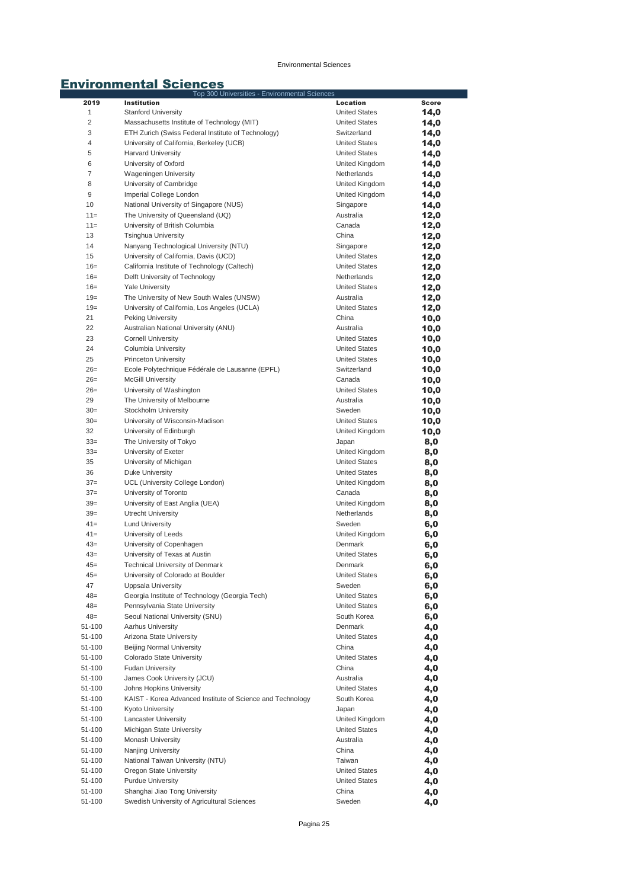|                | Top 300 Universities - Environmental Sciences              |                      |              |
|----------------|------------------------------------------------------------|----------------------|--------------|
| 2019           | <b>Institution</b>                                         | Location             | <b>Score</b> |
| $\mathbf{1}$   | <b>Stanford University</b>                                 | <b>United States</b> | 14,0         |
| $\overline{c}$ | Massachusetts Institute of Technology (MIT)                | <b>United States</b> | 14,0         |
| 3              | ETH Zurich (Swiss Federal Institute of Technology)         | Switzerland          | 14,0         |
| 4              | University of California, Berkeley (UCB)                   | <b>United States</b> | 14,0         |
| 5              | <b>Harvard University</b>                                  | <b>United States</b> | 14,0         |
| 6              | University of Oxford                                       | United Kingdom       | 14,0         |
| 7              | <b>Wageningen University</b>                               | Netherlands          | 14,0         |
| 8              | University of Cambridge                                    | United Kingdom       | 14,0         |
| 9              | Imperial College London                                    | United Kingdom       | 14,0         |
| 10             | National University of Singapore (NUS)                     | Singapore            | 14,0         |
| $11 =$         | The University of Queensland (UQ)                          | Australia            | 12,0         |
| $11 =$         | University of British Columbia                             | Canada               |              |
| 13             | <b>Tsinghua University</b>                                 | China                | 12,0         |
|                |                                                            |                      | 12,0         |
| 14             | Nanyang Technological University (NTU)                     | Singapore            | 12,0         |
| 15             | University of California, Davis (UCD)                      | <b>United States</b> | 12,0         |
| $16=$          | California Institute of Technology (Caltech)               | <b>United States</b> | 12,0         |
| $16=$          | Delft University of Technology                             | Netherlands          | 12,0         |
| $16=$          | <b>Yale University</b>                                     | <b>United States</b> | 12,0         |
| $19=$          | The University of New South Wales (UNSW)                   | Australia            | 12,0         |
| $19=$          | University of California, Los Angeles (UCLA)               | <b>United States</b> | 12,0         |
| 21             | Peking University                                          | China                | 10,0         |
| 22             | Australian National University (ANU)                       | Australia            | 10,0         |
| 23             | <b>Cornell University</b>                                  | <b>United States</b> | 10,0         |
| 24             | Columbia University                                        | <b>United States</b> | 10,0         |
| 25             | Princeton University                                       | <b>United States</b> | 10,0         |
| $26=$          | Ecole Polytechnique Fédérale de Lausanne (EPFL)            | Switzerland          | 10,0         |
| $26=$          | <b>McGill University</b>                                   | Canada               | 10,0         |
| $26=$          | University of Washington                                   | <b>United States</b> | 10,0         |
| 29             | The University of Melbourne                                | Australia            | 10,0         |
| $30=$          | Stockholm University                                       | Sweden               | 10,0         |
| $30=$          | University of Wisconsin-Madison                            | <b>United States</b> | 10,0         |
| 32             | University of Edinburgh                                    | United Kingdom       | 10,0         |
| $33=$          | The University of Tokyo                                    | Japan                | 8,0          |
| $33=$          | University of Exeter                                       | United Kingdom       | 8,0          |
| 35             | University of Michigan                                     | <b>United States</b> | 8,0          |
| 36             | Duke University                                            | <b>United States</b> | 8,0          |
| $37=$          | UCL (University College London)                            | United Kingdom       | 8,0          |
| $37=$          | University of Toronto                                      | Canada               |              |
| $39=$          | University of East Anglia (UEA)                            | United Kingdom       | 8,0          |
| $39=$          | Utrecht University                                         | Netherlands          | 8,0          |
| $41 =$         |                                                            | Sweden               | 8,0          |
|                | <b>Lund University</b>                                     | United Kingdom       | 6,0          |
| $41 =$         | University of Leeds                                        |                      | 6,0          |
| $43=$          | University of Copenhagen                                   | Denmark              | 6,0          |
| $43=$          | University of Texas at Austin                              | <b>United States</b> | 6,0          |
| 45=            | Technical University of Denmark                            | Denmark              | 6,0          |
| $45=$          | University of Colorado at Boulder                          | <b>United States</b> | 6,0          |
| 47             | Uppsala University                                         | Sweden               | 6,0          |
| $48=$          | Georgia Institute of Technology (Georgia Tech)             | <b>United States</b> | 6,0          |
| $48=$          | Pennsylvania State University                              | <b>United States</b> | 6,0          |
| $48=$          | Seoul National University (SNU)                            | South Korea          | 6,0          |
| 51-100         | Aarhus University                                          | Denmark              | 4,0          |
| 51-100         | Arizona State University                                   | <b>United States</b> | 4,0          |
| 51-100         | Beijing Normal University                                  | China                | 4,0          |
| 51-100         | Colorado State University                                  | <b>United States</b> | 4,0          |
| 51-100         | <b>Fudan University</b>                                    | China                | 4,0          |
| 51-100         | James Cook University (JCU)                                | Australia            | 4,0          |
| 51-100         | Johns Hopkins University                                   | <b>United States</b> | 4,0          |
| 51-100         | KAIST - Korea Advanced Institute of Science and Technology | South Korea          | 4,0          |
| 51-100         | Kyoto University                                           | Japan                | 4,0          |
| 51-100         | <b>Lancaster University</b>                                | United Kingdom       | 4,0          |
| 51-100         | Michigan State University                                  | <b>United States</b> | 4,0          |
| 51-100         | Monash University                                          | Australia            | 4,0          |
| 51-100         | Nanjing University                                         | China                | 4,0          |
| 51-100         | National Taiwan University (NTU)                           | Taiwan               | 4,0          |
| 51-100         | Oregon State University                                    | <b>United States</b> | 4,0          |
| 51-100         | <b>Purdue University</b>                                   | <b>United States</b> | 4,0          |
| 51-100         | Shanghai Jiao Tong University                              | China                | 4,0          |
| 51-100         | Swedish University of Agricultural Sciences                | Sweden               | 4,0          |
|                |                                                            |                      |              |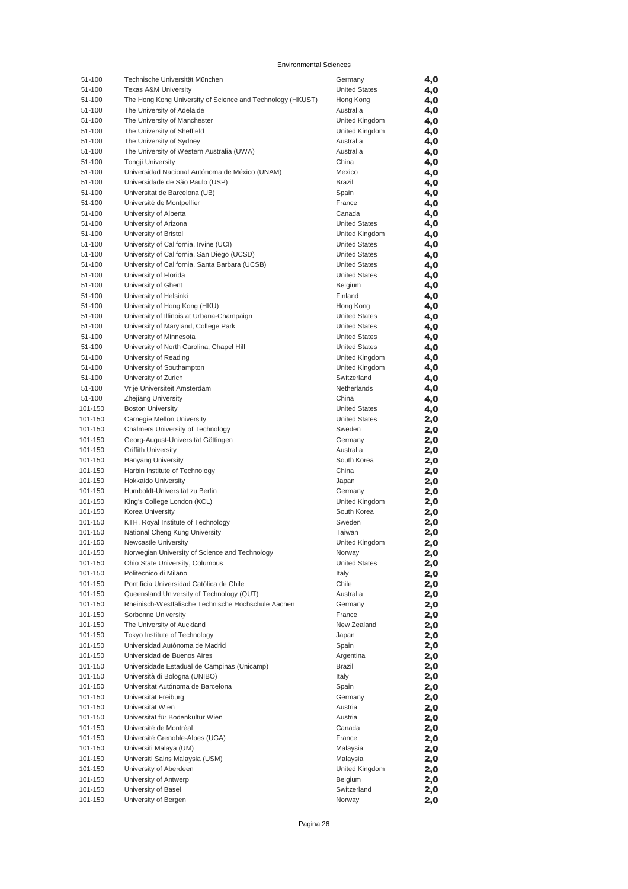| 51-100            | Technische Universität München                             | Germany              | 4,0        |
|-------------------|------------------------------------------------------------|----------------------|------------|
| 51-100            | <b>Texas A&amp;M University</b>                            | <b>United States</b> | 4,0        |
| 51-100            | The Hong Kong University of Science and Technology (HKUST) | Hong Kong            | 4,0        |
| 51-100            | The University of Adelaide                                 | Australia            | 4,0        |
| 51-100            | The University of Manchester                               | United Kingdom       | 4,0        |
| 51-100            | The University of Sheffield                                | United Kingdom       | 4,0        |
| 51-100            | The University of Sydney                                   | Australia            | 4,0        |
| 51-100            | The University of Western Australia (UWA)                  | Australia            | 4,0        |
| 51-100            | <b>Tongji University</b>                                   | China                | 4,0        |
| 51-100            | Universidad Nacional Autónoma de México (UNAM)             | Mexico               | 4,0        |
| 51-100            | Universidade de São Paulo (USP)                            | Brazil               | 4,0        |
| 51-100            | Universitat de Barcelona (UB)                              | Spain                | 4,0        |
| 51-100            | Université de Montpellier                                  | France               | 4,0        |
| 51-100            | University of Alberta                                      | Canada               | 4,0        |
| 51-100            | University of Arizona                                      | <b>United States</b> | 4,0        |
| 51-100            | University of Bristol                                      | United Kingdom       | 4,0        |
| 51-100            | University of California, Irvine (UCI)                     | <b>United States</b> | 4,0        |
| 51-100            | University of California, San Diego (UCSD)                 | <b>United States</b> | 4,0        |
| 51-100            | University of California, Santa Barbara (UCSB)             | <b>United States</b> | 4,0        |
| 51-100            | University of Florida                                      | <b>United States</b> | 4,0        |
| 51-100            | University of Ghent                                        | Belgium              | 4,0        |
| 51-100            | University of Helsinki                                     | Finland              | 4,0        |
| 51-100            | University of Hong Kong (HKU)                              | Hong Kong            | 4,0        |
| 51-100            | University of Illinois at Urbana-Champaign                 | <b>United States</b> | 4,0        |
| 51-100            | University of Maryland, College Park                       | <b>United States</b> | 4,0        |
| 51-100            | University of Minnesota                                    | <b>United States</b> | 4,0        |
| 51-100            | University of North Carolina, Chapel Hill                  | <b>United States</b> | 4,0        |
| 51-100<br>51-100  | University of Reading                                      | United Kingdom       | 4,0        |
|                   | University of Southampton                                  | United Kingdom       | 4,0        |
| 51-100            | University of Zurich                                       | Switzerland          | 4,0        |
| 51-100            | Vrije Universiteit Amsterdam                               | Netherlands<br>China | 4,0        |
| 51-100<br>101-150 | Zhejiang University<br><b>Boston University</b>            | <b>United States</b> | 4,0        |
| 101-150           | Carnegie Mellon University                                 | <b>United States</b> | 4,0        |
| 101-150           | Chalmers University of Technology                          | Sweden               | 2,0        |
| 101-150           | Georg-August-Universität Göttingen                         | Germany              | 2,0<br>2,0 |
| 101-150           | <b>Griffith University</b>                                 | Australia            | 2,0        |
| 101-150           | Hanyang University                                         | South Korea          | 2,0        |
| 101-150           | Harbin Institute of Technology                             | China                | 2,0        |
| 101-150           | <b>Hokkaido University</b>                                 | Japan                | 2,0        |
| 101-150           | Humboldt-Universität zu Berlin                             | Germany              | 2,0        |
| 101-150           | King's College London (KCL)                                | United Kingdom       | 2,0        |
| 101-150           | Korea University                                           | South Korea          | 2,0        |
| 101-150           | KTH, Royal Institute of Technology                         | Sweden               | 2,0        |
| 101-150           | National Cheng Kung University                             | Taiwan               | 2,0        |
| 101-150           | Newcastle University                                       | United Kingdom       | 2,0        |
| 101-150           | Norwegian University of Science and Technology             | Norway               | 2,0        |
| 101-150           | Ohio State University, Columbus                            | <b>United States</b> | 2,0        |
| 101-150           | Politecnico di Milano                                      | Italy                | 2,0        |
| 101-150           | Pontificia Universidad Católica de Chile                   | Chile                | 2,0        |
| 101-150           | Queensland University of Technology (QUT)                  | Australia            | 2,0        |
| 101-150           | Rheinisch-Westfälische Technische Hochschule Aachen        | Germany              | 2,0        |
| 101-150           | Sorbonne University                                        | France               | 2,0        |
| 101-150           | The University of Auckland                                 | New Zealand          | 2,0        |
| 101-150           | Tokyo Institute of Technology                              | Japan                | 2,0        |
| 101-150           | Universidad Autónoma de Madrid                             | Spain                | 2,0        |
| 101-150           | Universidad de Buenos Aires                                | Argentina            | 2,0        |
| 101-150           | Universidade Estadual de Campinas (Unicamp)                | Brazil               | 2,0        |
| 101-150           | Università di Bologna (UNIBO)                              | Italy                | 2,0        |
| 101-150           | Universitat Autónoma de Barcelona                          | Spain                | 2,0        |
| 101-150           | Universität Freiburg                                       | Germany              | 2,0        |
| 101-150           | Universität Wien                                           | Austria              | 2,0        |
| 101-150           | Universität für Bodenkultur Wien                           | Austria              | 2,0        |
| 101-150           | Université de Montréal                                     | Canada               | 2,0        |
| 101-150           | Université Grenoble-Alpes (UGA)                            | France               | 2,0        |
| 101-150           | Universiti Malaya (UM)                                     | Malaysia             | 2,0        |
| 101-150           | Universiti Sains Malaysia (USM)                            | Malaysia             | 2,0        |
| 101-150           | University of Aberdeen                                     | United Kingdom       | 2,0        |
| 101-150           | University of Antwerp                                      | Belgium              | 2,0        |
| 101-150           | University of Basel                                        | Switzerland          | 2,0        |
| 101-150           | University of Bergen                                       | Norway               | 2,0        |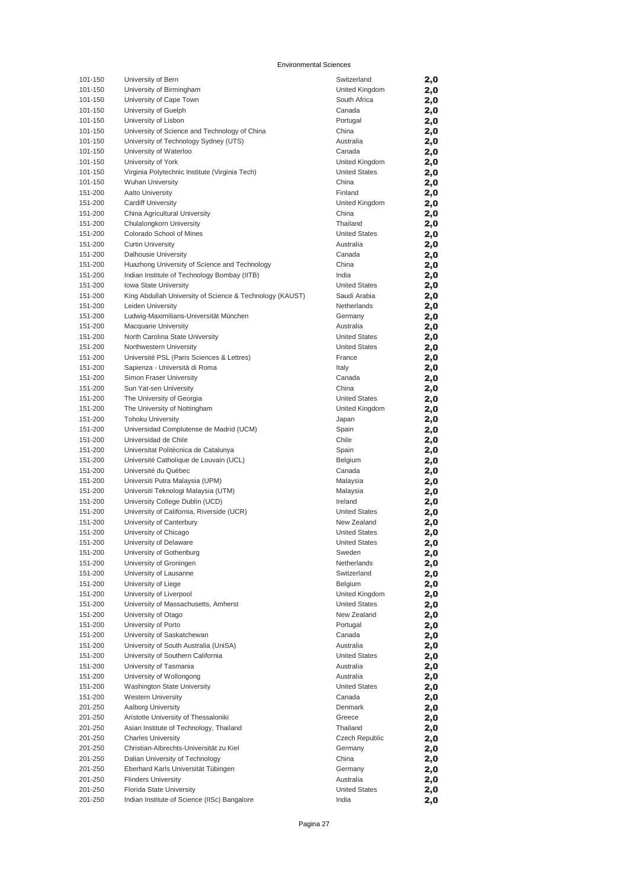| 101-150            | University of Bern                                                              | Switzerland          | 2,0        |
|--------------------|---------------------------------------------------------------------------------|----------------------|------------|
| 101-150            | University of Birmingham                                                        | United Kingdom       | 2,0        |
| 101-150            | University of Cape Town                                                         | South Africa         | 2,0        |
| 101-150            | University of Guelph                                                            | Canada               | 2,0        |
| 101-150            | University of Lisbon                                                            | Portugal             | 2,0        |
| 101-150            | University of Science and Technology of China                                   | China                | 2,0        |
| 101-150            | University of Technology Sydney (UTS)                                           | Australia            | 2,0        |
| 101-150            | University of Waterloo                                                          | Canada               | 2,0        |
| 101-150            | University of York                                                              | United Kingdom       | 2,0        |
| 101-150            | Virginia Polytechnic Institute (Virginia Tech)                                  | <b>United States</b> | 2,0        |
| 101-150            | <b>Wuhan University</b>                                                         | China                | 2,0        |
| 151-200            | <b>Aalto University</b>                                                         | Finland              | 2,0        |
| 151-200            | <b>Cardiff University</b>                                                       | United Kingdom       | 2,0        |
| 151-200            | China Agricultural University                                                   | China<br>Thailand    | 2,0        |
| 151-200<br>151-200 | Chulalongkorn University<br>Colorado School of Mines                            | <b>United States</b> | 2,0        |
| 151-200            | <b>Curtin University</b>                                                        | Australia            | 2,0<br>2,0 |
| 151-200            | Dalhousie University                                                            | Canada               | 2,0        |
| 151-200            | Huazhong University of Science and Technology                                   | China                | 2,0        |
| 151-200            | Indian Institute of Technology Bombay (IITB)                                    | India                | 2,0        |
| 151-200            | Iowa State University                                                           | <b>United States</b> | 2,0        |
| 151-200            | King Abdullah University of Science & Technology (KAUST)                        | Saudi Arabia         | 2,0        |
| 151-200            | Leiden University                                                               | Netherlands          | 2,0        |
| 151-200            | Ludwig-Maximilians-Universität München                                          | Germany              | 2,0        |
| 151-200            | <b>Macquarie University</b>                                                     | Australia            | 2,0        |
| 151-200            | North Carolina State University                                                 | <b>United States</b> | 2,0        |
| 151-200            | Northwestern University                                                         | <b>United States</b> | 2,0        |
| 151-200            | Université PSL (Paris Sciences & Lettres)                                       | France               | 2,0        |
| 151-200            | Sapienza - Università di Roma                                                   | Italy                | 2,0        |
| 151-200            | Simon Fraser University                                                         | Canada               | 2,0        |
| 151-200            | Sun Yat-sen University                                                          | China                | 2,0        |
| 151-200            | The University of Georgia                                                       | <b>United States</b> | 2,0        |
| 151-200            | The University of Nottingham                                                    | United Kingdom       | 2,0        |
| 151-200            | <b>Tohoku University</b>                                                        | Japan                | 2,0        |
| 151-200            | Universidad Complutense de Madrid (UCM)                                         | Spain                | 2,0        |
| 151-200            | Universidad de Chile                                                            | Chile                | 2,0        |
| 151-200            | Universitat Politècnica de Catalunya                                            | Spain                | 2,0        |
| 151-200            | Université Catholique de Louvain (UCL)                                          | Belgium              | 2,0        |
| 151-200<br>151-200 | Université du Québec                                                            | Canada               | 2,0        |
| 151-200            | Universiti Putra Malaysia (UPM)<br>Universiti Teknologi Malaysia (UTM)          | Malaysia<br>Malaysia | 2,0<br>2,0 |
| 151-200            | University College Dublin (UCD)                                                 | Ireland              | 2,0        |
| 151-200            | University of California, Riverside (UCR)                                       | <b>United States</b> | 2,0        |
| 151-200            | University of Canterbury                                                        | New Zealand          | 2,0        |
| 151-200            | University of Chicago                                                           | <b>United States</b> | 2,0        |
| 151-200            | University of Delaware                                                          | <b>United States</b> | 2,0        |
| 151-200            | University of Gothenburg                                                        | Sweden               | 2,0        |
| 151-200            | University of Groningen                                                         | Netherlands          | 2,0        |
| 151-200            | University of Lausanne                                                          | Switzerland          | 2,0        |
| 151-200            | University of Liege                                                             | Belgium              | 2,0        |
| 151-200            | University of Liverpool                                                         | United Kingdom       | 2,0        |
| 151-200            | University of Massachusetts, Amherst                                            | <b>United States</b> | 2,0        |
| 151-200            | University of Otago                                                             | New Zealand          | 2,0        |
| 151-200            | University of Porto                                                             | Portugal             | 2,0        |
| 151-200            | University of Saskatchewan                                                      | Canada               | 2,0        |
| 151-200            | University of South Australia (UniSA)                                           | Australia            | 2,0        |
| 151-200            | University of Southern California                                               | <b>United States</b> | 2,0        |
| 151-200            | University of Tasmania                                                          | Australia            | 2,0        |
| 151-200            | University of Wollongong                                                        | Australia            | 2,0        |
| 151-200            | Washington State University                                                     | <b>United States</b> | 2,0        |
| 151-200            | <b>Western University</b>                                                       | Canada               | 2,0        |
| 201-250            | Aalborg University                                                              | Denmark              | 2,0        |
| 201-250<br>201-250 | Aristotle University of Thessaloniki<br>Asian Institute of Technology, Thailand | Greece<br>Thailand   | 2,0        |
| 201-250            | <b>Charles University</b>                                                       | Czech Republic       | 2,0<br>2,0 |
| 201-250            | Christian-Albrechts-Universität zu Kiel                                         | Germany              | 2,0        |
| 201-250            | Dalian University of Technology                                                 | China                | 2,0        |
| 201-250            | Eberhard Karls Universität Tübingen                                             | Germany              | 2,0        |
| 201-250            | <b>Flinders University</b>                                                      | Australia            | 2,0        |
| 201-250            | Florida State University                                                        | <b>United States</b> | 2,0        |
| 201-250            | Indian Institute of Science (IISc) Bangalore                                    | India                | 2,0        |
|                    |                                                                                 |                      |            |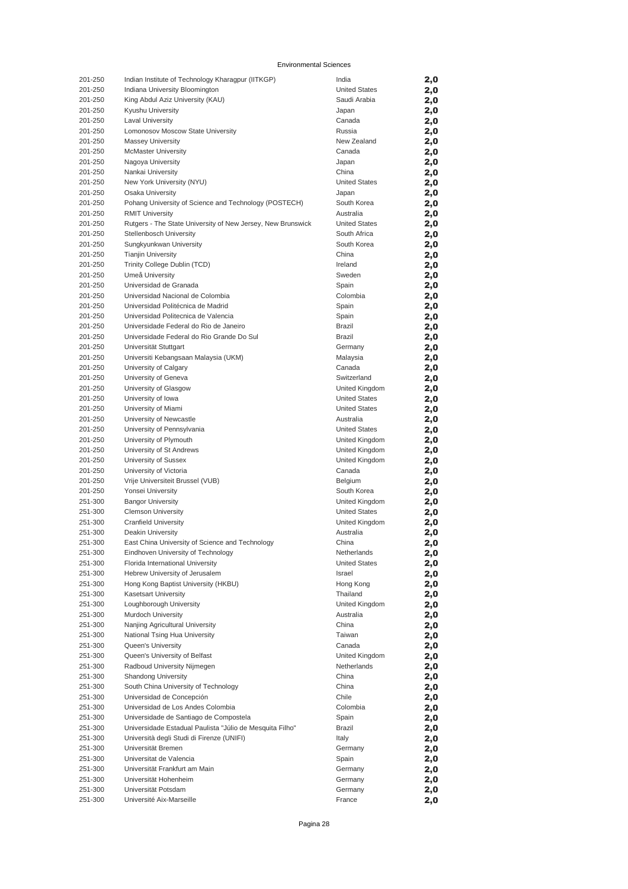| 201-250            | Indian Institute of Technology Kharagpur (IITKGP)                                     | India                               | 2,0        |
|--------------------|---------------------------------------------------------------------------------------|-------------------------------------|------------|
| 201-250            | Indiana University Bloomington                                                        | <b>United States</b>                | 2,0        |
| 201-250            | King Abdul Aziz University (KAU)                                                      | Saudi Arabia                        | 2,0        |
| 201-250            | Kyushu University                                                                     | Japan                               | 2,0        |
| 201-250            | <b>Laval University</b>                                                               | Canada<br>Russia                    | 2,0        |
| 201-250<br>201-250 | Lomonosov Moscow State University                                                     | New Zealand                         | 2,0        |
| 201-250            | <b>Massey University</b><br><b>McMaster University</b>                                | Canada                              | 2,0<br>2,0 |
| 201-250            | Nagoya University                                                                     | Japan                               | 2,0        |
| 201-250            | Nankai University                                                                     | China                               | 2,0        |
| 201-250            | New York University (NYU)                                                             | <b>United States</b>                | 2,0        |
| 201-250            | <b>Osaka University</b>                                                               | Japan                               | 2,0        |
| 201-250            | Pohang University of Science and Technology (POSTECH)                                 | South Korea                         | 2,0        |
| 201-250            | <b>RMIT University</b>                                                                | Australia                           | 2,0        |
| 201-250            | Rutgers - The State University of New Jersey, New Brunswick                           | <b>United States</b>                | 2,0        |
| 201-250            | Stellenbosch University                                                               | South Africa                        | 2,0        |
| 201-250            | Sungkyunkwan University                                                               | South Korea                         | 2,0        |
| 201-250            | <b>Tianjin University</b>                                                             | China                               | 2,0        |
| 201-250            | Trinity College Dublin (TCD)                                                          | Ireland                             | 2,0        |
| 201-250            | Umeå University                                                                       | Sweden                              | 2,0        |
| 201-250            | Universidad de Granada                                                                | Spain                               | 2,0        |
| 201-250            | Universidad Nacional de Colombia                                                      | Colombia                            | 2,0        |
| 201-250            | Universidad Politécnica de Madrid                                                     | Spain                               | 2,0        |
| 201-250            | Universidad Politecnica de Valencia                                                   | Spain                               | 2,0        |
| 201-250            | Universidade Federal do Rio de Janeiro                                                | <b>Brazil</b>                       | 2,0        |
| 201-250<br>201-250 | Universidade Federal do Rio Grande Do Sul<br>Universität Stuttgart                    | Brazil                              | 2,0        |
| 201-250            | Universiti Kebangsaan Malaysia (UKM)                                                  | Germany<br>Malaysia                 | 2,0<br>2,0 |
| 201-250            | University of Calgary                                                                 | Canada                              | 2,0        |
| 201-250            | University of Geneva                                                                  | Switzerland                         | 2,0        |
| 201-250            | University of Glasgow                                                                 | United Kingdom                      | 2,0        |
| 201-250            | University of Iowa                                                                    | <b>United States</b>                | 2,0        |
| 201-250            | University of Miami                                                                   | <b>United States</b>                | 2,0        |
| 201-250            | University of Newcastle                                                               | Australia                           | 2,0        |
| 201-250            | University of Pennsylvania                                                            | <b>United States</b>                | 2,0        |
| 201-250            | University of Plymouth                                                                | United Kingdom                      | 2,0        |
| 201-250            | University of St Andrews                                                              | United Kingdom                      | 2,0        |
| 201-250            | University of Sussex                                                                  | United Kingdom                      | 2,0        |
| 201-250            | University of Victoria                                                                | Canada                              | 2,0        |
| 201-250            | Vrije Universiteit Brussel (VUB)                                                      | Belgium                             | 2,0        |
| 201-250            | Yonsei University                                                                     | South Korea                         | 2,0        |
| 251-300            | <b>Bangor University</b>                                                              | United Kingdom                      | 2,0        |
| 251-300            | <b>Clemson University</b>                                                             | <b>United States</b>                | 2,0        |
| 251-300            | <b>Cranfield University</b>                                                           | United Kingdom                      | 2,0        |
| 251-300            | Deakin University                                                                     | Australia                           | 2,0        |
| 251-300            | East China University of Science and Technology<br>Eindhoven University of Technology | China                               | 2,0        |
| 251-300<br>251-300 | Florida International University                                                      | Netherlands<br><b>United States</b> | 2,0<br>2,0 |
| 251-300            | Hebrew University of Jerusalem                                                        | Israel                              | 2,0        |
| 251-300            | Hong Kong Baptist University (HKBU)                                                   | Hong Kong                           | 2,0        |
| 251-300            | <b>Kasetsart University</b>                                                           | Thailand                            | 2,0        |
| 251-300            | Loughborough University                                                               | United Kingdom                      | 2,0        |
| 251-300            | Murdoch University                                                                    | Australia                           | 2,0        |
| 251-300            | Nanjing Agricultural University                                                       | China                               | 2,0        |
| 251-300            | National Tsing Hua University                                                         | Taiwan                              | 2,0        |
| 251-300            | <b>Queen's University</b>                                                             | Canada                              | 2,0        |
| 251-300            | Queen's University of Belfast                                                         | United Kingdom                      | 2,0        |
| 251-300            | Radboud University Nijmegen                                                           | Netherlands                         | 2,0        |
| 251-300            | <b>Shandong University</b>                                                            | China                               | 2,0        |
| 251-300            | South China University of Technology                                                  | China                               | 2,0        |
| 251-300            | Universidad de Concepción                                                             | Chile                               | 2,0        |
| 251-300            | Universidad de Los Andes Colombia                                                     | Colombia                            | 2,0        |
| 251-300            | Universidade de Santiago de Compostela                                                | Spain                               | 2,0        |
| 251-300            | Universidade Estadual Paulista "Júlio de Mesquita Filho"                              | Brazil                              | 2,0        |
| 251-300            | Università degli Studi di Firenze (UNIFI)                                             | Italy                               | 2,0        |
| 251-300            | Universität Bremen<br>Universitat de Valencia                                         | Germany                             | 2,0        |
| 251-300<br>251-300 | Universität Frankfurt am Main                                                         | Spain<br>Germany                    | 2,0<br>2,0 |
| 251-300            | Universität Hohenheim                                                                 | Germany                             | 2,0        |
| 251-300            | Universität Potsdam                                                                   | Germany                             | 2,0        |
| 251-300            | Université Aix-Marseille                                                              | France                              | 2,0        |
|                    |                                                                                       |                                     |            |

Pagina 28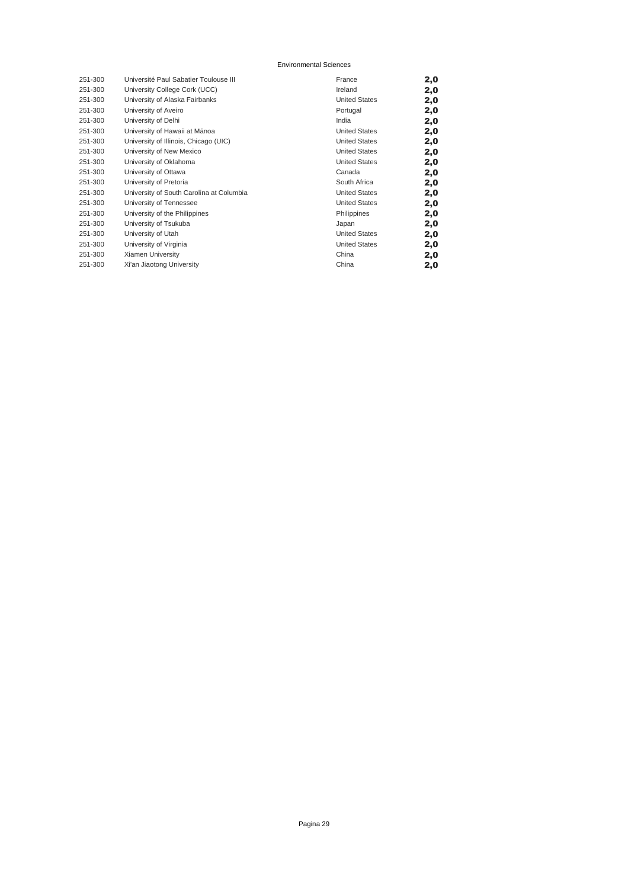| 251-300 | Université Paul Sabatier Toulouse III    | France               | 2,0 |
|---------|------------------------------------------|----------------------|-----|
| 251-300 | University College Cork (UCC)            | Ireland              | 2,0 |
| 251-300 | University of Alaska Fairbanks           | <b>United States</b> | 2,0 |
| 251-300 | University of Aveiro                     | Portugal             | 2,0 |
| 251-300 | University of Delhi                      | India                | 2,0 |
| 251-300 | University of Hawaii at Mānoa            | <b>United States</b> | 2,0 |
| 251-300 | University of Illinois, Chicago (UIC)    | <b>United States</b> | 2,0 |
| 251-300 | University of New Mexico                 | <b>United States</b> | 2,0 |
| 251-300 | University of Oklahoma                   | <b>United States</b> | 2,0 |
| 251-300 | University of Ottawa                     | Canada               | 2,0 |
| 251-300 | University of Pretoria                   | South Africa         | 2,0 |
| 251-300 | University of South Carolina at Columbia | <b>United States</b> | 2,0 |
| 251-300 | University of Tennessee                  | <b>United States</b> | 2,0 |
| 251-300 | University of the Philippines            | Philippines          | 2,0 |
| 251-300 | University of Tsukuba                    | Japan                | 2,0 |
| 251-300 | University of Utah                       | <b>United States</b> | 2,0 |
| 251-300 | University of Virginia                   | <b>United States</b> | 2,0 |
| 251-300 | Xiamen University                        | China                | 2,0 |
| 251-300 | Xi'an Jiaotong University                | China                | 2,0 |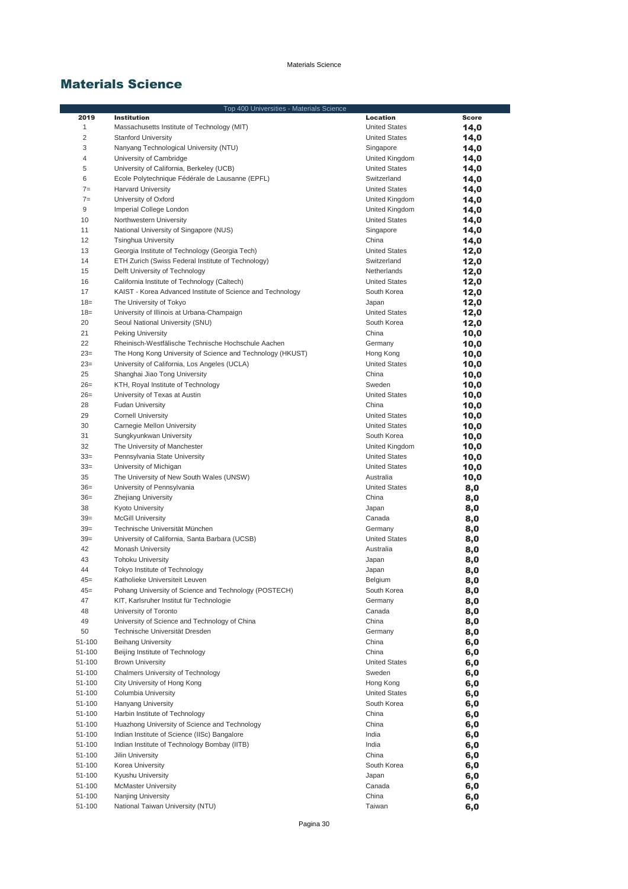|                  | Top 400 Universities - Materials Science                   |                                        |              |
|------------------|------------------------------------------------------------|----------------------------------------|--------------|
| 2019             | <b>Institution</b>                                         | Location                               | <b>Score</b> |
| 1                | Massachusetts Institute of Technology (MIT)                | <b>United States</b>                   | 14,0         |
| $\overline{c}$   | <b>Stanford University</b>                                 | <b>United States</b>                   | 14,0         |
| 3                | Nanyang Technological University (NTU)                     | Singapore                              | 14,0         |
| 4                | University of Cambridge                                    | United Kingdom                         | 14,0         |
| 5                | University of California, Berkeley (UCB)                   | <b>United States</b>                   | 14,0         |
| 6                | Ecole Polytechnique Fédérale de Lausanne (EPFL)            | Switzerland                            | 14,0         |
| $7=$             | <b>Harvard University</b>                                  | <b>United States</b>                   | 14,0         |
| $7=$             | University of Oxford                                       | United Kingdom                         | 14,0         |
| 9                | Imperial College London                                    | United Kingdom                         | 14,0         |
| 10               | Northwestern University                                    | <b>United States</b>                   | 14,0         |
| 11               | National University of Singapore (NUS)                     | Singapore                              | 14,0         |
| 12               | <b>Tsinghua University</b>                                 | China                                  | 14,0         |
| 13               | Georgia Institute of Technology (Georgia Tech)             | <b>United States</b>                   | 12,0         |
| 14               | ETH Zurich (Swiss Federal Institute of Technology)         | Switzerland                            | 12,0         |
| 15               | Delft University of Technology                             | Netherlands                            | 12,0         |
| 16               | California Institute of Technology (Caltech)               | <b>United States</b>                   | 12,0         |
| 17               | KAIST - Korea Advanced Institute of Science and Technology | South Korea                            | 12,0         |
| $18 =$           | The University of Tokyo                                    | Japan                                  | 12,0         |
| $18=$            | University of Illinois at Urbana-Champaign                 | <b>United States</b>                   | 12,0         |
| 20               | Seoul National University (SNU)                            | South Korea                            | 12,0         |
| 21               | Peking University                                          | China                                  | 10,0         |
| 22               | Rheinisch-Westfälische Technische Hochschule Aachen        | Germany                                | 10,0         |
| $23=$            | The Hong Kong University of Science and Technology (HKUST) | Hong Kong                              | 10,0         |
| $23=$            | University of California, Los Angeles (UCLA)               | <b>United States</b>                   | 10,0         |
| 25               | Shanghai Jiao Tong University                              | China                                  | 10,0         |
| $26=$            | KTH, Royal Institute of Technology                         | Sweden                                 | 10,0         |
| $26=$            | University of Texas at Austin                              | <b>United States</b>                   | 10,0         |
| 28               | <b>Fudan University</b>                                    | China                                  | 10,0         |
| 29               | <b>Cornell University</b>                                  | <b>United States</b>                   | 10,0         |
| 30               | Carnegie Mellon University                                 | <b>United States</b>                   | 10,0         |
| 31               | Sungkyunkwan University                                    | South Korea                            | 10,0         |
| 32<br>$33=$      | The University of Manchester                               | United Kingdom<br><b>United States</b> | 10,0         |
| $33=$            | Pennsylvania State University<br>University of Michigan    | <b>United States</b>                   | 10,0         |
| 35               | The University of New South Wales (UNSW)                   | Australia                              | 10,0<br>10,0 |
| $36=$            | University of Pennsylvania                                 | <b>United States</b>                   | 8,0          |
| $36=$            | Zhejiang University                                        | China                                  | 8,0          |
| 38               | <b>Kyoto University</b>                                    | Japan                                  | 8,0          |
| $39=$            | <b>McGill University</b>                                   | Canada                                 | 8,0          |
| $39=$            | Technische Universität München                             | Germany                                | 8,0          |
| $39=$            | University of California, Santa Barbara (UCSB)             | <b>United States</b>                   | 8,0          |
| 42               | Monash University                                          | Australia                              | 8,0          |
| 43               | <b>Tohoku University</b>                                   | Japan                                  | 8,0          |
| 44               | Tokyo Institute of Technology                              | Japan                                  | 8,0          |
| 45=              | Katholieke Universiteit Leuven                             | Belgium                                | 8,0          |
| $45=$            | Pohang University of Science and Technology (POSTECH)      | South Korea                            | 8,0          |
| 47               | KIT, Karlsruher Institut für Technologie                   | Germany                                | 8,0          |
| 48               | University of Toronto                                      | Canada                                 | 8,0          |
| 49               | University of Science and Technology of China              | China                                  | 8,0          |
| 50               | Technische Universität Dresden                             | Germany                                | 8,0          |
| 51-100           | <b>Beihang University</b>                                  | China                                  | 6,0          |
| 51-100           | Beijing Institute of Technology                            | China                                  | 6,0          |
| 51-100           | <b>Brown University</b>                                    | <b>United States</b>                   | 6,0          |
| 51-100           | Chalmers University of Technology                          | Sweden                                 | 6,0          |
| 51-100<br>51-100 | City University of Hong Kong<br>Columbia University        | Hong Kong                              | 6,0          |
| 51-100           | <b>Hanyang University</b>                                  | <b>United States</b><br>South Korea    | 6,0          |
| 51-100           | Harbin Institute of Technology                             | China                                  | 6,0<br>6,0   |
| 51-100           | Huazhong University of Science and Technology              | China                                  | 6,0          |
| 51-100           | Indian Institute of Science (IISc) Bangalore               | India                                  | 6,0          |
| 51-100           | Indian Institute of Technology Bombay (IITB)               | India                                  | 6,0          |
| 51-100           | Jilin University                                           | China                                  | 6,0          |
| 51-100           | Korea University                                           | South Korea                            | 6,0          |
| 51-100           | Kyushu University                                          | Japan                                  | 6,0          |
| 51-100           | <b>McMaster University</b>                                 | Canada                                 | 6,0          |
| 51-100           | Nanjing University                                         | China                                  | 6,0          |
| 51-100           | National Taiwan University (NTU)                           | Taiwan                                 | 6,0          |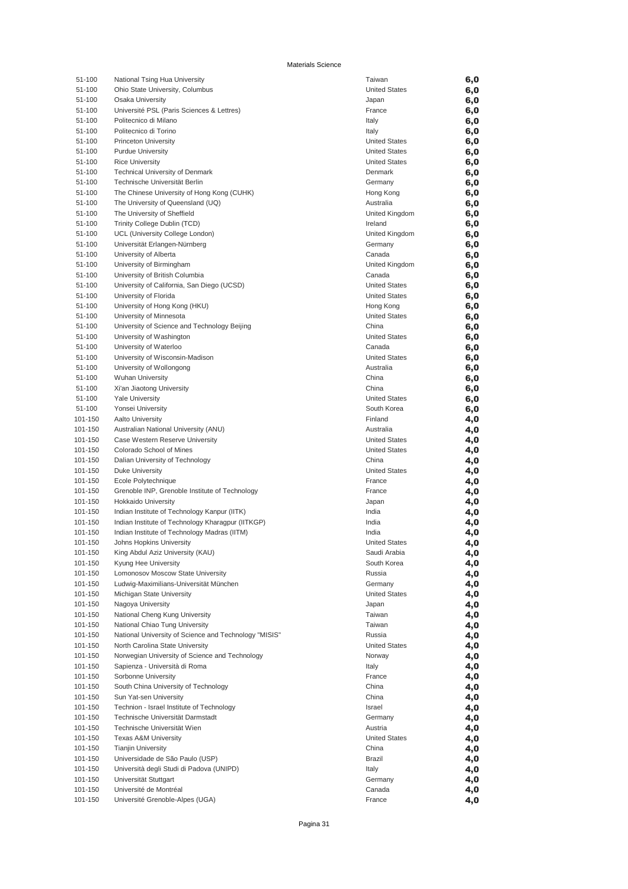| 51-100  | National Tsing Hua University                         | Taiwan               | 6,0 |
|---------|-------------------------------------------------------|----------------------|-----|
| 51-100  | Ohio State University, Columbus                       | <b>United States</b> | 6,0 |
| 51-100  | Osaka University                                      | Japan                | 6,0 |
| 51-100  | Université PSL (Paris Sciences & Lettres)             | France               | 6,0 |
| 51-100  | Politecnico di Milano                                 | Italy                | 6,0 |
| 51-100  | Politecnico di Torino                                 | Italy                | 6,0 |
| 51-100  | <b>Princeton University</b>                           | <b>United States</b> | 6,0 |
| 51-100  | <b>Purdue University</b>                              | <b>United States</b> | 6,0 |
| 51-100  | <b>Rice University</b>                                | <b>United States</b> | 6,0 |
| 51-100  | Technical University of Denmark                       | Denmark              | 6,0 |
| 51-100  | Technische Universität Berlin                         | Germany              | 6,0 |
| 51-100  | The Chinese University of Hong Kong (CUHK)            | Hong Kong            | 6,0 |
| 51-100  | The University of Queensland (UQ)                     | Australia            | 6,0 |
| 51-100  | The University of Sheffield                           | United Kingdom       | 6,0 |
| 51-100  | Trinity College Dublin (TCD)                          | Ireland              | 6,0 |
| 51-100  | UCL (University College London)                       | United Kingdom       | 6,0 |
| 51-100  | Universität Erlangen-Nürnberg                         | Germany              | 6,0 |
| 51-100  | University of Alberta                                 | Canada               | 6,0 |
| 51-100  | University of Birmingham                              | United Kingdom       | 6,0 |
| 51-100  | University of British Columbia                        | Canada               | 6,0 |
| 51-100  | University of California, San Diego (UCSD)            | <b>United States</b> | 6,0 |
| 51-100  | University of Florida                                 | <b>United States</b> | 6,0 |
| 51-100  | University of Hong Kong (HKU)                         | Hong Kong            | 6,0 |
| 51-100  | University of Minnesota                               | <b>United States</b> | 6,0 |
| 51-100  | University of Science and Technology Beijing          | China                | 6,0 |
| 51-100  | University of Washington                              | <b>United States</b> | 6,0 |
| 51-100  | University of Waterloo                                | Canada               | 6,0 |
| 51-100  | University of Wisconsin-Madison                       | <b>United States</b> | 6,0 |
| 51-100  | University of Wollongong                              | Australia            | 6,0 |
| 51-100  | <b>Wuhan University</b>                               | China                | 6,0 |
| 51-100  | Xi'an Jiaotong University                             | China                | 6,0 |
| 51-100  | <b>Yale University</b>                                | <b>United States</b> | 6,0 |
| 51-100  | Yonsei University                                     | South Korea          | 6,0 |
| 101-150 | Aalto University                                      | Finland              | 4,0 |
| 101-150 | Australian National University (ANU)                  | Australia            | 4,0 |
| 101-150 | Case Western Reserve University                       | <b>United States</b> | 4,0 |
| 101-150 | Colorado School of Mines                              | <b>United States</b> | 4,0 |
| 101-150 | Dalian University of Technology                       | China                | 4,0 |
| 101-150 | <b>Duke University</b>                                | <b>United States</b> | 4,0 |
| 101-150 | Ecole Polytechnique                                   | France               | 4,0 |
| 101-150 | Grenoble INP, Grenoble Institute of Technology        | France               | 4,0 |
| 101-150 | Hokkaido University                                   | Japan                | 4,0 |
| 101-150 | Indian Institute of Technology Kanpur (IITK)          | India                | 4,0 |
| 101-150 | Indian Institute of Technology Kharagpur (IITKGP)     | India                | 4,0 |
| 101-150 | Indian Institute of Technology Madras (IITM)          | India                | 4,0 |
| 101-150 | Johns Hopkins University                              | <b>United States</b> | 4,0 |
| 101-150 | King Abdul Aziz University (KAU)                      | Saudi Arabia         | 4,0 |
| 101-150 | Kyung Hee University                                  | South Korea          | 4,0 |
| 101-150 | Lomonosov Moscow State University                     | Russia               | 4,0 |
| 101-150 | Ludwig-Maximilians-Universität München                | Germany              | 4,0 |
| 101-150 | Michigan State University                             | <b>United States</b> | 4,0 |
| 101-150 | Nagoya University                                     | Japan                | 4,0 |
| 101-150 | National Cheng Kung University                        | Taiwan               | 4,0 |
| 101-150 | National Chiao Tung University                        | Taiwan               | 4,0 |
| 101-150 | National University of Science and Technology "MISIS" | Russia               | 4,0 |
| 101-150 | North Carolina State University                       | <b>United States</b> | 4,0 |
| 101-150 | Norwegian University of Science and Technology        | Norway               | 4,0 |
| 101-150 | Sapienza - Università di Roma                         | Italy                | 4,0 |
| 101-150 | Sorbonne University                                   | France               | 4,0 |
| 101-150 | South China University of Technology                  | China                | 4,0 |
| 101-150 | Sun Yat-sen University                                | China                | 4,0 |
| 101-150 | Technion - Israel Institute of Technology             | Israel               | 4,0 |
| 101-150 | Technische Universität Darmstadt                      | Germany              | 4,0 |
| 101-150 | Technische Universität Wien                           | Austria              | 4,0 |
| 101-150 | <b>Texas A&amp;M University</b>                       | <b>United States</b> | 4,0 |
| 101-150 | <b>Tianjin University</b>                             | China                | 4,0 |
| 101-150 | Universidade de São Paulo (USP)                       | <b>Brazil</b>        | 4,0 |
| 101-150 | Università degli Studi di Padova (UNIPD)              | Italy                | 4,0 |
| 101-150 | Universität Stuttgart                                 | Germany              | 4,0 |
| 101-150 | Université de Montréal                                | Canada               | 4,0 |
| 101-150 | Université Grenoble-Alpes (UGA)                       | France               | 4,0 |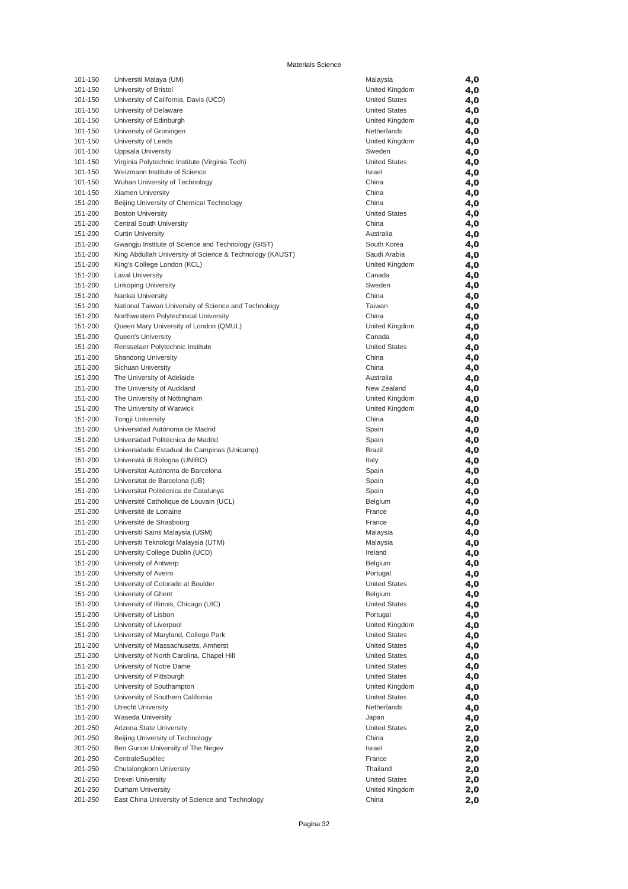| 101-150 | Universiti Malaya (UM)                                   | Malaysia             | 4,0 |
|---------|----------------------------------------------------------|----------------------|-----|
| 101-150 | University of Bristol                                    | United Kingdom       | 4,0 |
| 101-150 | University of California, Davis (UCD)                    | <b>United States</b> | 4,0 |
| 101-150 | University of Delaware                                   | <b>United States</b> | 4,0 |
| 101-150 | University of Edinburgh                                  | United Kingdom       | 4,0 |
| 101-150 | University of Groningen                                  | Netherlands          | 4,0 |
| 101-150 | University of Leeds                                      | United Kingdom       | 4,0 |
| 101-150 | Uppsala University                                       | Sweden               | 4,0 |
| 101-150 | Virginia Polytechnic Institute (Virginia Tech)           | <b>United States</b> | 4,0 |
|         |                                                          | Israel               |     |
| 101-150 | Weizmann Institute of Science                            |                      | 4,0 |
| 101-150 | Wuhan University of Technology                           | China                | 4,0 |
| 101-150 | Xiamen University                                        | China                | 4,0 |
| 151-200 | Beijing University of Chemical Technology                | China                | 4,0 |
| 151-200 | <b>Boston University</b>                                 | <b>United States</b> | 4,0 |
| 151-200 | Central South University                                 | China                | 4,0 |
| 151-200 | <b>Curtin University</b>                                 | Australia            | 4,0 |
| 151-200 | Gwangju Institute of Science and Technology (GIST)       | South Korea          | 4,0 |
| 151-200 | King Abdullah University of Science & Technology (KAUST) | Saudi Arabia         | 4,0 |
| 151-200 | King's College London (KCL)                              | United Kingdom       | 4,0 |
| 151-200 | Laval University                                         | Canada               | 4,0 |
| 151-200 | Linköping University                                     | Sweden               | 4,0 |
| 151-200 | Nankai University                                        | China                | 4,0 |
| 151-200 | National Taiwan University of Science and Technology     | Taiwan               | 4,0 |
| 151-200 | Northwestern Polytechnical University                    | China                | 4,0 |
| 151-200 | Queen Mary University of London (QMUL)                   | United Kingdom       | 4,0 |
|         | <b>Queen's University</b>                                |                      |     |
| 151-200 |                                                          | Canada               | 4,0 |
| 151-200 | Rensselaer Polytechnic Institute                         | <b>United States</b> | 4,0 |
| 151-200 | <b>Shandong University</b>                               | China                | 4,0 |
| 151-200 | Sichuan University                                       | China                | 4,0 |
| 151-200 | The University of Adelaide                               | Australia            | 4,0 |
| 151-200 | The University of Auckland                               | New Zealand          | 4,0 |
| 151-200 | The University of Nottingham                             | United Kingdom       | 4,0 |
| 151-200 | The University of Warwick                                | United Kingdom       | 4,0 |
| 151-200 | <b>Tongji University</b>                                 | China                | 4,0 |
| 151-200 | Universidad Autónoma de Madrid                           | Spain                | 4,0 |
| 151-200 | Universidad Politécnica de Madrid                        | Spain                | 4,0 |
| 151-200 | Universidade Estadual de Campinas (Unicamp)              | Brazil               | 4,0 |
| 151-200 | Università di Bologna (UNIBO)                            | Italy                | 4,0 |
| 151-200 | Universitat Autónoma de Barcelona                        | Spain                | 4,0 |
| 151-200 | Universitat de Barcelona (UB)                            | Spain                | 4,0 |
| 151-200 | Universitat Politècnica de Catalunya                     | Spain                | 4,0 |
| 151-200 | Université Catholique de Louvain (UCL)                   | Belgium              | 4,0 |
| 151-200 | Université de Lorraine                                   | France               | 4,0 |
| 151-200 | Université de Strasbourg                                 | France               | 4,0 |
| 151-200 |                                                          |                      |     |
|         | Universiti Sains Malaysia (USM)                          | Malaysia             | 4,0 |
| 151-200 | Universiti Teknologi Malaysia (UTM)                      | Malaysia             | 4,0 |
| 151-200 | University College Dublin (UCD)                          | Ireland              | 4,0 |
| 151-200 | University of Antwerp                                    | Belgium              | 4,0 |
| 151-200 | University of Aveiro                                     | Portugal             | 4,0 |
| 151-200 | University of Colorado at Boulder                        | <b>United States</b> | 4,0 |
| 151-200 | University of Ghent                                      | Belgium              | 4,0 |
| 151-200 | University of Illinois, Chicago (UIC)                    | <b>United States</b> | 4,0 |
| 151-200 | University of Lisbon                                     | Portugal             | 4,0 |
| 151-200 | University of Liverpool                                  | United Kingdom       | 4,0 |
| 151-200 | University of Maryland, College Park                     | <b>United States</b> | 4,0 |
| 151-200 | University of Massachusetts, Amherst                     | <b>United States</b> | 4,0 |
| 151-200 | University of North Carolina, Chapel Hill                | <b>United States</b> | 4,0 |
| 151-200 | University of Notre Dame                                 | <b>United States</b> | 4,0 |
| 151-200 | University of Pittsburgh                                 | <b>United States</b> | 4,0 |
| 151-200 | University of Southampton                                | United Kingdom       | 4,0 |
| 151-200 | University of Southern California                        | <b>United States</b> | 4,0 |
| 151-200 | Utrecht University                                       | Netherlands          | 4,0 |
| 151-200 | Waseda University                                        | Japan                | 4,0 |
| 201-250 | Arizona State University                                 | <b>United States</b> |     |
| 201-250 | Beijing University of Technology                         |                      | 2,0 |
|         |                                                          | China                | 2,0 |
| 201-250 | Ben Gurion University of The Negev                       | Israel               | 2,0 |
| 201-250 | CentraleSupélec                                          | France               | 2,0 |
| 201-250 | Chulalongkorn University                                 | Thailand             | 2,0 |
| 201-250 | <b>Drexel University</b>                                 | <b>United States</b> | 2,0 |
| 201-250 | Durham University                                        | United Kingdom       | 2,0 |
| 201-250 | East China University of Science and Technology          | China                | 2,0 |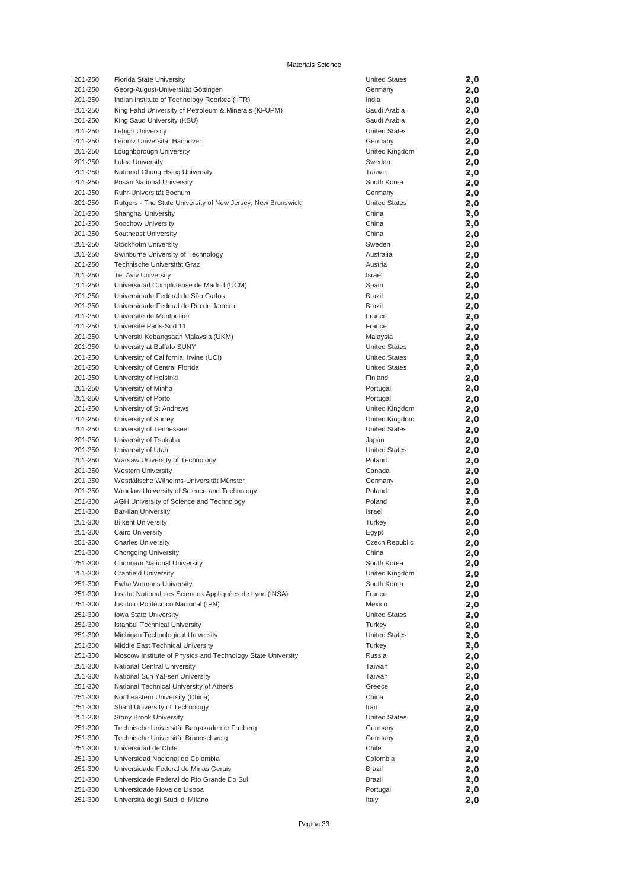| 201-250 | Florida State University                                    | <b>United States</b> | 2,0        |
|---------|-------------------------------------------------------------|----------------------|------------|
| 201-250 | Georg-August-Universität Göttingen                          | Germany              | 2,0        |
| 201-250 | Indian Institute of Technology Roorkee (IITR)               | India                | 2,0        |
| 201-250 | King Fahd University of Petroleum & Minerals (KFUPM)        | Saudi Arabia         | 2,0        |
| 201-250 | King Saud University (KSU)                                  | Saudi Arabia         | 2,0        |
| 201-250 | Lehigh University                                           | <b>United States</b> | 2,0        |
| 201-250 | Leibniz Universität Hannover                                | Germany              | 2,0        |
| 201-250 | Loughborough University                                     | United Kingdom       | 2,0        |
| 201-250 | <b>Lulea University</b>                                     | Sweden               | 2,0        |
| 201-250 | National Chung Hsing University                             | Taiwan               | 2,0        |
| 201-250 | <b>Pusan National University</b>                            | South Korea          | 2,0        |
| 201-250 | Ruhr-Universität Bochum                                     | Germany              | 2,0        |
| 201-250 | Rutgers - The State University of New Jersey, New Brunswick | <b>United States</b> | 2,0        |
| 201-250 | Shanghai University                                         | China                | 2,0        |
| 201-250 | Soochow University                                          | China                | 2,0        |
| 201-250 | Southeast University                                        | China                | 2,0        |
| 201-250 | Stockholm University                                        | Sweden               | 2,0        |
| 201-250 | Swinburne University of Technology                          | Australia            | 2,0        |
| 201-250 | Technische Universität Graz                                 | Austria              | 2,0        |
| 201-250 | <b>Tel Aviv University</b>                                  | Israel               | 2,0        |
| 201-250 | Universidad Complutense de Madrid (UCM)                     | Spain                | 2,0        |
| 201-250 | Universidade Federal de São Carlos                          | <b>Brazil</b>        | 2,0        |
| 201-250 | Universidade Federal do Rio de Janeiro                      | Brazil               | 2,0        |
| 201-250 | Université de Montpellier                                   | France               | 2,0        |
| 201-250 | Université Paris-Sud 11                                     | France               | 2,0        |
| 201-250 | Universiti Kebangsaan Malaysia (UKM)                        | Malaysia             | 2,0        |
| 201-250 | University at Buffalo SUNY                                  | <b>United States</b> | 2,0        |
| 201-250 | University of California, Irvine (UCI)                      | <b>United States</b> | 2,0        |
| 201-250 | University of Central Florida                               | <b>United States</b> | 2,0        |
| 201-250 | University of Helsinki                                      | Finland              | 2,0        |
| 201-250 | University of Minho                                         | Portugal             | 2,0        |
| 201-250 | University of Porto                                         | Portugal             | 2,0        |
| 201-250 | University of St Andrews                                    | United Kingdom       | 2,0        |
| 201-250 | University of Surrey                                        | United Kingdom       | 2,0        |
| 201-250 | University of Tennessee                                     | <b>United States</b> | 2,0        |
| 201-250 | University of Tsukuba                                       | Japan                | 2,0        |
| 201-250 | University of Utah                                          | <b>United States</b> | 2,0        |
| 201-250 | Warsaw University of Technology                             | Poland               | 2,0        |
| 201-250 | <b>Western University</b>                                   | Canada               | 2,0        |
| 201-250 | Westfälische Wilhelms-Universität Münster                   | Germany              | 2,0        |
| 201-250 | Wrocław University of Science and Technology                | Poland               | 2,0        |
| 251-300 | AGH University of Science and Technology                    | Poland               | 2,0        |
| 251-300 | <b>Bar-Ilan University</b>                                  | Israel               | 2,0        |
| 251-300 | <b>Bilkent University</b>                                   | Turkey               | 2,0        |
| 251-300 | <b>Cairo University</b>                                     | Egypt                | 2,0        |
| 251-300 | <b>Charles University</b>                                   | Czech Republic       | 2,0        |
| 251-300 |                                                             | China                | 2,0        |
| 251-300 | <b>Chongqing University</b><br>Chonnam National University  | South Korea          | 2,0        |
| 251-300 | Cranfield University                                        | United Kingdom       | 2,0        |
| 251-300 | Ewha Womans University                                      | South Korea          | 2,0        |
| 251-300 | Institut National des Sciences Appliquées de Lyon (INSA)    | France               | 2,0        |
| 251-300 | Instituto Politécnico Nacional (IPN)                        | Mexico               | 2,0        |
| 251-300 | Iowa State University                                       | <b>United States</b> |            |
| 251-300 | <b>Istanbul Technical University</b>                        | Turkey               | 2,0<br>2,0 |
| 251-300 | Michigan Technological University                           | <b>United States</b> |            |
| 251-300 | Middle East Technical University                            | Turkey               | 2,0        |
| 251-300 | Moscow Institute of Physics and Technology State University | Russia               | 2,0<br>2,0 |
| 251-300 | National Central University                                 | Taiwan               |            |
|         |                                                             |                      | 2,0        |
| 251-300 | National Sun Yat-sen University                             | Taiwan               | 2,0        |
| 251-300 | National Technical University of Athens                     | Greece               | 2,0        |
| 251-300 | Northeastern University (China)                             | China                | 2,0        |
| 251-300 | Sharif University of Technology                             | Iran                 | 2,0        |
| 251-300 | <b>Stony Brook University</b>                               | <b>United States</b> | 2,0        |
| 251-300 | Technische Universität Bergakademie Freiberg                | Germany              | 2,0        |
| 251-300 | Technische Universität Braunschweig                         | Germany              | 2,0        |
| 251-300 | Universidad de Chile                                        | Chile                | 2,0        |
| 251-300 | Universidad Nacional de Colombia                            | Colombia             | 2,0        |
| 251-300 | Universidade Federal de Minas Gerais                        | <b>Brazil</b>        | 2,0        |
| 251-300 | Universidade Federal do Rio Grande Do Sul                   | Brazil               | 2,0        |
| 251-300 | Universidade Nova de Lisboa                                 | Portugal             | 2,0        |
| 251-300 | Università degli Studi di Milano                            | Italy                | 2,0        |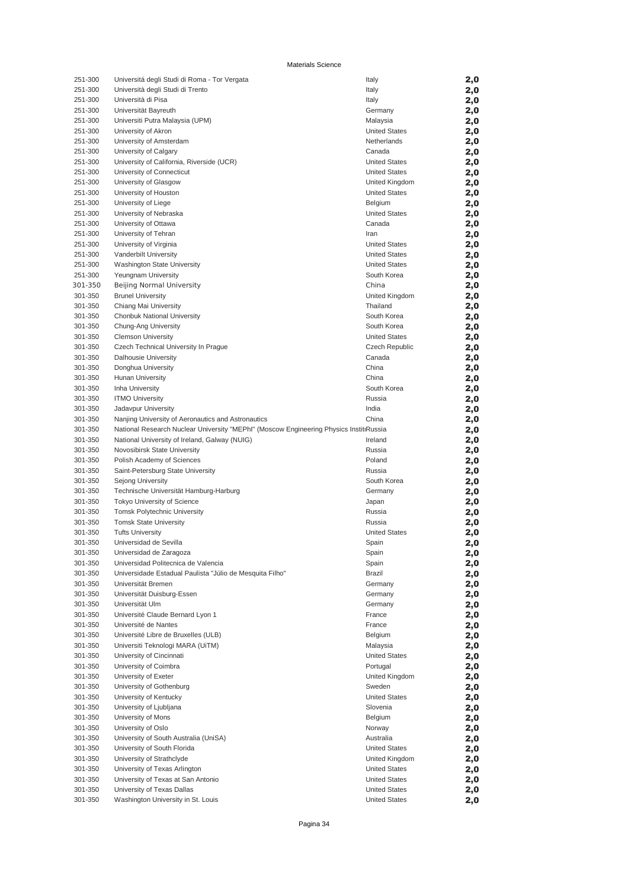| 251-300 | Universitá degli Studi di Roma - Tor Vergata                                           | Italy                | 2,0 |
|---------|----------------------------------------------------------------------------------------|----------------------|-----|
| 251-300 | Università degli Studi di Trento                                                       | Italy                | 2,0 |
| 251-300 | Università di Pisa                                                                     | Italy                | 2,0 |
| 251-300 | Universität Bayreuth                                                                   | Germany              | 2,0 |
| 251-300 | Universiti Putra Malaysia (UPM)                                                        | Malaysia             | 2,0 |
| 251-300 | University of Akron                                                                    | <b>United States</b> | 2,0 |
| 251-300 | University of Amsterdam                                                                | Netherlands          | 2,0 |
| 251-300 | University of Calgary                                                                  | Canada               | 2,0 |
| 251-300 | University of California, Riverside (UCR)                                              | <b>United States</b> | 2,0 |
| 251-300 | University of Connecticut                                                              | <b>United States</b> | 2,0 |
| 251-300 | University of Glasgow                                                                  | United Kingdom       | 2,0 |
| 251-300 | University of Houston                                                                  | <b>United States</b> | 2,0 |
| 251-300 | University of Liege                                                                    | Belgium              | 2,0 |
| 251-300 | University of Nebraska                                                                 | <b>United States</b> | 2,0 |
| 251-300 | University of Ottawa                                                                   | Canada               | 2,0 |
| 251-300 | University of Tehran                                                                   | Iran                 | 2,0 |
| 251-300 | University of Virginia                                                                 | <b>United States</b> | 2,0 |
| 251-300 | Vanderbilt University                                                                  | <b>United States</b> | 2,0 |
| 251-300 | Washington State University                                                            | <b>United States</b> | 2,0 |
| 251-300 | Yeungnam University                                                                    | South Korea          | 2,0 |
| 301-350 | <b>Beijing Normal University</b>                                                       | China                | 2,0 |
| 301-350 | <b>Brunel University</b>                                                               | United Kingdom       | 2,0 |
| 301-350 | Chiang Mai University                                                                  | Thailand             | 2,0 |
| 301-350 | Chonbuk National University                                                            | South Korea          | 2,0 |
| 301-350 | Chung-Ang University                                                                   | South Korea          | 2,0 |
| 301-350 | <b>Clemson University</b>                                                              | <b>United States</b> | 2,0 |
| 301-350 | Czech Technical University In Prague                                                   | Czech Republic       | 2,0 |
| 301-350 | Dalhousie University                                                                   | Canada               | 2,0 |
| 301-350 | Donghua University                                                                     | China                | 2,0 |
| 301-350 | <b>Hunan University</b>                                                                | China                | 2,0 |
| 301-350 | Inha University                                                                        | South Korea          | 2,0 |
| 301-350 | <b>ITMO University</b>                                                                 | Russia               | 2,0 |
| 301-350 | Jadavpur University                                                                    | India                | 2,0 |
| 301-350 | Nanjing University of Aeronautics and Astronautics                                     | China                | 2,0 |
| 301-350 | National Research Nuclear University "MEPhl" (Moscow Engineering Physics InstitiRussia |                      | 2,0 |
| 301-350 | National University of Ireland, Galway (NUIG)                                          | Ireland              | 2,0 |
| 301-350 | Novosibirsk State University                                                           | Russia               | 2,0 |
| 301-350 | Polish Academy of Sciences                                                             | Poland               | 2,0 |
| 301-350 | Saint-Petersburg State University                                                      | Russia               | 2,0 |
| 301-350 | Sejong University                                                                      | South Korea          | 2,0 |
| 301-350 | Technische Universität Hamburg-Harburg                                                 | Germany              | 2,0 |
| 301-350 | <b>Tokyo University of Science</b>                                                     | Japan                | 2,0 |
| 301-350 | Tomsk Polytechnic University                                                           | Russia               | 2,0 |
| 301-350 | <b>Tomsk State University</b>                                                          | Russia               | 2,0 |
| 301-350 | <b>Tufts University</b>                                                                | <b>United States</b> | 2,0 |
| 301-350 | Universidad de Sevilla                                                                 | Spain                | 2,0 |
| 301-350 | Universidad de Zaragoza                                                                | Spain                | 2,0 |
| 301-350 | Universidad Politecnica de Valencia                                                    | Spain                | 2,0 |
| 301-350 | Universidade Estadual Paulista "Júlio de Mesquita Filho"                               | <b>Brazil</b>        | 2,0 |
| 301-350 | Universität Bremen                                                                     | Germany              | 2,0 |
| 301-350 | Universität Duisburg-Essen                                                             | Germany              | 2,0 |
| 301-350 | Universität Ulm                                                                        | Germany              | 2,0 |
| 301-350 | Université Claude Bernard Lyon 1                                                       | France               | 2,0 |
| 301-350 | Université de Nantes                                                                   | France               | 2,0 |
| 301-350 | Université Libre de Bruxelles (ULB)                                                    | Belgium              | 2,0 |
| 301-350 | Universiti Teknologi MARA (UiTM)                                                       | Malaysia             | 2,0 |
| 301-350 | University of Cincinnati                                                               | <b>United States</b> | 2,0 |
| 301-350 | University of Coimbra                                                                  | Portugal             | 2,0 |
| 301-350 | University of Exeter                                                                   | United Kingdom       | 2,0 |
| 301-350 | University of Gothenburg                                                               | Sweden               | 2,0 |
| 301-350 | University of Kentucky                                                                 | <b>United States</b> | 2,0 |
| 301-350 | University of Ljubljana                                                                | Slovenia             | 2,0 |
| 301-350 | University of Mons                                                                     | Belgium              | 2,0 |
| 301-350 | University of Oslo                                                                     | Norway               | 2,0 |
| 301-350 | University of South Australia (UniSA)                                                  | Australia            | 2,0 |
| 301-350 | University of South Florida                                                            | <b>United States</b> | 2,0 |
| 301-350 | University of Strathclyde                                                              | United Kingdom       | 2,0 |
| 301-350 | University of Texas Arlington                                                          | <b>United States</b> | 2,0 |
| 301-350 | University of Texas at San Antonio                                                     | <b>United States</b> | 2,0 |
| 301-350 | University of Texas Dallas                                                             | <b>United States</b> | 2,0 |
| 301-350 | Washington University in St. Louis                                                     | <b>United States</b> | 2,0 |
|         |                                                                                        |                      |     |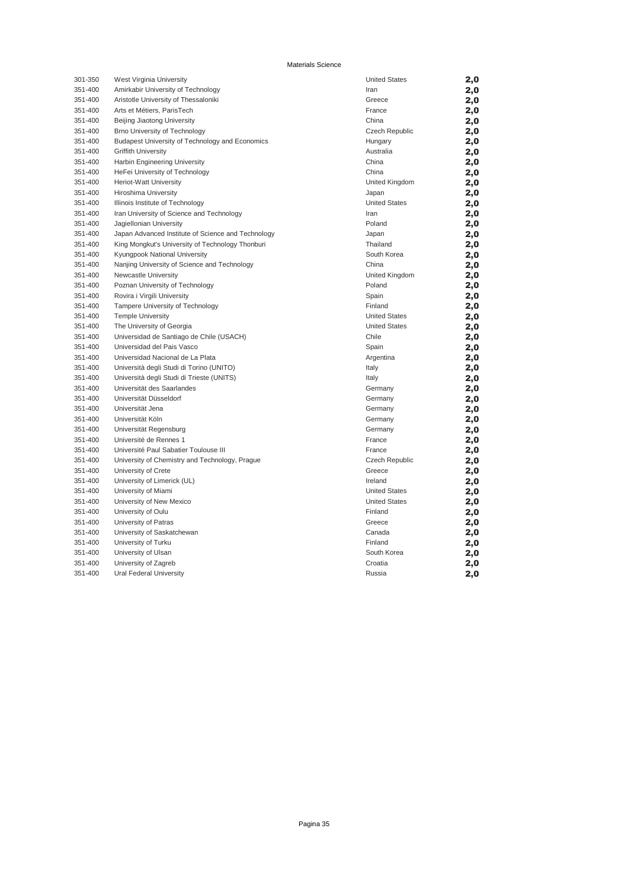| 301-350 | West Virginia University                           | <b>United States</b>  | 2,0 |
|---------|----------------------------------------------------|-----------------------|-----|
| 351-400 | Amirkabir University of Technology                 | Iran                  | 2,0 |
| 351-400 | Aristotle University of Thessaloniki               | Greece                | 2,0 |
| 351-400 | Arts et Métiers, ParisTech                         | France                | 2,0 |
| 351-400 | Beijing Jiaotong University                        | China                 | 2,0 |
| 351-400 | Brno University of Technology                      | Czech Republic        | 2,0 |
| 351-400 | Budapest University of Technology and Economics    | Hungary               | 2,0 |
| 351-400 | <b>Griffith University</b>                         | Australia             | 2,0 |
| 351-400 | Harbin Engineering University                      | China                 | 2,0 |
| 351-400 | HeFei University of Technology                     | China                 | 2,0 |
| 351-400 | Heriot-Watt University                             | United Kingdom        | 2,0 |
| 351-400 | Hiroshima University                               | Japan                 | 2,0 |
| 351-400 | Illinois Institute of Technology                   | <b>United States</b>  | 2,0 |
| 351-400 | Iran University of Science and Technology          | Iran                  | 2,0 |
| 351-400 | Jagiellonian University                            | Poland                | 2,0 |
| 351-400 | Japan Advanced Institute of Science and Technology | Japan                 | 2,0 |
| 351-400 | King Mongkut's University of Technology Thonburi   | Thailand              | 2,0 |
| 351-400 | Kyungpook National University                      | South Korea           | 2,0 |
| 351-400 | Nanjing University of Science and Technology       | China                 | 2,0 |
| 351-400 | Newcastle University                               | United Kingdom        | 2,0 |
| 351-400 | Poznan University of Technology                    | Poland                | 2,0 |
| 351-400 | Rovira i Virgili University                        | Spain                 | 2,0 |
| 351-400 | Tampere University of Technology                   | Finland               | 2,0 |
| 351-400 | <b>Temple University</b>                           | <b>United States</b>  | 2,0 |
| 351-400 | The University of Georgia                          | <b>United States</b>  | 2,0 |
| 351-400 | Universidad de Santiago de Chile (USACH)           | Chile                 | 2,0 |
| 351-400 | Universidad del Pais Vasco                         | Spain                 | 2,0 |
| 351-400 | Universidad Nacional de La Plata                   | Argentina             | 2,0 |
| 351-400 | Università degli Studi di Torino (UNITO)           | Italy                 | 2,0 |
| 351-400 | Università degli Studi di Trieste (UNITS)          | Italy                 | 2,0 |
| 351-400 | Universität des Saarlandes                         | Germany               | 2,0 |
| 351-400 | Universität Düsseldorf                             | Germany               | 2,0 |
| 351-400 | Universität Jena                                   | Germany               | 2,0 |
| 351-400 | Universität Köln                                   | Germany               | 2,0 |
| 351-400 | Universität Regensburg                             | Germany               | 2,0 |
| 351-400 | Université de Rennes 1                             | France                | 2,0 |
| 351-400 | Université Paul Sabatier Toulouse III              | France                | 2,0 |
| 351-400 | University of Chemistry and Technology, Prague     | <b>Czech Republic</b> | 2,0 |
| 351-400 | University of Crete                                | Greece                | 2,0 |
| 351-400 | University of Limerick (UL)                        | Ireland               | 2,0 |
| 351-400 | University of Miami                                | <b>United States</b>  | 2,0 |
| 351-400 | University of New Mexico                           | <b>United States</b>  | 2,0 |
| 351-400 | University of Oulu                                 | Finland               | 2,0 |
| 351-400 | University of Patras                               | Greece                | 2,0 |
| 351-400 | University of Saskatchewan                         | Canada                | 2,0 |
| 351-400 | University of Turku                                | Finland               | 2,0 |
| 351-400 | University of Ulsan                                | South Korea           | 2,0 |
| 351-400 | University of Zagreb                               | Croatia               |     |
| 351-400 |                                                    | Russia                | 2,0 |
|         | Ural Federal University                            |                       | 2,0 |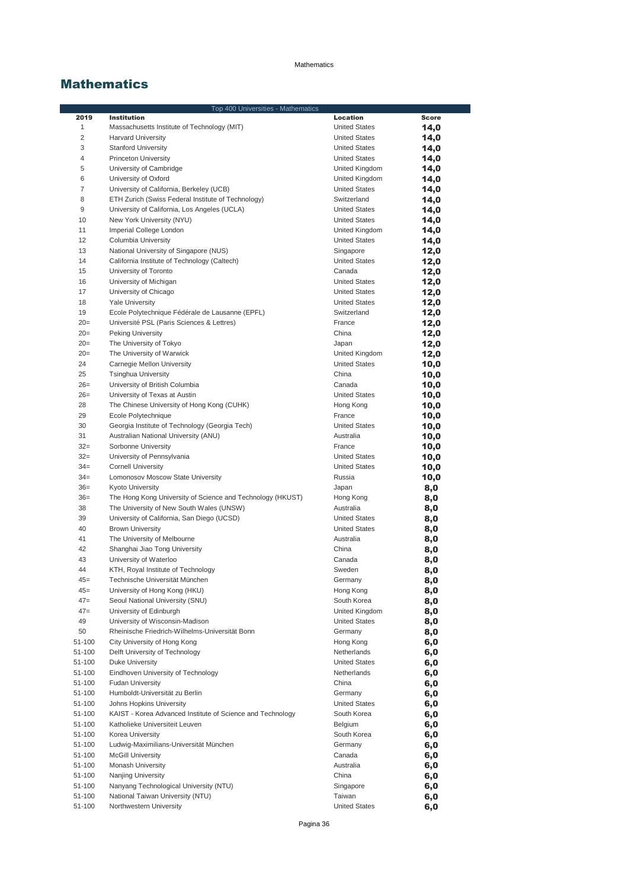|                | Top 400 Universities - Mathematics                         |                      |              |
|----------------|------------------------------------------------------------|----------------------|--------------|
| 2019           | <b>Institution</b>                                         | Location             | <b>Score</b> |
| 1              | Massachusetts Institute of Technology (MIT)                | <b>United States</b> | 14,0         |
| $\overline{c}$ | <b>Harvard University</b>                                  | <b>United States</b> | 14,0         |
| 3              | <b>Stanford University</b>                                 | <b>United States</b> | 14,0         |
| 4              | <b>Princeton University</b>                                | <b>United States</b> | 14,0         |
| 5              | University of Cambridge                                    | United Kingdom       | 14,0         |
| 6              | University of Oxford                                       | United Kingdom       | 14,0         |
| 7              | University of California, Berkeley (UCB)                   | <b>United States</b> | 14,0         |
| 8              | ETH Zurich (Swiss Federal Institute of Technology)         | Switzerland          | 14,0         |
| 9              | University of California, Los Angeles (UCLA)               | <b>United States</b> | 14,0         |
| 10             | New York University (NYU)                                  | <b>United States</b> |              |
| 11             | Imperial College London                                    | United Kingdom       | 14,0         |
| 12             |                                                            |                      | 14,0         |
|                | Columbia University                                        | <b>United States</b> | 14,0         |
| 13             | National University of Singapore (NUS)                     | Singapore            | 12,0         |
| 14             | California Institute of Technology (Caltech)               | <b>United States</b> | 12,0         |
| 15             | University of Toronto                                      | Canada               | 12,0         |
| 16             | University of Michigan                                     | <b>United States</b> | 12,0         |
| 17             | University of Chicago                                      | <b>United States</b> | 12,0         |
| 18             | <b>Yale University</b>                                     | <b>United States</b> | 12,0         |
| 19             | Ecole Polytechnique Fédérale de Lausanne (EPFL)            | Switzerland          | 12,0         |
| $20=$          | Université PSL (Paris Sciences & Lettres)                  | France               | 12,0         |
| $20=$          | Peking University                                          | China                | 12,0         |
| $20=$          | The University of Tokyo                                    | Japan                | 12,0         |
| $20=$          | The University of Warwick                                  | United Kingdom       | 12,0         |
| 24             | Carnegie Mellon University                                 | <b>United States</b> | 10,0         |
| 25             | <b>Tsinghua University</b>                                 | China                | 10,0         |
| $26=$          | University of British Columbia                             | Canada               | 10,0         |
| $26=$          | University of Texas at Austin                              | <b>United States</b> | 10,0         |
| 28             | The Chinese University of Hong Kong (CUHK)                 | Hong Kong            | 10,0         |
| 29             | Ecole Polytechnique                                        | France               | 10,0         |
| 30             | Georgia Institute of Technology (Georgia Tech)             | <b>United States</b> | 10,0         |
| 31             | Australian National University (ANU)                       | Australia            | 10,0         |
| $32=$          | Sorbonne University                                        | France               |              |
| $32 =$         |                                                            | <b>United States</b> | 10,0         |
| $34 =$         | University of Pennsylvania                                 | <b>United States</b> | 10,0         |
|                | <b>Cornell University</b>                                  |                      | 10,0         |
| $34 =$         | Lomonosov Moscow State University                          | Russia               | 10,0         |
| $36=$          | <b>Kyoto University</b>                                    | Japan                | 8,0          |
| $36=$          | The Hong Kong University of Science and Technology (HKUST) | Hong Kong            | 8,0          |
| 38             | The University of New South Wales (UNSW)                   | Australia            | 8,0          |
| 39             | University of California, San Diego (UCSD)                 | <b>United States</b> | 8,0          |
| 40             | <b>Brown University</b>                                    | <b>United States</b> | 8,0          |
| 41             | The University of Melbourne                                | Australia            | 8,0          |
| 42             | Shanghai Jiao Tong University                              | China                | 8,0          |
| 43             | University of Waterloo                                     | Canada               | 8,0          |
| 44             | KTH, Royal Institute of Technology                         | Sweden               | 8,0          |
| $45 =$         | Technische Universität München                             | Germany              | 8,0          |
| $45 =$         | University of Hong Kong (HKU)                              | Hong Kong            | 8,0          |
| $47=$          | Seoul National University (SNU)                            | South Korea          | 8,0          |
| $47=$          | University of Edinburgh                                    | United Kingdom       | 8,0          |
| 49             | University of Wisconsin-Madison                            | <b>United States</b> | 8,0          |
| 50             | Rheinische Friedrich-Wilhelms-Universität Bonn             | Germany              | 8,0          |
| 51-100         | City University of Hong Kong                               | Hong Kong            | 6,0          |
| 51-100         | Delft University of Technology                             | Netherlands          | 6,0          |
| 51-100         | <b>Duke University</b>                                     | <b>United States</b> | 6,0          |
| 51-100         | Eindhoven University of Technology                         | Netherlands          | 6,0          |
| 51-100         | <b>Fudan University</b>                                    | China                | 6,0          |
| 51-100         | Humboldt-Universität zu Berlin                             | Germany              | 6,0          |
| 51-100         | Johns Hopkins University                                   | <b>United States</b> | 6,0          |
| 51-100         | KAIST - Korea Advanced Institute of Science and Technology | South Korea          | 6,0          |
| 51-100         | Katholieke Universiteit Leuven                             | Belgium              | 6,0          |
| 51-100         | Korea University                                           | South Korea          | 6,0          |
| 51-100         | Ludwig-Maximilians-Universität München                     | Germany              | 6,0          |
| 51-100         | <b>McGill University</b>                                   | Canada               | 6,0          |
| 51-100         | Monash University                                          | Australia            | 6,0          |
| 51-100         | Nanjing University                                         | China                | 6,0          |
| 51-100         | Nanyang Technological University (NTU)                     | Singapore            |              |
|                |                                                            |                      | 6,0          |
| 51-100         | National Taiwan University (NTU)                           | Taiwan               | 6,0          |
| 51-100         | Northwestern University                                    | <b>United States</b> | 6,0          |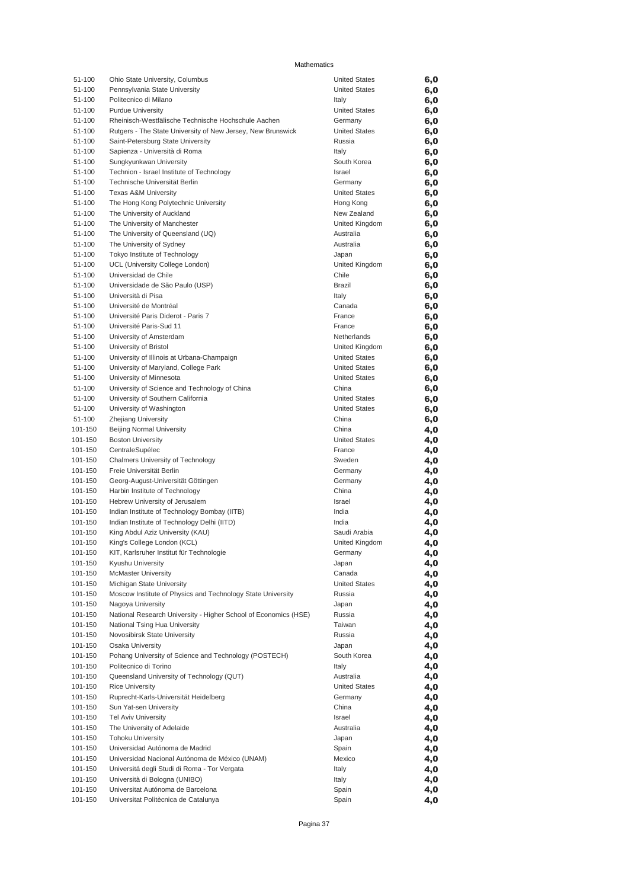| 51-100             | Ohio State University, Columbus                                                                                    | <b>United States</b>              | 6,0        |
|--------------------|--------------------------------------------------------------------------------------------------------------------|-----------------------------------|------------|
| 51-100             | Pennsylvania State University                                                                                      | <b>United States</b>              | 6,0        |
| 51-100             | Politecnico di Milano                                                                                              | Italy                             | 6,0        |
| 51-100             | <b>Purdue University</b>                                                                                           | <b>United States</b>              | 6,0        |
| 51-100<br>51-100   | Rheinisch-Westfälische Technische Hochschule Aachen<br>Rutgers - The State University of New Jersey, New Brunswick | Germany<br><b>United States</b>   | 6,0        |
| 51-100             | Saint-Petersburg State University                                                                                  | Russia                            | 6,0<br>6,0 |
| 51-100             | Sapienza - Università di Roma                                                                                      | Italy                             | 6,0        |
| 51-100             | Sungkyunkwan University                                                                                            | South Korea                       | 6,0        |
| 51-100             | Technion - Israel Institute of Technology                                                                          | Israel                            | 6,0        |
| 51-100             | Technische Universität Berlin                                                                                      | Germany                           | 6,0        |
| 51-100             | <b>Texas A&amp;M University</b>                                                                                    | <b>United States</b>              | 6,0        |
| 51-100             | The Hong Kong Polytechnic University                                                                               | Hong Kong                         | 6,0        |
| 51-100<br>51-100   | The University of Auckland<br>The University of Manchester                                                         | New Zealand<br>United Kingdom     | 6,0        |
| 51-100             | The University of Queensland (UQ)                                                                                  | Australia                         | 6,0<br>6,0 |
| 51-100             | The University of Sydney                                                                                           | Australia                         | 6,0        |
| 51-100             | Tokyo Institute of Technology                                                                                      | Japan                             | 6,0        |
| 51-100             | UCL (University College London)                                                                                    | United Kingdom                    | 6,0        |
| 51-100             | Universidad de Chile                                                                                               | Chile                             | 6,0        |
| 51-100             | Universidade de São Paulo (USP)                                                                                    | <b>Brazil</b>                     | 6,0        |
| 51-100             | Università di Pisa                                                                                                 | Italy                             | 6,0        |
| 51-100             | Université de Montréal<br>Université Paris Diderot - Paris 7                                                       | Canada                            | 6,0        |
| 51-100<br>51-100   | Université Paris-Sud 11                                                                                            | France<br>France                  | 6,0<br>6,0 |
| 51-100             | University of Amsterdam                                                                                            | Netherlands                       | 6,0        |
| 51-100             | University of Bristol                                                                                              | United Kingdom                    | 6,0        |
| 51-100             | University of Illinois at Urbana-Champaign                                                                         | <b>United States</b>              | 6,0        |
| 51-100             | University of Maryland, College Park                                                                               | <b>United States</b>              | 6,0        |
| 51-100             | University of Minnesota                                                                                            | <b>United States</b>              | 6,0        |
| 51-100             | University of Science and Technology of China                                                                      | China                             | 6,0        |
| 51-100             | University of Southern California                                                                                  | <b>United States</b>              | 6,0        |
| 51-100<br>51-100   | University of Washington<br><b>Zhejiang University</b>                                                             | <b>United States</b><br>China     | 6,0        |
| 101-150            | Beijing Normal University                                                                                          | China                             | 6,0<br>4,0 |
| 101-150            | <b>Boston University</b>                                                                                           | <b>United States</b>              | 4,0        |
| 101-150            | CentraleSupélec                                                                                                    | France                            | 4,0        |
| 101-150            | Chalmers University of Technology                                                                                  | Sweden                            | 4,0        |
| 101-150            | Freie Universität Berlin                                                                                           | Germany                           | 4,0        |
| 101-150            | Georg-August-Universität Göttingen                                                                                 | Germany                           | 4,0        |
| 101-150<br>101-150 | Harbin Institute of Technology                                                                                     | China<br>Israel                   | 4,0        |
| 101-150            | Hebrew University of Jerusalem<br>Indian Institute of Technology Bombay (IITB)                                     | India                             | 4,0<br>4,0 |
| 101-150            | Indian Institute of Technology Delhi (IITD)                                                                        | India                             | 4,0        |
| 101-150            | King Abdul Aziz University (KAU)                                                                                   | Saudi Arabia                      | 4,0        |
| 101-150            | King's College London (KCL)                                                                                        | United Kingdom                    | 4,0        |
| 101-150            | KIT, Karlsruher Institut für Technologie                                                                           | Germany                           | 4,0        |
| 101-150            | Kyushu University                                                                                                  | Japan                             | 4,0        |
| 101-150            | <b>McMaster University</b>                                                                                         | Canada                            | 4,0        |
| 101-150<br>101-150 | Michigan State University<br>Moscow Institute of Physics and Technology State University                           | <b>United States</b><br>Russia    | 4,0        |
| 101-150            | Nagoya University                                                                                                  | Japan                             | 4,0<br>4,0 |
| 101-150            | National Research University - Higher School of Economics (HSE)                                                    | Russia                            | 4,0        |
| 101-150            | National Tsing Hua University                                                                                      | Taiwan                            | 4,0        |
| 101-150            | Novosibirsk State University                                                                                       | Russia                            | 4,0        |
| 101-150            | Osaka University                                                                                                   | Japan                             | 4,0        |
| 101-150            | Pohang University of Science and Technology (POSTECH)                                                              | South Korea                       | 4,0        |
| 101-150            | Politecnico di Torino                                                                                              | Italy                             | 4,0        |
| 101-150<br>101-150 | Queensland University of Technology (QUT)<br><b>Rice University</b>                                                | Australia<br><b>United States</b> | 4,0        |
| 101-150            | Ruprecht-Karls-Universität Heidelberg                                                                              | Germany                           | 4,0<br>4,0 |
| 101-150            | Sun Yat-sen University                                                                                             | China                             | 4,0        |
| 101-150            | Tel Aviv University                                                                                                | Israel                            | 4,0        |
| 101-150            | The University of Adelaide                                                                                         | Australia                         | 4,0        |
| 101-150            | <b>Tohoku University</b>                                                                                           | Japan                             | 4,0        |
| 101-150            | Universidad Autónoma de Madrid                                                                                     | Spain                             | 4,0        |
| 101-150            | Universidad Nacional Autónoma de México (UNAM)                                                                     | Mexico                            | 4,0        |
| 101-150<br>101-150 | Universitá degli Studi di Roma - Tor Vergata<br>Università di Bologna (UNIBO)                                      | Italy<br>Italy                    | 4,0<br>4,0 |
| 101-150            | Universitat Autónoma de Barcelona                                                                                  | Spain                             | 4,0        |
| 101-150            | Universitat Politècnica de Catalunya                                                                               | Spain                             | 4,0        |
|                    |                                                                                                                    |                                   |            |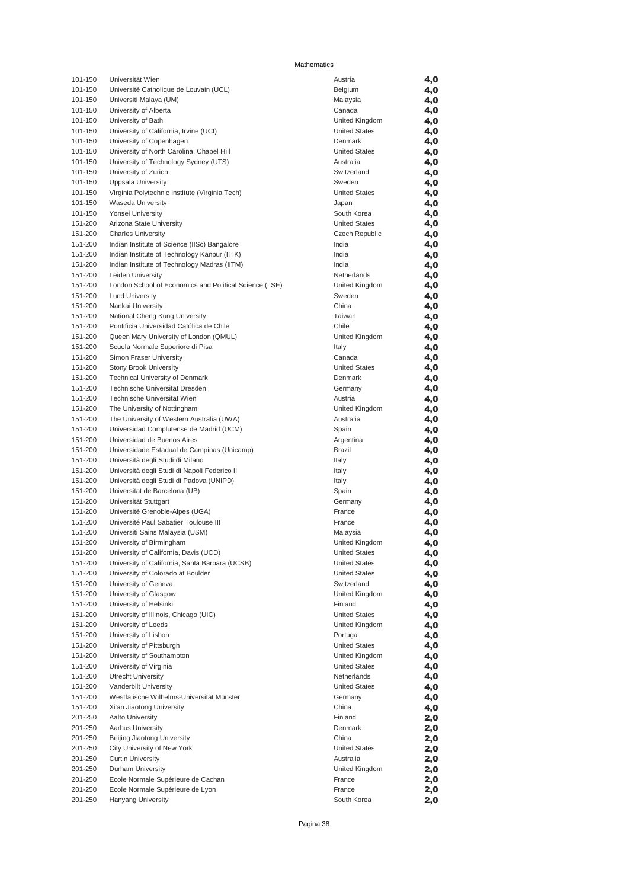| 101-150            | Universität Wien                                                         | Austria                             | 4,0        |
|--------------------|--------------------------------------------------------------------------|-------------------------------------|------------|
| 101-150            | Université Catholique de Louvain (UCL)                                   | Belgium                             | 4,0        |
| 101-150            | Universiti Malaya (UM)                                                   | Malaysia                            | 4,0        |
| 101-150            | University of Alberta                                                    | Canada                              | 4,0        |
| 101-150            | University of Bath                                                       | United Kingdom                      | 4,0        |
| 101-150            | University of California, Irvine (UCI)                                   | <b>United States</b>                | 4,0        |
| 101-150            | University of Copenhagen                                                 | Denmark                             | 4,0        |
| 101-150            | University of North Carolina, Chapel Hill                                | <b>United States</b>                | 4,0        |
| 101-150            | University of Technology Sydney (UTS)                                    | Australia                           | 4,0        |
| 101-150            | University of Zurich                                                     | Switzerland                         | 4,0        |
| 101-150            | Uppsala University                                                       | Sweden                              | 4,0        |
| 101-150            | Virginia Polytechnic Institute (Virginia Tech)                           | <b>United States</b>                | 4,0        |
| 101-150            | <b>Waseda University</b>                                                 | Japan                               | 4,0        |
| 101-150<br>151-200 | Yonsei University                                                        | South Korea<br><b>United States</b> | 4,0        |
| 151-200            | Arizona State University<br><b>Charles University</b>                    | Czech Republic                      | 4,0        |
| 151-200            | Indian Institute of Science (IISc) Bangalore                             | India                               | 4,0<br>4,0 |
| 151-200            | Indian Institute of Technology Kanpur (IITK)                             | India                               | 4,0        |
| 151-200            | Indian Institute of Technology Madras (IITM)                             | India                               | 4,0        |
| 151-200            | Leiden University                                                        | Netherlands                         | 4,0        |
| 151-200            | London School of Economics and Political Science (LSE)                   | United Kingdom                      | 4,0        |
| 151-200            | <b>Lund University</b>                                                   | Sweden                              | 4,0        |
| 151-200            | Nankai University                                                        | China                               | 4,0        |
| 151-200            | National Cheng Kung University                                           | Taiwan                              | 4,0        |
| 151-200            | Pontificia Universidad Católica de Chile                                 | Chile                               | 4,0        |
| 151-200            | Queen Mary University of London (QMUL)                                   | United Kingdom                      | 4,0        |
| 151-200            | Scuola Normale Superiore di Pisa                                         | Italy                               | 4,0        |
| 151-200            | Simon Fraser University                                                  | Canada                              | 4,0        |
| 151-200            | <b>Stony Brook University</b>                                            | <b>United States</b>                | 4,0        |
| 151-200            | <b>Technical University of Denmark</b>                                   | Denmark                             | 4,0        |
| 151-200            | Technische Universität Dresden                                           | Germany                             | 4,0        |
| 151-200            | Technische Universität Wien                                              | Austria                             | 4,0        |
| 151-200            | The University of Nottingham                                             | United Kingdom                      | 4,0        |
| 151-200            | The University of Western Australia (UWA)                                | Australia                           | 4,0        |
| 151-200            | Universidad Complutense de Madrid (UCM)                                  | Spain                               | 4,0        |
| 151-200            | Universidad de Buenos Aires                                              | Argentina                           | 4,0        |
| 151-200            | Universidade Estadual de Campinas (Unicamp)                              | Brazil                              | 4,0        |
| 151-200            | Università degli Studi di Milano                                         | Italy                               | 4,0        |
| 151-200            | Università degli Studi di Napoli Federico II                             | Italy                               | 4,0        |
| 151-200            | Università degli Studi di Padova (UNIPD)                                 | Italy                               | 4,0        |
| 151-200            | Universitat de Barcelona (UB)                                            | Spain                               | 4,0        |
| 151-200            | Universität Stuttgart                                                    | Germany                             | 4,0        |
| 151-200<br>151-200 | Université Grenoble-Alpes (UGA)<br>Université Paul Sabatier Toulouse III | France<br>France                    | 4,0        |
| 151-200            | Universiti Sains Malaysia (USM)                                          | Malaysia                            | 4,0<br>4,0 |
| 151-200            | University of Birmingham                                                 | United Kingdom                      | 4,0        |
| 151-200            | University of California, Davis (UCD)                                    | <b>United States</b>                | 4,0        |
| 151-200            | University of California, Santa Barbara (UCSB)                           | <b>United States</b>                | 4,0        |
| 151-200            | University of Colorado at Boulder                                        | <b>United States</b>                | 4,0        |
| 151-200            | University of Geneva                                                     | Switzerland                         | 4,0        |
| 151-200            | University of Glasgow                                                    | United Kingdom                      | 4,0        |
| 151-200            | University of Helsinki                                                   | Finland                             | 4,0        |
| 151-200            | University of Illinois, Chicago (UIC)                                    | <b>United States</b>                | 4,0        |
| 151-200            | University of Leeds                                                      | United Kingdom                      | 4,0        |
| 151-200            | University of Lisbon                                                     | Portugal                            | 4,0        |
| 151-200            | University of Pittsburgh                                                 | <b>United States</b>                | 4,0        |
| 151-200            | University of Southampton                                                | United Kingdom                      | 4,0        |
| 151-200            | University of Virginia                                                   | <b>United States</b>                | 4,0        |
| 151-200            | <b>Utrecht University</b>                                                | Netherlands                         | 4,0        |
| 151-200            | Vanderbilt University                                                    | <b>United States</b>                | 4,0        |
| 151-200            | Westfälische Wilhelms-Universität Münster                                | Germany                             | 4,0        |
| 151-200            | Xi'an Jiaotong University                                                | China                               | 4,0        |
| 201-250            | Aalto University                                                         | Finland                             | 2,0        |
| 201-250            | Aarhus University                                                        | Denmark                             | 2,0        |
| 201-250            | Beijing Jiaotong University                                              | China                               | 2,0        |
| 201-250            | City University of New York                                              | <b>United States</b>                | 2,0        |
| 201-250            | <b>Curtin University</b>                                                 | Australia                           | 2,0        |
| 201-250            | Durham University                                                        | United Kingdom                      | 2,0        |
| 201-250<br>201-250 | Ecole Normale Supérieure de Cachan<br>Ecole Normale Supérieure de Lyon   | France<br>France                    | 2,0        |
| 201-250            | Hanyang University                                                       | South Korea                         | 2,0<br>2,0 |
|                    |                                                                          |                                     |            |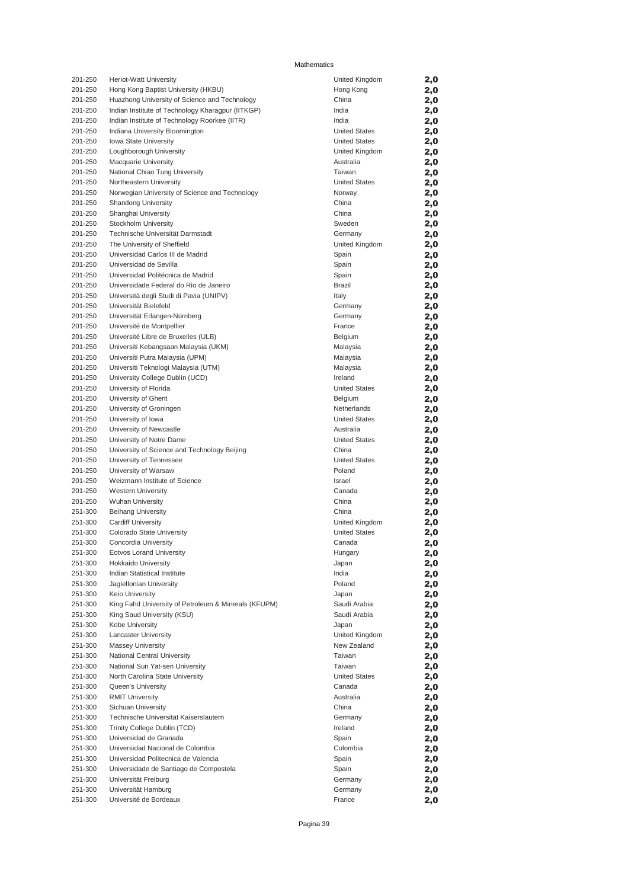| 201-250 | <b>Heriot-Watt University</b>                        | United Kingdom       | 2,0 |
|---------|------------------------------------------------------|----------------------|-----|
| 201-250 | Hong Kong Baptist University (HKBU)                  | Hong Kong            | 2,0 |
| 201-250 | Huazhong University of Science and Technology        | China                |     |
|         |                                                      |                      | 2,0 |
| 201-250 | Indian Institute of Technology Kharagpur (IITKGP)    | India                | 2,0 |
| 201-250 | Indian Institute of Technology Roorkee (IITR)        | India                | 2,0 |
| 201-250 | Indiana University Bloomington                       | <b>United States</b> | 2,0 |
|         |                                                      |                      |     |
| 201-250 | Iowa State University                                | <b>United States</b> | 2,0 |
| 201-250 | Loughborough University                              | United Kingdom       | 2,0 |
| 201-250 | <b>Macquarie University</b>                          | Australia            | 2,0 |
| 201-250 | National Chiao Tung University                       | Taiwan               |     |
|         |                                                      |                      | 2,0 |
| 201-250 | Northeastern University                              | <b>United States</b> | 2,0 |
| 201-250 | Norwegian University of Science and Technology       | Norway               | 2,0 |
| 201-250 | <b>Shandong University</b>                           | China                | 2,0 |
|         |                                                      | China                |     |
| 201-250 | Shanghai University                                  |                      | 2,0 |
| 201-250 | Stockholm University                                 | Sweden               | 2,0 |
| 201-250 | Technische Universität Darmstadt                     | Germany              | 2,0 |
| 201-250 | The University of Sheffield                          | United Kingdom       | 2,0 |
|         |                                                      |                      |     |
| 201-250 | Universidad Carlos III de Madrid                     | Spain                | 2,0 |
| 201-250 | Universidad de Sevilla                               | Spain                | 2,0 |
| 201-250 | Universidad Politécnica de Madrid                    | Spain                | 2,0 |
| 201-250 | Universidade Federal do Rio de Janeiro               | <b>Brazil</b>        |     |
|         |                                                      |                      | 2,0 |
| 201-250 | Università degli Studi di Pavia (UNIPV)              | Italy                | 2,0 |
| 201-250 | Universität Bielefeld                                | Germany              | 2,0 |
| 201-250 | Universität Erlangen-Nürnberg                        | Germany              | 2,0 |
|         |                                                      |                      |     |
| 201-250 | Université de Montpellier                            | France               | 2,0 |
| 201-250 | Université Libre de Bruxelles (ULB)                  | Belgium              | 2,0 |
| 201-250 | Universiti Kebangsaan Malaysia (UKM)                 | Malaysia             | 2,0 |
|         |                                                      | Malaysia             |     |
| 201-250 | Universiti Putra Malaysia (UPM)                      |                      | 2,0 |
| 201-250 | Universiti Teknologi Malaysia (UTM)                  | Malaysia             | 2,0 |
| 201-250 | University College Dublin (UCD)                      | Ireland              | 2,0 |
| 201-250 | University of Florida                                | <b>United States</b> | 2,0 |
|         |                                                      |                      |     |
| 201-250 | University of Ghent                                  | Belgium              | 2,0 |
| 201-250 | University of Groningen                              | Netherlands          | 2,0 |
| 201-250 | University of Iowa                                   | <b>United States</b> | 2,0 |
| 201-250 | University of Newcastle                              | Australia            |     |
|         |                                                      |                      | 2,0 |
| 201-250 | University of Notre Dame                             | <b>United States</b> | 2,0 |
| 201-250 | University of Science and Technology Beijing         | China                | 2,0 |
| 201-250 | University of Tennessee                              | <b>United States</b> | 2,0 |
|         |                                                      |                      |     |
| 201-250 | University of Warsaw                                 | Poland               | 2,0 |
| 201-250 | Weizmann Institute of Science                        | Israel               | 2,0 |
| 201-250 | <b>Western University</b>                            | Canada               | 2,0 |
| 201-250 | <b>Wuhan University</b>                              | China                | 2,0 |
|         |                                                      |                      |     |
| 251-300 | <b>Beihang University</b>                            | China                | 2,0 |
| 251-300 | <b>Cardiff University</b>                            | United Kingdom       | 2,0 |
| 251-300 | Colorado State University                            | <b>United States</b> | 2,0 |
|         |                                                      | Canada               |     |
| 251-300 | Concordia University                                 |                      | 2,0 |
| 251-300 | <b>Eotvos Lorand University</b>                      | Hungary              | 2,0 |
| 251-300 | <b>Hokkaido University</b>                           | Japan                | 2,0 |
| 251-300 | Indian Statistical Institute                         | India                | 2,0 |
|         |                                                      |                      |     |
| 251-300 | Jagiellonian University                              | Poland               | 2,0 |
| 251-300 | Keio University                                      | Japan                | 2,0 |
| 251-300 | King Fahd University of Petroleum & Minerals (KFUPM) | Saudi Arabia         | 2,0 |
|         |                                                      |                      |     |
| 251-300 | King Saud University (KSU)                           | Saudi Arabia         | 2,0 |
| 251-300 | Kobe University                                      | Japan                | 2,0 |
| 251-300 | <b>Lancaster University</b>                          | United Kingdom       | 2,0 |
| 251-300 | <b>Massey University</b>                             | New Zealand          | 2,0 |
|         |                                                      |                      |     |
| 251-300 | National Central University                          | Taiwan               | 2,0 |
| 251-300 | National Sun Yat-sen University                      | Taiwan               | 2,0 |
| 251-300 | North Carolina State University                      | <b>United States</b> | 2,0 |
|         | Queen's University                                   | Canada               |     |
| 251-300 |                                                      |                      | 2,0 |
| 251-300 | <b>RMIT University</b>                               | Australia            | 2,0 |
| 251-300 | Sichuan University                                   | China                | 2,0 |
| 251-300 | Technische Universität Kaiserslautern                | Germany              | 2,0 |
|         |                                                      |                      |     |
| 251-300 | Trinity College Dublin (TCD)                         | Ireland              | 2,0 |
| 251-300 | Universidad de Granada                               | Spain                | 2,0 |
| 251-300 | Universidad Nacional de Colombia                     | Colombia             | 2,0 |
| 251-300 | Universidad Politecnica de Valencia                  | Spain                |     |
|         |                                                      |                      | 2,0 |
| 251-300 | Universidade de Santiago de Compostela               | Spain                | 2,0 |
| 251-300 | Universität Freiburg                                 | Germany              | 2,0 |
| 251-300 | Universität Hamburg                                  | Germany              | 2,0 |
| 251-300 | Université de Bordeaux                               |                      |     |
|         |                                                      | France               | 2,0 |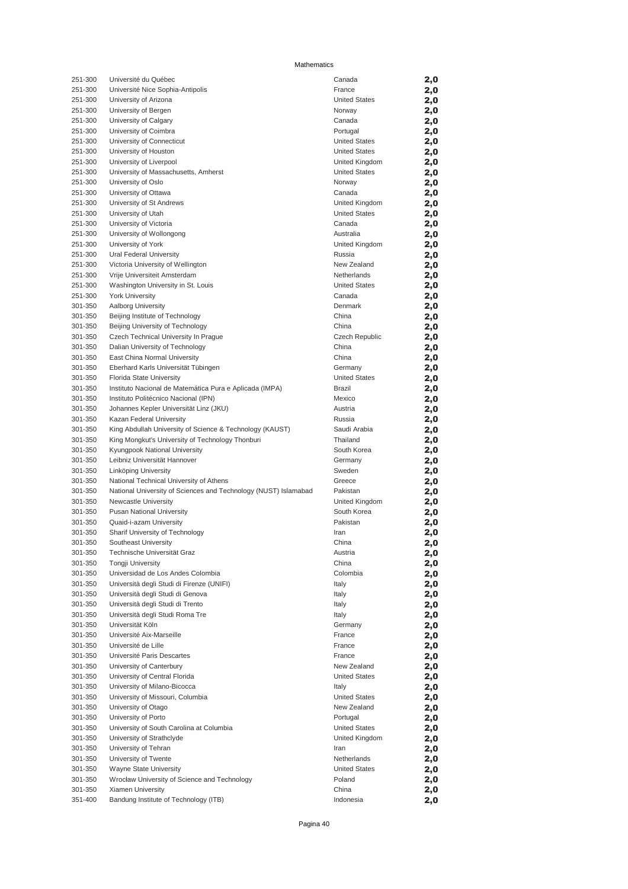| 251-300 | Université du Québec                                            | Canada               | 2,0 |
|---------|-----------------------------------------------------------------|----------------------|-----|
| 251-300 | Université Nice Sophia-Antipolis                                | France               | 2,0 |
| 251-300 | University of Arizona                                           | <b>United States</b> | 2,0 |
| 251-300 | University of Bergen                                            | Norway               | 2,0 |
| 251-300 | University of Calgary                                           | Canada               | 2,0 |
| 251-300 | University of Coimbra                                           | Portugal             | 2,0 |
| 251-300 | University of Connecticut                                       | <b>United States</b> | 2,0 |
| 251-300 | University of Houston                                           | <b>United States</b> | 2,0 |
| 251-300 | University of Liverpool                                         | United Kingdom       | 2,0 |
| 251-300 | University of Massachusetts, Amherst                            | <b>United States</b> | 2,0 |
| 251-300 | University of Oslo                                              | Norway               | 2,0 |
| 251-300 | University of Ottawa                                            | Canada               | 2,0 |
| 251-300 | University of St Andrews                                        | United Kingdom       | 2,0 |
| 251-300 | University of Utah                                              | <b>United States</b> | 2,0 |
| 251-300 | University of Victoria                                          | Canada               | 2,0 |
| 251-300 | University of Wollongong                                        | Australia            | 2,0 |
| 251-300 | University of York                                              | United Kingdom       | 2,0 |
| 251-300 | Ural Federal University                                         | Russia               | 2,0 |
| 251-300 | Victoria University of Wellington                               | New Zealand          | 2,0 |
| 251-300 | Vrije Universiteit Amsterdam                                    | Netherlands          | 2,0 |
| 251-300 | Washington University in St. Louis                              | <b>United States</b> | 2,0 |
| 251-300 | <b>York University</b>                                          | Canada               | 2,0 |
| 301-350 | Aalborg University                                              | Denmark              | 2,0 |
| 301-350 | Beijing Institute of Technology                                 | China                | 2,0 |
| 301-350 | Beijing University of Technology                                | China                | 2,0 |
| 301-350 | Czech Technical University In Prague                            | Czech Republic       | 2,0 |
| 301-350 | Dalian University of Technology                                 | China                | 2,0 |
| 301-350 | East China Normal University                                    | China                | 2,0 |
| 301-350 | Eberhard Karls Universität Tübingen                             | Germany              | 2,0 |
| 301-350 | Florida State University                                        | <b>United States</b> | 2,0 |
| 301-350 | Instituto Nacional de Matemática Pura e Aplicada (IMPA)         | Brazil               | 2,0 |
| 301-350 | Instituto Politécnico Nacional (IPN)                            | Mexico               | 2,0 |
| 301-350 | Johannes Kepler Universität Linz (JKU)                          | Austria              | 2,0 |
| 301-350 | Kazan Federal University                                        | Russia               | 2,0 |
| 301-350 | King Abdullah University of Science & Technology (KAUST)        | Saudi Arabia         | 2,0 |
| 301-350 | King Mongkut's University of Technology Thonburi                | Thailand             | 2,0 |
| 301-350 | Kyungpook National University                                   | South Korea          | 2,0 |
| 301-350 | Leibniz Universität Hannover                                    | Germany              | 2,0 |
| 301-350 | Linköping University                                            | Sweden               | 2,0 |
| 301-350 | National Technical University of Athens                         | Greece               | 2,0 |
| 301-350 | National University of Sciences and Technology (NUST) Islamabad | Pakistan             | 2,0 |
| 301-350 | Newcastle University                                            | United Kingdom       | 2,0 |
| 301-350 | Pusan National University                                       | South Korea          | 2,0 |
| 301-350 | Quaid-i-azam University                                         | Pakistan             | 2,0 |
| 301-350 | Sharif University of Technology                                 | Iran                 | 2,0 |
| 301-350 | Southeast University                                            | China                | 2,0 |
| 301-350 | Technische Universität Graz                                     | Austria              | 2,0 |
| 301-350 | <b>Tongji University</b>                                        | China                | 2,0 |
| 301-350 | Universidad de Los Andes Colombia                               | Colombia             | 2,0 |
| 301-350 | Università degli Studi di Firenze (UNIFI)                       | Italy                | 2,0 |
| 301-350 | Università degli Studi di Genova                                | Italy                | 2,0 |
| 301-350 | Università degli Studi di Trento                                | Italy                | 2,0 |
| 301-350 | Università degli Studi Roma Tre                                 | Italy                | 2,0 |
| 301-350 | Universität Köln                                                | Germany              | 2,0 |
| 301-350 | Université Aix-Marseille                                        | France               | 2,0 |
| 301-350 | Université de Lille                                             | France               | 2,0 |
| 301-350 | Université Paris Descartes                                      | France               | 2,0 |
| 301-350 | University of Canterbury                                        | New Zealand          | 2,0 |
| 301-350 | University of Central Florida                                   | <b>United States</b> | 2,0 |
| 301-350 | University of Milano-Bicocca                                    | Italy                | 2,0 |
| 301-350 | University of Missouri, Columbia                                | <b>United States</b> | 2,0 |
| 301-350 | University of Otago                                             | New Zealand          | 2,0 |
| 301-350 | University of Porto                                             | Portugal             | 2,0 |
| 301-350 | University of South Carolina at Columbia                        | <b>United States</b> | 2,0 |
| 301-350 | University of Strathclyde                                       | United Kingdom       | 2,0 |
| 301-350 | University of Tehran                                            | Iran                 | 2,0 |
| 301-350 | University of Twente                                            | Netherlands          | 2,0 |
| 301-350 | Wayne State University                                          | <b>United States</b> | 2,0 |
| 301-350 | Wrocław University of Science and Technology                    | Poland               | 2,0 |
| 301-350 | Xiamen University                                               | China                | 2,0 |
| 351-400 | Bandung Institute of Technology (ITB)                           | Indonesia            | 2,0 |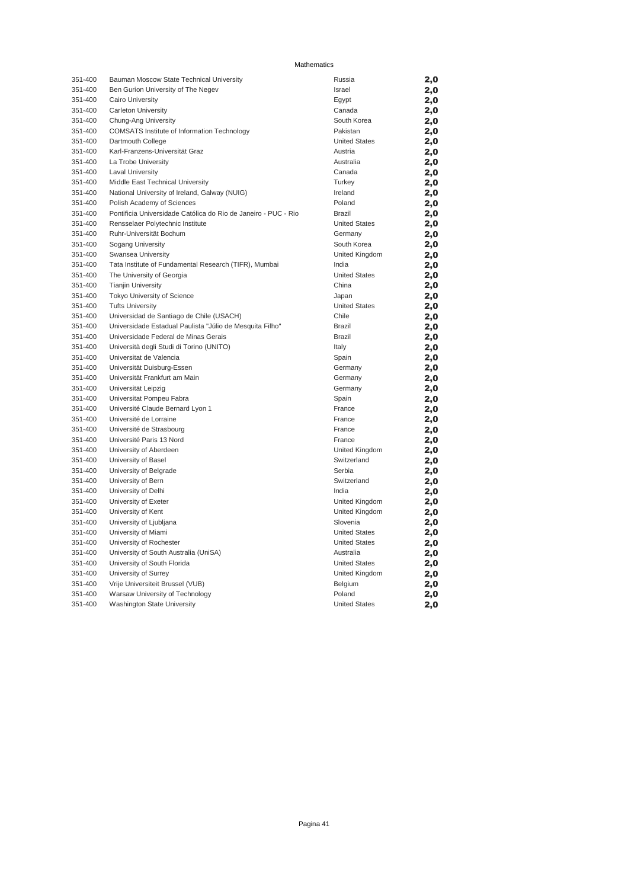| 351-400 | Bauman Moscow State Technical University                       | Russia               | 2,0 |
|---------|----------------------------------------------------------------|----------------------|-----|
| 351-400 | Ben Gurion University of The Negev                             | Israel               | 2,0 |
| 351-400 | Cairo University                                               | Egypt                | 2,0 |
| 351-400 | Carleton University                                            | Canada               | 2,0 |
| 351-400 | Chung-Ang University                                           | South Korea          | 2,0 |
| 351-400 | COMSATS Institute of Information Technology                    | Pakistan             | 2,0 |
| 351-400 | Dartmouth College                                              | <b>United States</b> | 2,0 |
| 351-400 | Karl-Franzens-Universität Graz                                 | Austria              | 2,0 |
| 351-400 | La Trobe University                                            | Australia            | 2,0 |
| 351-400 | <b>Laval University</b>                                        | Canada               | 2,0 |
| 351-400 | Middle East Technical University                               | Turkey               | 2,0 |
| 351-400 | National University of Ireland, Galway (NUIG)                  | Ireland              | 2,0 |
| 351-400 | Polish Academy of Sciences                                     | Poland               | 2,0 |
| 351-400 | Pontificia Universidade Católica do Rio de Janeiro - PUC - Rio | Brazil               | 2,0 |
| 351-400 | Rensselaer Polytechnic Institute                               | <b>United States</b> | 2,0 |
| 351-400 | Ruhr-Universität Bochum                                        | Germany              | 2,0 |
| 351-400 | Sogang University                                              | South Korea          | 2,0 |
| 351-400 | Swansea University                                             | United Kingdom       | 2,0 |
| 351-400 | Tata Institute of Fundamental Research (TIFR), Mumbai          | India                | 2,0 |
| 351-400 | The University of Georgia                                      | <b>United States</b> | 2,0 |
| 351-400 | <b>Tianjin University</b>                                      | China                | 2,0 |
| 351-400 | Tokyo University of Science                                    | Japan                | 2,0 |
| 351-400 | <b>Tufts University</b>                                        | <b>United States</b> | 2,0 |
| 351-400 | Universidad de Santiago de Chile (USACH)                       | Chile                | 2,0 |
| 351-400 | Universidade Estadual Paulista "Júlio de Mesquita Filho"       | <b>Brazil</b>        | 2,0 |
| 351-400 | Universidade Federal de Minas Gerais                           | <b>Brazil</b>        | 2,0 |
| 351-400 | Università degli Studi di Torino (UNITO)                       | Italy                | 2,0 |
| 351-400 | Universitat de Valencia                                        | Spain                | 2,0 |
| 351-400 | Universität Duisburg-Essen                                     | Germany              | 2,0 |
| 351-400 | Universität Frankfurt am Main                                  | Germany              | 2,0 |
| 351-400 | Universität Leipzig                                            | Germany              | 2,0 |
| 351-400 | Universitat Pompeu Fabra                                       | Spain                | 2,0 |
| 351-400 | Université Claude Bernard Lyon 1                               | France               | 2,0 |
| 351-400 | Université de Lorraine                                         | France               | 2,0 |
| 351-400 | Université de Strasbourg                                       | France               | 2,0 |
| 351-400 | Université Paris 13 Nord                                       | France               | 2,0 |
| 351-400 | University of Aberdeen                                         | United Kingdom       | 2,0 |
| 351-400 | University of Basel                                            | Switzerland          | 2,0 |
| 351-400 | University of Belgrade                                         | Serbia               | 2,0 |
| 351-400 | University of Bern                                             | Switzerland          | 2,0 |
| 351-400 | University of Delhi                                            | India                | 2,0 |
| 351-400 | University of Exeter                                           | United Kingdom       | 2,0 |
| 351-400 | University of Kent                                             | United Kingdom       | 2,0 |
| 351-400 | University of Ljubljana                                        | Slovenia             | 2,0 |
| 351-400 | University of Miami                                            | <b>United States</b> | 2,0 |
| 351-400 | University of Rochester                                        | <b>United States</b> | 2,0 |
| 351-400 | University of South Australia (UniSA)                          | Australia            | 2,0 |
| 351-400 | University of South Florida                                    | <b>United States</b> | 2,0 |
| 351-400 | University of Surrey                                           | United Kingdom       | 2,0 |
| 351-400 | Vrije Universiteit Brussel (VUB)                               | Belgium              | 2,0 |
| 351-400 | Warsaw University of Technology                                | Poland               | 2,0 |
| 351-400 | <b>Washington State University</b>                             | <b>United States</b> | 2,0 |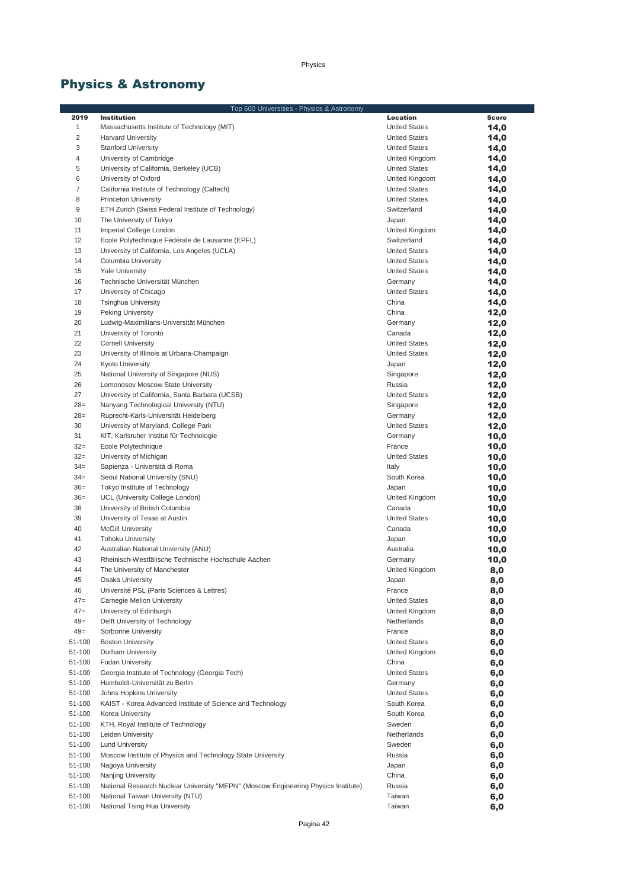# Physics & Astronomy

|                  | Top 600 Universities - Physics & Astronomy                                          |                                        |              |  |
|------------------|-------------------------------------------------------------------------------------|----------------------------------------|--------------|--|
| 2019             | <b>Institution</b>                                                                  | <b>Location</b>                        | <b>Score</b> |  |
| $\mathbf{1}$     | Massachusetts Institute of Technology (MIT)                                         | <b>United States</b>                   | 14,0         |  |
| $\overline{c}$   | <b>Harvard University</b>                                                           | <b>United States</b>                   | 14,0         |  |
| 3                | <b>Stanford University</b>                                                          | <b>United States</b>                   | 14,0         |  |
| 4                | University of Cambridge                                                             | United Kingdom                         | 14,0         |  |
| 5                | University of California, Berkeley (UCB)                                            | <b>United States</b>                   | 14,0         |  |
| 6                | University of Oxford                                                                | United Kingdom                         | 14,0         |  |
| 7                | California Institute of Technology (Caltech)                                        | <b>United States</b>                   | 14,0         |  |
| 8                | <b>Princeton University</b>                                                         | <b>United States</b>                   | 14,0         |  |
| 9                | ETH Zurich (Swiss Federal Institute of Technology)                                  | Switzerland                            | 14,0         |  |
| 10               | The University of Tokyo                                                             | Japan                                  | 14,0         |  |
| 11               | Imperial College London                                                             | United Kingdom                         | 14,0         |  |
| 12               | Ecole Polytechnique Fédérale de Lausanne (EPFL)                                     | Switzerland                            | 14,0         |  |
| 13               | University of California, Los Angeles (UCLA)                                        | <b>United States</b>                   | 14,0         |  |
| 14               | Columbia University                                                                 | <b>United States</b>                   | 14,0         |  |
| 15               | <b>Yale University</b>                                                              | <b>United States</b>                   | 14,0         |  |
| 16               | Technische Universität München                                                      | Germany                                | 14,0         |  |
| 17               | University of Chicago                                                               | <b>United States</b>                   | 14,0         |  |
| 18               | <b>Tsinghua University</b>                                                          | China                                  | 14,0         |  |
| 19               | <b>Peking University</b>                                                            | China                                  | 12,0         |  |
| 20               | Ludwig-Maximilians-Universität München                                              | Germany                                | 12,0         |  |
| 21               | University of Toronto                                                               | Canada                                 | 12,0         |  |
| 22               | <b>Cornell University</b>                                                           | <b>United States</b>                   | 12,0         |  |
| 23               | University of Illinois at Urbana-Champaign                                          | <b>United States</b>                   | 12,0         |  |
| 24               | Kyoto University                                                                    | Japan                                  | 12,0         |  |
| 25               | National University of Singapore (NUS)                                              | Singapore                              | 12,0         |  |
| 26               | Lomonosov Moscow State University                                                   | Russia                                 | 12,0         |  |
| 27               | University of California, Santa Barbara (UCSB)                                      | <b>United States</b>                   | 12,0         |  |
| $28=$            | Nanyang Technological University (NTU)                                              | Singapore                              | 12,0         |  |
| $28=$            | Ruprecht-Karls-Universität Heidelberg                                               | Germany                                | 12,0         |  |
| 30               | University of Maryland, College Park                                                | <b>United States</b>                   | 12,0         |  |
| 31               | KIT, Karlsruher Institut für Technologie                                            | Germany                                | 10,0         |  |
| $32=$            | Ecole Polytechnique                                                                 | France                                 | 10,0         |  |
| $32 =$           | University of Michigan                                                              | <b>United States</b>                   | 10,0         |  |
| $34 =$           | Sapienza - Università di Roma                                                       | Italy                                  | 10,0         |  |
| $34 =$           | Seoul National University (SNU)                                                     | South Korea                            | 10,0         |  |
| $36=$            | Tokyo Institute of Technology                                                       | Japan                                  | 10,0         |  |
| $36=$            | UCL (University College London)                                                     | United Kingdom                         | 10,0         |  |
| 38               | University of British Columbia                                                      | Canada                                 | 10,0         |  |
| 39               | University of Texas at Austin                                                       | <b>United States</b>                   |              |  |
| 40               | <b>McGill University</b>                                                            | Canada                                 | 10,0<br>10,0 |  |
| 41               | <b>Tohoku University</b>                                                            | Japan                                  |              |  |
| 42               | Australian National University (ANU)                                                | Australia                              | 10,0         |  |
| 43               | Rheinisch-Westfälische Technische Hochschule Aachen                                 | Germany                                | 10,0         |  |
| 44               | The University of Manchester                                                        | United Kingdom                         | 10,0         |  |
|                  |                                                                                     |                                        | 8,0          |  |
| 45<br>46         | Osaka University<br>Université PSL (Paris Sciences & Lettres)                       | Japan<br>France                        | 8,0          |  |
| $47=$            | Carnegie Mellon University                                                          | <b>United States</b>                   | 8,0          |  |
| $47=$            | University of Edinburgh                                                             | United Kingdom                         | 8,0          |  |
| $49=$            | Delft University of Technology                                                      | Netherlands                            | 8,0          |  |
| $49=$            | Sorbonne University                                                                 | France                                 | 8,0          |  |
| 51-100           | <b>Boston University</b>                                                            |                                        | 8,0          |  |
| 51-100           | Durham University                                                                   | <b>United States</b><br>United Kingdom | 6,0          |  |
| 51-100           | <b>Fudan University</b>                                                             | China                                  | 6,0          |  |
| 51-100           |                                                                                     |                                        | 6,0          |  |
|                  | Georgia Institute of Technology (Georgia Tech)                                      | <b>United States</b>                   | 6,0          |  |
| 51-100           | Humboldt-Universität zu Berlin                                                      | Germany<br><b>United States</b>        | 6,0          |  |
| 51-100<br>51-100 | Johns Hopkins University                                                            |                                        | 6,0          |  |
|                  | KAIST - Korea Advanced Institute of Science and Technology                          | South Korea                            | 6,0          |  |
| 51-100           | Korea University                                                                    | South Korea                            | 6,0          |  |
| 51-100           | KTH, Royal Institute of Technology                                                  | Sweden                                 | 6,0          |  |
| 51-100           | Leiden University                                                                   | Netherlands                            | 6,0          |  |
| 51-100           | <b>Lund University</b>                                                              | Sweden                                 | 6,0          |  |
| 51-100           | Moscow Institute of Physics and Technology State University                         | Russia                                 | 6,0          |  |
| 51-100           | Nagoya University                                                                   | Japan                                  | 6,0          |  |
| 51-100           | Nanjing University                                                                  | China                                  | 6,0          |  |
| 51-100           | National Research Nuclear University "MEPhl" (Moscow Engineering Physics Institute) | Russia                                 | 6,0          |  |
| 51-100           | National Taiwan University (NTU)                                                    | Taiwan                                 | 6,0          |  |
| 51-100           | National Tsing Hua University                                                       | Taiwan                                 | 6,0          |  |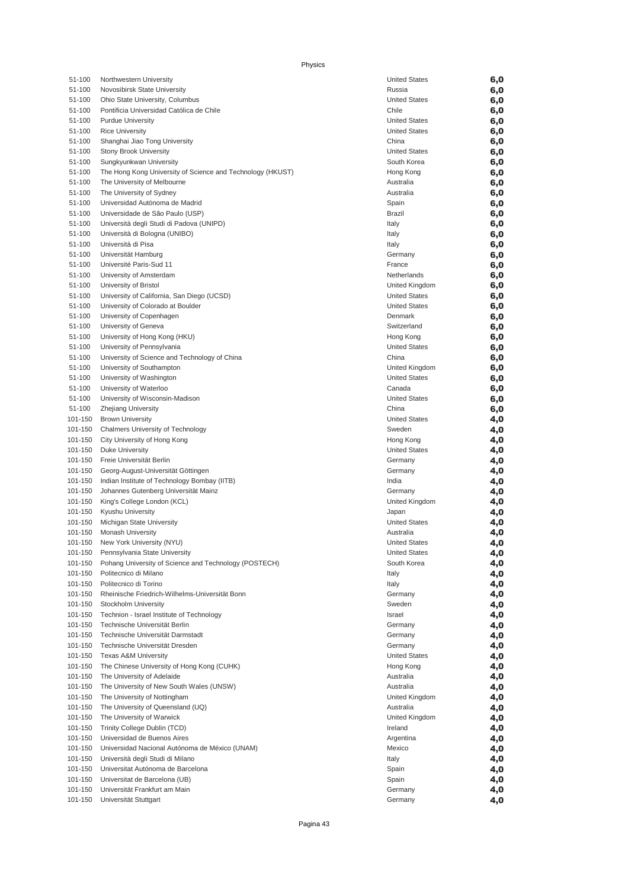| 51-100  | Northwestern University                                    | <b>United States</b> | 6,0 |
|---------|------------------------------------------------------------|----------------------|-----|
| 51-100  | Novosibirsk State University                               | Russia               | 6,0 |
| 51-100  | Ohio State University, Columbus                            | <b>United States</b> | 6,0 |
| 51-100  | Pontificia Universidad Católica de Chile                   | Chile                | 6,0 |
| 51-100  | <b>Purdue University</b>                                   | <b>United States</b> | 6,0 |
| 51-100  | <b>Rice University</b>                                     | <b>United States</b> | 6,0 |
| 51-100  | Shanghai Jiao Tong University                              | China                | 6,0 |
| 51-100  | <b>Stony Brook University</b>                              | <b>United States</b> | 6,0 |
| 51-100  | Sungkyunkwan University                                    | South Korea          |     |
|         |                                                            |                      | 6,0 |
| 51-100  | The Hong Kong University of Science and Technology (HKUST) | Hong Kong            | 6,0 |
| 51-100  | The University of Melbourne                                | Australia            | 6,0 |
| 51-100  | The University of Sydney                                   | Australia            | 6,0 |
| 51-100  | Universidad Autónoma de Madrid                             | Spain                | 6,0 |
| 51-100  | Universidade de São Paulo (USP)                            | <b>Brazil</b>        | 6,0 |
| 51-100  | Università degli Studi di Padova (UNIPD)                   | Italy                | 6,0 |
| 51-100  | Università di Bologna (UNIBO)                              | Italy                | 6,0 |
| 51-100  | Università di Pisa                                         | Italy                | 6,0 |
| 51-100  | Universität Hamburg                                        | Germany              | 6,0 |
| 51-100  | Université Paris-Sud 11                                    | France               | 6,0 |
| 51-100  | University of Amsterdam                                    | Netherlands          | 6,0 |
| 51-100  | University of Bristol                                      | United Kingdom       | 6,0 |
| 51-100  | University of California, San Diego (UCSD)                 | <b>United States</b> | 6,0 |
| 51-100  | University of Colorado at Boulder                          | <b>United States</b> | 6,0 |
| 51-100  | University of Copenhagen                                   | Denmark              | 6,0 |
| 51-100  | University of Geneva                                       | Switzerland          | 6,0 |
| 51-100  | University of Hong Kong (HKU)                              |                      |     |
|         |                                                            | Hong Kong            | 6,0 |
| 51-100  | University of Pennsylvania                                 | <b>United States</b> | 6,0 |
| 51-100  | University of Science and Technology of China              | China                | 6,0 |
| 51-100  | University of Southampton                                  | United Kingdom       | 6,0 |
| 51-100  | University of Washington                                   | <b>United States</b> | 6,0 |
| 51-100  | University of Waterloo                                     | Canada               | 6,0 |
| 51-100  | University of Wisconsin-Madison                            | <b>United States</b> | 6,0 |
| 51-100  | Zhejiang University                                        | China                | 6,0 |
| 101-150 | <b>Brown University</b>                                    | <b>United States</b> | 4,0 |
| 101-150 | Chalmers University of Technology                          | Sweden               | 4,0 |
| 101-150 | City University of Hong Kong                               | Hong Kong            | 4,0 |
| 101-150 | <b>Duke University</b>                                     | <b>United States</b> | 4,0 |
| 101-150 | Freie Universität Berlin                                   | Germany              | 4,0 |
| 101-150 | Georg-August-Universität Göttingen                         | Germany              | 4,0 |
| 101-150 | Indian Institute of Technology Bombay (IITB)               | India                | 4,0 |
| 101-150 | Johannes Gutenberg Universität Mainz                       | Germany              | 4,0 |
| 101-150 | King's College London (KCL)                                | United Kingdom       | 4,0 |
| 101-150 | Kyushu University                                          | Japan                | 4,0 |
|         |                                                            | <b>United States</b> |     |
| 101-150 | Michigan State University                                  |                      | 4,0 |
| 101-150 | <b>Monash University</b>                                   | Australia            | 4,0 |
| 101-150 | New York University (NYU)                                  | <b>United States</b> | 4,0 |
| 101-150 | Pennsylvania State University                              | <b>United States</b> | 4,0 |
| 101-150 | Pohang University of Science and Technology (POSTECH)      | South Korea          | 4,0 |
| 101-150 | Politecnico di Milano                                      | Italy                | 4,0 |
| 101-150 | Politecnico di Torino                                      | Italy                | 4,0 |
| 101-150 | Rheinische Friedrich-Wilhelms-Universität Bonn             | Germany              | 4,0 |
| 101-150 | Stockholm University                                       | Sweden               | 4,0 |
| 101-150 | Technion - Israel Institute of Technology                  | Israel               | 4,0 |
| 101-150 | Technische Universität Berlin                              | Germany              | 4,0 |
| 101-150 | Technische Universität Darmstadt                           | Germany              | 4,0 |
| 101-150 | Technische Universität Dresden                             | Germany              | 4,0 |
| 101-150 | <b>Texas A&amp;M University</b>                            | <b>United States</b> | 4,0 |
| 101-150 | The Chinese University of Hong Kong (CUHK)                 | Hong Kong            | 4,0 |
| 101-150 | The University of Adelaide                                 | Australia            | 4,0 |
| 101-150 | The University of New South Wales (UNSW)                   | Australia            |     |
| 101-150 | The University of Nottingham                               | United Kingdom       | 4,0 |
|         |                                                            |                      | 4,0 |
| 101-150 | The University of Queensland (UQ)                          | Australia            | 4,0 |
| 101-150 | The University of Warwick                                  | United Kingdom       | 4,0 |
| 101-150 | Trinity College Dublin (TCD)                               | Ireland              | 4,0 |
| 101-150 | Universidad de Buenos Aires                                | Argentina            | 4,0 |
| 101-150 | Universidad Nacional Autónoma de México (UNAM)             | Mexico               | 4,0 |
| 101-150 | Università degli Studi di Milano                           | Italy                | 4,0 |
| 101-150 | Universitat Autónoma de Barcelona                          | Spain                | 4,0 |
| 101-150 | Universitat de Barcelona (UB)                              | Spain                | 4,0 |
| 101-150 | Universität Frankfurt am Main                              | Germany              | 4,0 |
| 101-150 | Universität Stuttgart                                      | Germany              | 4,0 |
|         |                                                            |                      |     |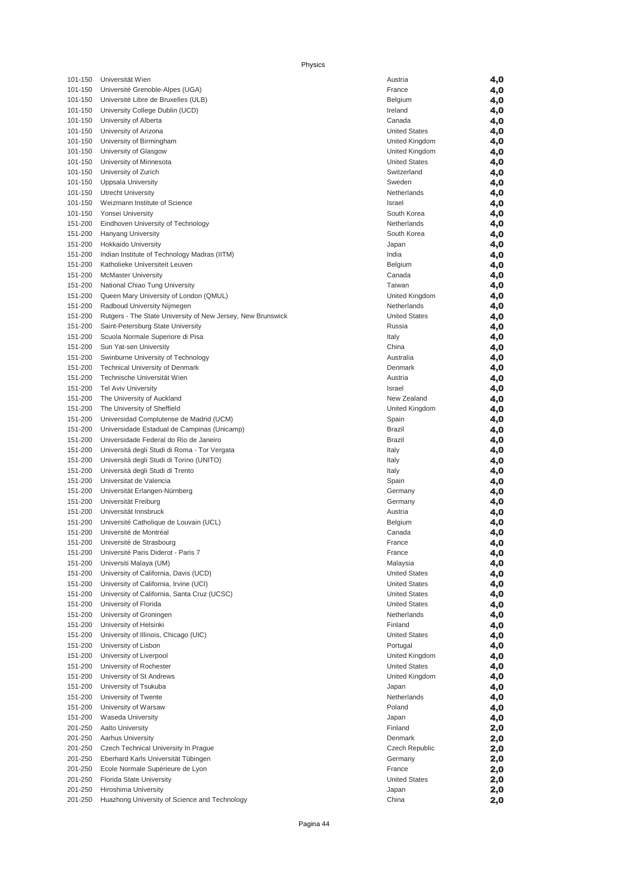| 101-150 | Universität Wien                                            | Austria              | 4,0 |
|---------|-------------------------------------------------------------|----------------------|-----|
| 101-150 | Université Grenoble-Alpes (UGA)                             | France               | 4,0 |
| 101-150 | Université Libre de Bruxelles (ULB)                         | Belgium              | 4,0 |
| 101-150 | University College Dublin (UCD)                             | Ireland              | 4,0 |
| 101-150 | University of Alberta                                       | Canada               | 4,0 |
| 101-150 | University of Arizona                                       | <b>United States</b> | 4,0 |
| 101-150 | University of Birmingham                                    | United Kingdom       | 4,0 |
| 101-150 | University of Glasgow                                       | United Kingdom       | 4,0 |
| 101-150 | University of Minnesota                                     | <b>United States</b> | 4,0 |
| 101-150 |                                                             | Switzerland          |     |
|         | University of Zurich                                        |                      | 4,0 |
| 101-150 | Uppsala University                                          | Sweden               | 4,0 |
| 101-150 | <b>Utrecht University</b>                                   | Netherlands          | 4,0 |
| 101-150 | Weizmann Institute of Science                               | Israel               | 4,0 |
| 101-150 | Yonsei University                                           | South Korea          | 4,0 |
| 151-200 | Eindhoven University of Technology                          | Netherlands          | 4,0 |
| 151-200 | Hanyang University                                          | South Korea          | 4,0 |
| 151-200 | Hokkaido University                                         | Japan                | 4,0 |
| 151-200 | Indian Institute of Technology Madras (IITM)                | India                | 4,0 |
| 151-200 | Katholieke Universiteit Leuven                              | Belgium              | 4,0 |
| 151-200 | <b>McMaster University</b>                                  | Canada               | 4,0 |
| 151-200 | National Chiao Tung University                              | Taiwan               | 4,0 |
| 151-200 | Queen Mary University of London (QMUL)                      | United Kingdom       | 4,0 |
| 151-200 | Radboud University Nijmegen                                 | Netherlands          | 4,0 |
| 151-200 | Rutgers - The State University of New Jersey, New Brunswick | <b>United States</b> | 4,0 |
| 151-200 | Saint-Petersburg State University                           | Russia               | 4,0 |
| 151-200 | Scuola Normale Superiore di Pisa                            | Italy                | 4,0 |
| 151-200 | Sun Yat-sen University                                      | China                | 4,0 |
| 151-200 | Swinburne University of Technology                          | Australia            | 4,0 |
| 151-200 | <b>Technical University of Denmark</b>                      | Denmark              |     |
|         | Technische Universität Wien                                 | Austria              | 4,0 |
| 151-200 |                                                             |                      | 4,0 |
| 151-200 | <b>Tel Aviv University</b>                                  | Israel               | 4,0 |
| 151-200 | The University of Auckland                                  | New Zealand          | 4,0 |
| 151-200 | The University of Sheffield                                 | United Kingdom       | 4,0 |
| 151-200 | Universidad Complutense de Madrid (UCM)                     | Spain                | 4,0 |
| 151-200 | Universidade Estadual de Campinas (Unicamp)                 | Brazil               | 4,0 |
| 151-200 | Universidade Federal do Rio de Janeiro                      | <b>Brazil</b>        | 4,0 |
| 151-200 | Universitá degli Studi di Roma - Tor Vergata                | Italy                | 4,0 |
| 151-200 | Università degli Studi di Torino (UNITO)                    | Italy                | 4,0 |
| 151-200 | Università degli Studi di Trento                            | Italy                | 4,0 |
| 151-200 | Universitat de Valencia                                     | Spain                | 4,0 |
| 151-200 | Universität Erlangen-Nürnberg                               | Germany              | 4,0 |
| 151-200 | Universität Freiburg                                        | Germany              | 4,0 |
| 151-200 | Universität Innsbruck                                       | Austria              | 4,0 |
| 151-200 | Université Catholique de Louvain (UCL)                      | Belgium              | 4,0 |
| 151-200 | Université de Montréal                                      | Canada               | 4,0 |
| 151-200 | Université de Strasbourg                                    | France               | 4,0 |
| 151-200 | Université Paris Diderot - Paris 7                          | France               | 4,0 |
| 151-200 | Universiti Malaya (UM)                                      | Malaysia             | 4,0 |
| 151-200 | University of California, Davis (UCD)                       | <b>United States</b> | 4,0 |
| 151-200 | University of California, Irvine (UCI)                      | <b>United States</b> | 4,0 |
| 151-200 | University of California, Santa Cruz (UCSC)                 | <b>United States</b> |     |
|         |                                                             |                      | 4,0 |
| 151-200 | University of Florida                                       | <b>United States</b> | 4,0 |
| 151-200 | University of Groningen                                     | Netherlands          | 4,0 |
| 151-200 | University of Helsinki                                      | Finland              | 4,0 |
| 151-200 | University of Illinois, Chicago (UIC)                       | <b>United States</b> | 4,0 |
| 151-200 | University of Lisbon                                        | Portugal             | 4,0 |
| 151-200 | University of Liverpool                                     | United Kingdom       | 4,0 |
| 151-200 | University of Rochester                                     | <b>United States</b> | 4,0 |
| 151-200 | University of St Andrews                                    | United Kingdom       | 4,0 |
| 151-200 | University of Tsukuba                                       | Japan                | 4,0 |
| 151-200 | University of Twente                                        | Netherlands          | 4,0 |
| 151-200 | University of Warsaw                                        | Poland               | 4,0 |
| 151-200 | <b>Waseda University</b>                                    | Japan                | 4,0 |
| 201-250 | Aalto University                                            | Finland              | 2,0 |
| 201-250 | <b>Aarhus University</b>                                    | Denmark              | 2,0 |
| 201-250 | Czech Technical University In Prague                        | Czech Republic       | 2,0 |
| 201-250 | Eberhard Karls Universität Tübingen                         | Germany              | 2,0 |
| 201-250 | Ecole Normale Supérieure de Lyon                            | France               | 2,0 |
| 201-250 | Florida State University                                    | <b>United States</b> | 2,0 |
| 201-250 | Hiroshima University                                        | Japan                | 2,0 |
| 201-250 | Huazhong University of Science and Technology               | China                | 2,0 |
|         |                                                             |                      |     |

| Austria              | 4,0 |
|----------------------|-----|
|                      |     |
| France               | 4,0 |
| Belgium              | 4,0 |
| Ireland              | 4,0 |
| Canada               | 4,0 |
| <b>United States</b> | 4,0 |
|                      |     |
| United Kingdom       | 4,0 |
| United Kingdom       | 4,0 |
| <b>United States</b> | 4,0 |
| Switzerland          | 4,0 |
| Sweden               | 4,0 |
|                      |     |
| Netherlands          | 4,0 |
| Israel               | 4,0 |
| South Korea          | 4,0 |
| Netherlands          | 4,0 |
| South Korea          |     |
|                      | 4,0 |
| Japan                | 4,0 |
| India                | 4,0 |
| Belgium              | 4,0 |
| Canada               | 4,0 |
| Taiwan               | 4,0 |
|                      |     |
| United Kingdom       | 4,0 |
| Netherlands          | 4,0 |
| <b>United States</b> | 4,0 |
| Russia               | 4,0 |
|                      |     |
| Italy                | 4,0 |
| China                | 4,0 |
| Australia            | 4,0 |
| Denmark              | 4,0 |
| Austria              | 4,0 |
|                      |     |
| Israel               | 4,0 |
| New Zealand          | 4,0 |
| United Kingdom       | 4,0 |
| Spain                | 4,0 |
| Brazil               | 4,0 |
|                      |     |
| Brazil               | 4,0 |
| Italy                | 4,0 |
| Italy                | 4,0 |
| Italy                | 4,0 |
| Spain                | 4,0 |
|                      |     |
| Germany              | 4,0 |
| Germany              | 4,0 |
| Austria              | 4,0 |
| Belgium              | 4,0 |
| Canada               | 4,0 |
|                      |     |
| France               | 4,0 |
| France               | 4,0 |
| Malaysia             | 4,0 |
| <b>United States</b> | 4,0 |
| <b>United States</b> | 4,0 |
|                      |     |
| <b>United States</b> | 4,0 |
| <b>United States</b> | 4,0 |
| Netherlands          | 4,0 |
| Finland              | 4,0 |
| <b>United States</b> | 4,0 |
|                      |     |
| Portugal             | 4,0 |
| United Kingdom       | 4,0 |
| <b>United States</b> | 4,0 |
| United Kingdom       | 4,0 |
| Japan                | 4,0 |
|                      |     |
| Netherlands          | 4,0 |
| Poland               | 4,0 |
| Japan                | 4,0 |
| Finland              | 2,0 |
| Denmark              | 2,0 |
|                      |     |
| Czech Republic       | 2,0 |
| Germany              | 2,0 |
| France               | 2,0 |
| <b>United States</b> | 2,0 |
|                      |     |
| Japan                | 2,0 |
| China                | 2.0 |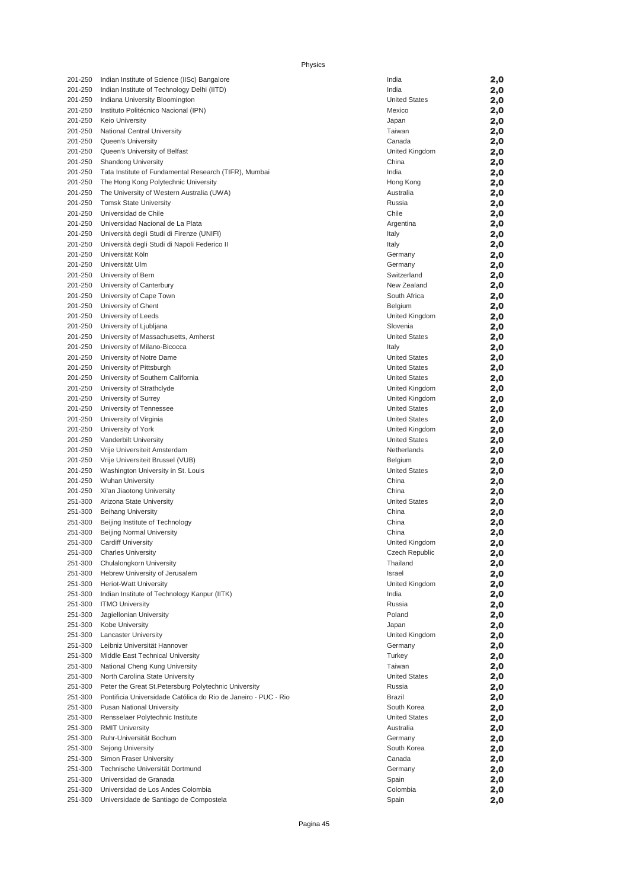| 201-250            | Indian Institute of Science (IISc) Bangalore                   | India                                  | 2,0        |
|--------------------|----------------------------------------------------------------|----------------------------------------|------------|
| 201-250            | Indian Institute of Technology Delhi (IITD)                    | India                                  | 2,0        |
| 201-250            | Indiana University Bloomington                                 | <b>United States</b>                   | 2,0        |
| 201-250            | Instituto Politécnico Nacional (IPN)                           | Mexico                                 | 2,0        |
| 201-250            | <b>Keio University</b>                                         | Japan                                  | 2,0        |
| 201-250            | National Central University                                    | Taiwan                                 | 2,0        |
| 201-250            | Queen's University                                             | Canada                                 | 2,0        |
| 201-250            | Queen's University of Belfast                                  | United Kingdom                         | 2,0        |
| 201-250            | <b>Shandong University</b>                                     | China                                  | 2,0        |
| 201-250            | Tata Institute of Fundamental Research (TIFR), Mumbai          | India                                  | 2,0        |
| 201-250            | The Hong Kong Polytechnic University                           | Hong Kong                              | 2,0        |
| 201-250            | The University of Western Australia (UWA)                      | Australia                              | 2,0        |
| 201-250            | <b>Tomsk State University</b>                                  | Russia                                 | 2,0        |
| 201-250            | Universidad de Chile                                           | Chile                                  | 2,0        |
| 201-250            | Universidad Nacional de La Plata                               | Argentina                              | 2,0        |
| 201-250            | Università degli Studi di Firenze (UNIFI)                      | Italy                                  | 2,0        |
| 201-250            | Università degli Studi di Napoli Federico II                   | Italy                                  | 2,0        |
| 201-250            | Universität Köln                                               | Germany                                | 2,0        |
| 201-250            | Universität Ulm                                                | Germany                                | 2,0        |
| 201-250            | University of Bern                                             | Switzerland                            | 2,0        |
| 201-250            | University of Canterbury                                       | New Zealand                            | 2,0        |
| 201-250            | University of Cape Town                                        | South Africa                           | 2,0        |
| 201-250            | University of Ghent                                            | Belgium                                | 2,0        |
| 201-250            | University of Leeds                                            | United Kingdom                         | 2,0        |
| 201-250            | University of Ljubljana                                        | Slovenia                               | 2,0        |
| 201-250            | University of Massachusetts, Amherst                           | <b>United States</b>                   | 2,0        |
| 201-250            | University of Milano-Bicocca                                   | Italy                                  | 2,0        |
| 201-250            | University of Notre Dame                                       | <b>United States</b>                   | 2,0        |
| 201-250            | University of Pittsburgh                                       | <b>United States</b>                   | 2,0        |
| 201-250            | University of Southern California                              | <b>United States</b>                   | 2,0        |
| 201-250            | University of Strathclyde                                      | United Kingdom                         | 2,0        |
| 201-250            | University of Surrey                                           | United Kingdom                         | 2,0        |
| 201-250            | University of Tennessee                                        | <b>United States</b>                   | 2,0        |
| 201-250<br>201-250 | University of Virginia                                         | <b>United States</b>                   | 2,0        |
| 201-250            | University of York<br>Vanderbilt University                    | United Kingdom<br><b>United States</b> | 2,0        |
| 201-250            | Vrije Universiteit Amsterdam                                   | Netherlands                            | 2,0        |
| 201-250            | Vrije Universiteit Brussel (VUB)                               | Belgium                                | 2,0<br>2,0 |
| 201-250            | Washington University in St. Louis                             | <b>United States</b>                   | 2,0        |
| 201-250            | <b>Wuhan University</b>                                        | China                                  | 2,0        |
| 201-250            | Xi'an Jiaotong University                                      | China                                  | 2,0        |
| 251-300            | Arizona State University                                       | <b>United States</b>                   | 2,0        |
| 251-300            | <b>Beihang University</b>                                      | China                                  | 2,0        |
| 251-300            | Beijing Institute of Technology                                | China                                  | 2,0        |
| 251-300            | Beijing Normal University                                      | China                                  | 2,0        |
| 251-300            | <b>Cardiff University</b>                                      | United Kingdom                         | 2,0        |
| 251-300            | <b>Charles University</b>                                      | <b>Czech Republic</b>                  | 2,0        |
| 251-300            | Chulalongkorn University                                       | Thailand                               | 2,0        |
| 251-300            | Hebrew University of Jerusalem                                 | Israel                                 | 2,0        |
| 251-300            | Heriot-Watt University                                         | United Kingdom                         | 2,0        |
| 251-300            | Indian Institute of Technology Kanpur (IITK)                   | India                                  | 2,0        |
| 251-300            | <b>ITMO University</b>                                         | Russia                                 | 2,0        |
| 251-300            | Jagiellonian University                                        | Poland                                 | 2,0        |
| 251-300            | Kobe University                                                | Japan                                  | 2,0        |
| 251-300            | <b>Lancaster University</b>                                    | United Kingdom                         | 2,0        |
| 251-300            | Leibniz Universität Hannover                                   | Germany                                | 2,0        |
| 251-300            | Middle East Technical University                               | Turkey                                 | 2,0        |
| 251-300            | National Cheng Kung University                                 | Taiwan                                 | 2,0        |
| 251-300            | North Carolina State University                                | <b>United States</b>                   | 2,0        |
| 251-300            | Peter the Great St. Petersburg Polytechnic University          | Russia                                 | 2,0        |
| 251-300            | Pontificia Universidade Católica do Rio de Janeiro - PUC - Rio | <b>Brazil</b>                          | 2,0        |
| 251-300            | Pusan National University                                      | South Korea                            | 2,0        |
| 251-300            | Rensselaer Polytechnic Institute                               | <b>United States</b>                   | 2,0        |
| 251-300            | <b>RMIT University</b>                                         | Australia                              | 2,0        |
| 251-300            | Ruhr-Universität Bochum                                        | Germany                                | 2,0        |
| 251-300            | Sejong University                                              | South Korea                            | 2,0        |
| 251-300            | Simon Fraser University                                        | Canada                                 | 2,0        |
| 251-300            | Technische Universität Dortmund<br>Universidad de Granada      | Germany                                | 2,0        |
| 251-300<br>251-300 | Universidad de Los Andes Colombia                              | Spain<br>Colombia                      | 2,0        |
|                    |                                                                |                                        | 2,0        |

| 201-250            | Indian Institute of Science (IISc) Bangalore                               | India                            | 2,0        |
|--------------------|----------------------------------------------------------------------------|----------------------------------|------------|
| 201-250            | Indian Institute of Technology Delhi (IITD)                                | India                            | 2,0        |
| 201-250            | Indiana University Bloomington                                             | <b>United States</b>             | 2,0        |
| 201-250            | Instituto Politécnico Nacional (IPN)                                       | Mexico                           | 2,0        |
| 201-250            | <b>Keio University</b>                                                     | Japan                            | 2,0        |
| 201-250            | National Central University                                                | Taiwan                           | 2,0        |
| 201-250            | <b>Queen's University</b>                                                  | Canada                           | 2,0        |
| 201-250            | Queen's University of Belfast                                              | United Kingdom                   | 2,0        |
| 201-250            | <b>Shandong University</b>                                                 | China                            | 2,0        |
| 201-250            | Tata Institute of Fundamental Research (TIFR), Mumbai                      | India                            | 2,0        |
| 201-250<br>201-250 | The Hong Kong Polytechnic University                                       | Hong Kong<br>Australia           | 2,0        |
| 201-250            | The University of Western Australia (UWA)<br><b>Tomsk State University</b> | Russia                           | 2,0<br>2,0 |
| 201-250            | Universidad de Chile                                                       | Chile                            | 2,0        |
| 201-250            | Universidad Nacional de La Plata                                           | Argentina                        | 2,0        |
| 201-250            | Università degli Studi di Firenze (UNIFI)                                  | Italy                            | 2,0        |
| 201-250            | Università degli Studi di Napoli Federico II                               | Italy                            | 2,0        |
| 201-250            | Universität Köln                                                           | Germany                          | 2,0        |
| 201-250            | Universität Ulm                                                            | Germany                          | 2,0        |
| 201-250            | University of Bern                                                         | Switzerland                      | 2,0        |
| 201-250            | University of Canterbury                                                   | New Zealand                      | 2,0        |
| 201-250            | University of Cape Town                                                    | South Africa                     | 2,0        |
| 201-250            | University of Ghent                                                        | Belgium                          | 2,0        |
| 201-250            | University of Leeds                                                        | United Kingdom                   | 2,0        |
| 201-250            | University of Ljubljana                                                    | Slovenia                         | 2,0        |
| 201-250            | University of Massachusetts, Amherst                                       | <b>United States</b>             | 2,0        |
| 201-250            | University of Milano-Bicocca                                               | Italy                            | 2,0        |
| 201-250            | University of Notre Dame                                                   | <b>United States</b>             | 2,0        |
| 201-250            | University of Pittsburgh                                                   | <b>United States</b>             | 2,0        |
| 201-250            | University of Southern California                                          | <b>United States</b>             | 2,0        |
| 201-250<br>201-250 | University of Strathclyde<br>University of Surrey                          | United Kingdom<br>United Kingdom | 2,0<br>2,0 |
| 201-250            | University of Tennessee                                                    | <b>United States</b>             | 2,0        |
| 201-250            | University of Virginia                                                     | <b>United States</b>             | 2,0        |
| 201-250            | University of York                                                         | United Kingdom                   | 2,0        |
| 201-250            | Vanderbilt University                                                      | <b>United States</b>             | 2,0        |
| 201-250            | Vrije Universiteit Amsterdam                                               | Netherlands                      | 2,0        |
| 201-250            | Vrije Universiteit Brussel (VUB)                                           | Belgium                          | 2,0        |
| 201-250            | Washington University in St. Louis                                         | <b>United States</b>             | 2,0        |
| 201-250            | <b>Wuhan University</b>                                                    | China                            | 2,0        |
| 201-250            | Xi'an Jiaotong University                                                  | China                            | 2,0        |
| 251-300            | Arizona State University                                                   | <b>United States</b>             | 2,0        |
| 251-300            | <b>Beihang University</b>                                                  | China                            | 2,0        |
| 251-300            | Beijing Institute of Technology                                            | China                            | 2,0        |
| 251-300            | <b>Beijing Normal University</b>                                           | China                            | 2,0        |
| 251-300            | Cardiff University                                                         | United Kingdom                   | 2,0        |
| 251-300            | <b>Charles University</b>                                                  | Czech Republic                   | 2,0        |
| 251-300            | Chulalongkorn University                                                   | Thailand                         | 2,0        |
| 251-300            | Hebrew University of Jerusalem<br>Heriot-Watt University                   | Israel                           | 2,0        |
| 251-300<br>251-300 | Indian Institute of Technology Kanpur (IITK)                               | United Kingdom<br>India          | 2,0<br>2,0 |
| 251-300            | <b>ITMO University</b>                                                     | Russia                           | 2,0        |
| 251-300            | Jagiellonian University                                                    | Poland                           | 2,0        |
| 251-300            | Kobe University                                                            | Japan                            | 2,0        |
| 251-300            | <b>Lancaster University</b>                                                | United Kingdom                   | 2,0        |
| 251-300            | Leibniz Universität Hannover                                               | Germany                          | 2,0        |
| 251-300            | Middle East Technical University                                           | Turkey                           | 2,0        |
| 251-300            | National Cheng Kung University                                             | Taiwan                           | 2,0        |
| 251-300            | North Carolina State University                                            | <b>United States</b>             | 2,0        |
| 251-300            | Peter the Great St. Petersburg Polytechnic University                      | Russia                           | 2,0        |
| 251-300            | Pontificia Universidade Católica do Rio de Janeiro - PUC - Rio             | Brazil                           | 2,0        |
| 251-300            | <b>Pusan National University</b>                                           | South Korea                      | 2,0        |
| 251-300            | Rensselaer Polytechnic Institute                                           | <b>United States</b>             | 2,0        |
| 251-300            | <b>RMIT University</b>                                                     | Australia                        | 2,0        |
| 251-300            | Ruhr-Universität Bochum                                                    | Germany                          | 2,0        |
| 251-300            | Sejong University                                                          | South Korea                      | 2,0        |
| 251-300            | Simon Fraser University                                                    | Canada                           | 2,0        |
| 251-300            | Technische Universität Dortmund                                            | Germany                          | 2,0        |
| 251-300            | Universidad de Granada                                                     | Spain                            | 2,0        |
| 251-300            | Universidad de Los Andes Colombia                                          | Colombia                         | 2,0        |
| 251-300            | Universidade de Santiago de Compostela                                     | Spain                            | 2,0        |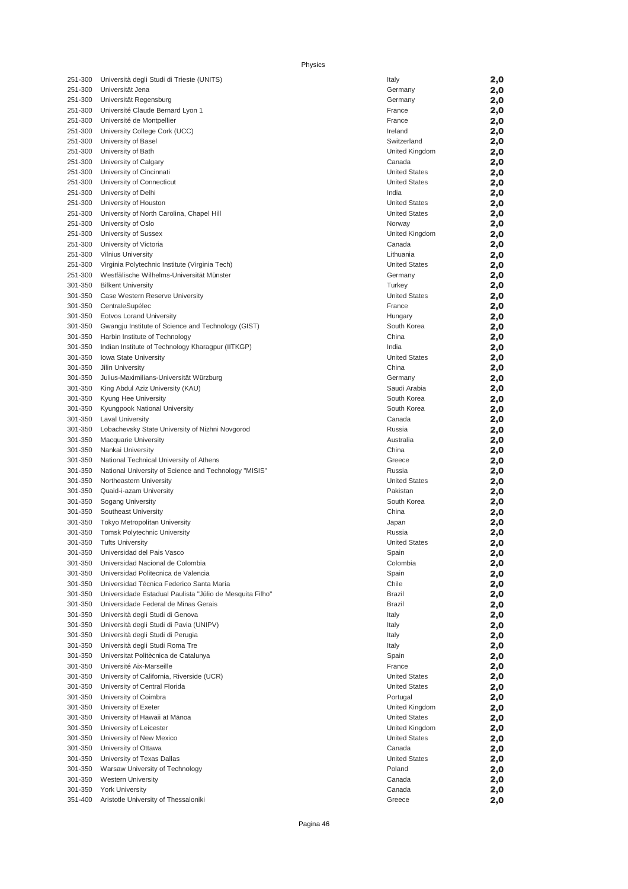| 251-300            | Università degli Studi di Trieste (UNITS)                | Italy                      | 2,0        |
|--------------------|----------------------------------------------------------|----------------------------|------------|
| 251-300            | Universität Jena                                         | Germany                    | 2,0        |
| 251-300            | Universität Regensburg                                   | Germany                    | 2,0        |
| 251-300            | Université Claude Bernard Lyon 1                         | France                     | 2,0        |
| 251-300            | Université de Montpellier                                | France                     | 2,0        |
| 251-300            | University College Cork (UCC)                            | Ireland                    | 2,0        |
| 251-300            | University of Basel                                      | Switzerland                | 2,0        |
| 251-300            | University of Bath                                       | United Kingdom             | 2,0        |
| 251-300            | University of Calgary                                    | Canada                     | 2,0        |
| 251-300            | University of Cincinnati                                 | <b>United States</b>       | 2,0        |
| 251-300            | University of Connecticut                                | <b>United States</b>       | 2,0        |
| 251-300            | University of Delhi                                      | India                      | 2,0        |
| 251-300            | University of Houston                                    | <b>United States</b>       | 2,0        |
| 251-300            | University of North Carolina, Chapel Hill                | <b>United States</b>       | 2,0        |
| 251-300            | University of Oslo                                       | Norway                     | 2,0        |
| 251-300            | University of Sussex                                     | United Kingdom             | 2,0        |
| 251-300            | University of Victoria                                   | Canada                     | 2,0        |
| 251-300            | <b>Vilnius University</b>                                | Lithuania                  | 2,0        |
| 251-300            | Virginia Polytechnic Institute (Virginia Tech)           | <b>United States</b>       | 2,0        |
| 251-300            | Westfälische Wilhelms-Universität Münster                | Germany                    | 2,0        |
| 301-350            | <b>Bilkent University</b>                                | Turkey                     | 2,0        |
| 301-350            | Case Western Reserve University                          | <b>United States</b>       | 2,0        |
| 301-350            | CentraleSupélec                                          | France                     | 2,0        |
| 301-350            | <b>Eotvos Lorand University</b>                          | Hungary                    | 2,0        |
| 301-350            | Gwangju Institute of Science and Technology (GIST)       | South Korea                | 2,0        |
| 301-350            | Harbin Institute of Technology                           | China                      | 2,0        |
| 301-350            | Indian Institute of Technology Kharagpur (IITKGP)        | India                      | 2,0        |
| 301-350            | <b>Iowa State University</b>                             | <b>United States</b>       | 2,0        |
| 301-350            | Jilin University                                         | China                      | 2,0        |
| 301-350<br>301-350 | Julius-Maximilians-Universität Würzburg                  | Germany<br>Saudi Arabia    | 2,0        |
| 301-350            | King Abdul Aziz University (KAU)<br>Kyung Hee University | South Korea                | 2,0<br>2,0 |
| 301-350            | Kyungpook National University                            | South Korea                | 2,0        |
| 301-350            | <b>Laval University</b>                                  | Canada                     | 2,0        |
| 301-350            | Lobachevsky State University of Nizhni Novgorod          | Russia                     | 2,0        |
| 301-350            | <b>Macquarie University</b>                              | Australia                  | 2,0        |
| 301-350            | Nankai University                                        | China                      | 2,0        |
| 301-350            | National Technical University of Athens                  | Greece                     | 2,0        |
| 301-350            | National University of Science and Technology "MISIS"    | Russia                     | 2,0        |
| 301-350            | Northeastern University                                  | <b>United States</b>       | 2,0        |
| 301-350            | Quaid-i-azam University                                  | Pakistan                   | 2,0        |
| 301-350            | Sogang University                                        | South Korea                | 2,0        |
| 301-350            | Southeast University                                     | China                      | 2,0        |
| 301-350            | Tokyo Metropolitan University                            | Japan                      | 2,0        |
| 301-350            | <b>Tomsk Polytechnic University</b>                      | Russia                     | 2,0        |
| 301-350            | <b>Tufts University</b>                                  | <b>United States</b>       | 2,0        |
| 301-350            | Universidad del Pais Vasco                               | Spain                      | 2,0        |
| 301-350            | Universidad Nacional de Colombia                         | Colombia                   | 2,0        |
| 301-350            | Universidad Politecnica de Valencia                      | Spain                      | 2,0        |
| 301-350            | Universidad Técnica Federico Santa María                 | Chile                      | 2,0        |
| 301-350            | Universidade Estadual Paulista "Júlio de Mesquita Filho" | Brazil                     | 2,0        |
| 301-350            | Universidade Federal de Minas Gerais                     | Brazil                     | 2,0        |
| 301-350            | Università degli Studi di Genova                         | Italy                      | 2,0        |
| 301-350            | Università degli Studi di Pavia (UNIPV)                  | Italy                      | 2,0        |
| 301-350            | Università degli Studi di Perugia                        | Italy                      | 2,0        |
| 301-350            | Università degli Studi Roma Tre                          | Italy                      | 2,0        |
| 301-350            | Universitat Politècnica de Catalunya                     | Spain                      | 2,0        |
| 301-350            | Université Aix-Marseille                                 | France                     | 2,0        |
| 301-350            | University of California, Riverside (UCR)                | <b>United States</b>       | 2,0        |
| 301-350            | University of Central Florida                            | <b>United States</b>       | 2,0        |
| 301-350<br>301-350 | University of Coimbra<br>University of Exeter            | Portugal<br>United Kingdom | 2,0        |
| 301-350            | University of Hawaii at Mānoa                            | <b>United States</b>       | 2,0<br>2,0 |
| 301-350            | University of Leicester                                  | United Kingdom             | 2,0        |
| 301-350            | University of New Mexico                                 | <b>United States</b>       | 2,0        |
| 301-350            | University of Ottawa                                     | Canada                     | 2,0        |
| 301-350            | University of Texas Dallas                               | <b>United States</b>       | 2,0        |
| 301-350            | Warsaw University of Technology                          | Poland                     | 2,0        |
| 301-350            | <b>Western University</b>                                | Canada                     | 2,0        |
| 301-350            | <b>York University</b>                                   | Canada                     | 2,0        |
| 351-400            | Aristotle University of Thessaloniki                     | Greece                     | 2,0        |

|   | Italy                | 2,0 |
|---|----------------------|-----|
|   | Germany              | 2,0 |
|   | Germany              | 2,0 |
|   |                      |     |
|   | France               | 2,0 |
|   | France               | 2,0 |
|   | Ireland              | 2,0 |
|   | Switzerland          | 2,0 |
|   | United Kingdom       | 2,0 |
|   | Canada               | 2,0 |
|   | <b>United States</b> | 2,0 |
|   | <b>United States</b> | 2,0 |
|   | India                | 2,0 |
|   | <b>United States</b> | 2,0 |
|   |                      |     |
|   | <b>United States</b> | 2,0 |
|   | Norway               | 2,0 |
|   | United Kingdom       | 2,0 |
|   | Canada               | 2,0 |
|   | Lithuania            | 2,0 |
|   | <b>United States</b> | 2,0 |
|   | Germany              | 2,0 |
|   | Turkey               | 2,0 |
|   | <b>United States</b> | 2,0 |
|   | France               |     |
|   |                      | 2,0 |
|   | Hungary              | 2,0 |
|   | South Korea          | 2,0 |
|   | China                | 2,0 |
|   | India                | 2,0 |
|   | <b>United States</b> | 2,0 |
|   | China                | 2,0 |
|   | Germany              | 2,0 |
|   | Saudi Arabia         | 2,0 |
|   | South Korea          | 2,0 |
|   | South Korea          |     |
|   |                      | 2,0 |
|   | Canada               | 2,0 |
|   | Russia               | 2,0 |
|   | Australia            | 2,0 |
|   | China                | 2,0 |
|   | Greece               | 2,0 |
|   | Russia               | 2,0 |
|   | <b>United States</b> | 2,0 |
|   | Pakistan             | 2,0 |
|   | South Korea          | 2,0 |
|   |                      |     |
|   | China                | 2,0 |
|   | Japan                | 2,0 |
|   | Russia               | 2,0 |
|   | <b>United States</b> | 2,0 |
|   | Spain                | 2,0 |
|   | Colombia             | 2,0 |
|   | Spain                | 2,0 |
|   | Chile                | 2,0 |
| n | Brazil               | 2,0 |
|   | Brazil               | 2,0 |
|   |                      |     |
|   | Italy                | 2,0 |
|   | Italy                | 2,0 |
|   | Italy                | 2,0 |
|   | Italy                | 2,0 |
|   | Spain                | 2,0 |
|   | France               | 2,0 |
|   | <b>United States</b> | 2,0 |
|   | <b>United States</b> | 2,0 |
|   | Portugal             | 2,0 |
|   | United Kingdom       | 2,0 |
|   | <b>United States</b> |     |
|   |                      | 2,0 |
|   | United Kingdom       | 2,0 |
|   | <b>United States</b> | 2,0 |
|   | Canada               | 2,0 |
|   | <b>United States</b> | 2,0 |
|   | Poland               | 2,0 |
|   | Canada               | 2,0 |
|   | Canada               | 2,0 |
|   | Greece               | 2,0 |
|   |                      |     |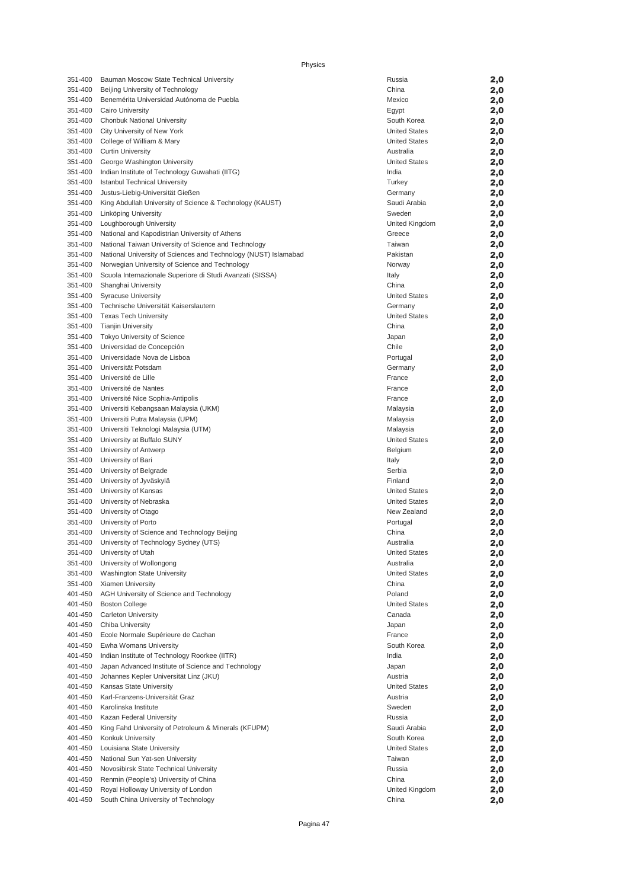|                    | Physics                                                                          |                                     |            |
|--------------------|----------------------------------------------------------------------------------|-------------------------------------|------------|
| 351-400            | Bauman Moscow State Technical University                                         | Russia                              | 2,0        |
| 351-400            | Beijing University of Technology                                                 | China                               | 2,0        |
| 351-400            | Benemérita Universidad Autónoma de Puebla                                        | Mexico                              | 2,0        |
| 351-400            | Cairo University                                                                 | Egypt                               | 2,0        |
| 351-400            | Chonbuk National University                                                      | South Korea                         | 2,0        |
| 351-400            | City University of New York                                                      | <b>United States</b>                | 2,0        |
| 351-400            | College of William & Mary                                                        | <b>United States</b>                | 2,0        |
| 351-400            | <b>Curtin University</b>                                                         | Australia<br><b>United States</b>   | 2,0        |
| 351-400<br>351-400 | George Washington University<br>Indian Institute of Technology Guwahati (IITG)   | India                               | 2,0<br>2,0 |
| 351-400            | <b>Istanbul Technical University</b>                                             | Turkey                              | 2,0        |
| 351-400            | Justus-Liebig-Universität Gießen                                                 | Germany                             | 2,0        |
| 351-400            | King Abdullah University of Science & Technology (KAUST)                         | Saudi Arabia                        | 2,0        |
| 351-400            | Linköping University                                                             | Sweden                              | 2,0        |
| 351-400            | Loughborough University                                                          | United Kingdom                      | 2,0        |
| 351-400            | National and Kapodistrian University of Athens                                   | Greece                              | 2,0        |
| 351-400            | National Taiwan University of Science and Technology                             | Taiwan                              | 2,0        |
| 351-400            | National University of Sciences and Technology (NUST) Islamabad                  | Pakistan                            | 2,0        |
| 351-400            | Norwegian University of Science and Technology                                   | Norway                              | 2,0        |
| 351-400<br>351-400 | Scuola Internazionale Superiore di Studi Avanzati (SISSA)<br>Shanghai University | Italy<br>China                      | 2,0        |
| 351-400            | <b>Syracuse University</b>                                                       | <b>United States</b>                | 2,0<br>2,0 |
| 351-400            | Technische Universität Kaiserslautern                                            | Germany                             | 2,0        |
| 351-400            | <b>Texas Tech University</b>                                                     | <b>United States</b>                | 2,0        |
| 351-400            | <b>Tianjin University</b>                                                        | China                               | 2,0        |
| 351-400            | <b>Tokyo University of Science</b>                                               | Japan                               | 2,0        |
| 351-400            | Universidad de Concepción                                                        | Chile                               | 2,0        |
| 351-400            | Universidade Nova de Lisboa                                                      | Portugal                            | 2,0        |
| 351-400            | Universität Potsdam                                                              | Germany                             | 2,0        |
| 351-400            | Université de Lille                                                              | France                              | 2,0        |
| 351-400            | Université de Nantes                                                             | France                              | 2,0        |
| 351-400<br>351-400 | Université Nice Sophia-Antipolis<br>Universiti Kebangsaan Malaysia (UKM)         | France<br>Malaysia                  | 2,0<br>2,0 |
| 351-400            | Universiti Putra Malaysia (UPM)                                                  | Malaysia                            | 2,0        |
| 351-400            | Universiti Teknologi Malaysia (UTM)                                              | Malaysia                            | 2,0        |
| 351-400            | University at Buffalo SUNY                                                       | <b>United States</b>                | 2,0        |
| 351-400            | University of Antwerp                                                            | Belgium                             | 2,0        |
| 351-400            | University of Bari                                                               | Italy                               | 2,0        |
| 351-400            | University of Belgrade                                                           | Serbia                              | 2,0        |
| 351-400            | University of Jyväskylä                                                          | Finland                             | 2,0        |
| 351-400            | University of Kansas                                                             | <b>United States</b>                | 2,0        |
| 351-400<br>351-400 | University of Nebraska                                                           | <b>United States</b><br>New Zealand | 2,0        |
| 351-400            | University of Otago<br>University of Porto                                       | Portugal                            | 2,0<br>2,0 |
| 351-400            | University of Science and Technology Beijing                                     | China                               | 2,0        |
| 351-400            | University of Technology Sydney (UTS)                                            | Australia                           | 2,0        |
| 351-400            | University of Utah                                                               | <b>United States</b>                | 2,0        |
| 351-400            | University of Wollongong                                                         | Australia                           | 2,0        |
| 351-400            | Washington State University                                                      | <b>United States</b>                | 2,0        |
| 351-400            | Xiamen University                                                                | China                               | 2,0        |
| 401-450            | AGH University of Science and Technology                                         | Poland                              | 2,0        |
| 401-450            | <b>Boston College</b>                                                            | <b>United States</b>                | 2,0        |
| 401-450<br>401-450 | <b>Carleton University</b><br>Chiba University                                   | Canada                              | 2,0        |
| 401-450            | Ecole Normale Supérieure de Cachan                                               | Japan<br>France                     | 2,0<br>2,0 |
| 401-450            | Ewha Womans University                                                           | South Korea                         | 2,0        |
| 401-450            | Indian Institute of Technology Roorkee (IITR)                                    | India                               | 2,0        |
| 401-450            | Japan Advanced Institute of Science and Technology                               | Japan                               | 2,0        |
| 401-450            | Johannes Kepler Universität Linz (JKU)                                           | Austria                             | 2,0        |
| 401-450            | Kansas State University                                                          | <b>United States</b>                | 2,0        |
| 401-450            | Karl-Franzens-Universität Graz                                                   | Austria                             | 2,0        |
| 401-450            | Karolinska Institute                                                             | Sweden                              | 2,0        |
| 401-450            | Kazan Federal University                                                         | Russia                              | 2,0        |
| 401-450            | King Fahd University of Petroleum & Minerals (KFUPM)                             | Saudi Arabia                        | 2,0        |
| 401-450<br>401-450 | Konkuk University<br>Louisiana State University                                  | South Korea<br><b>United States</b> | 2,0<br>2,0 |
| 401-450            | National Sun Yat-sen University                                                  | Taiwan                              | 2,0        |
| 401-450            | Novosibirsk State Technical University                                           | Russia                              | 2,0        |
| 401-450            | Renmin (People's) University of China                                            | China                               | 2,0        |
| 401-450            | Royal Holloway University of London                                              | United Kingdom                      | 2,0        |
| 401-450            | South China University of Technology                                             | China                               | 2,0        |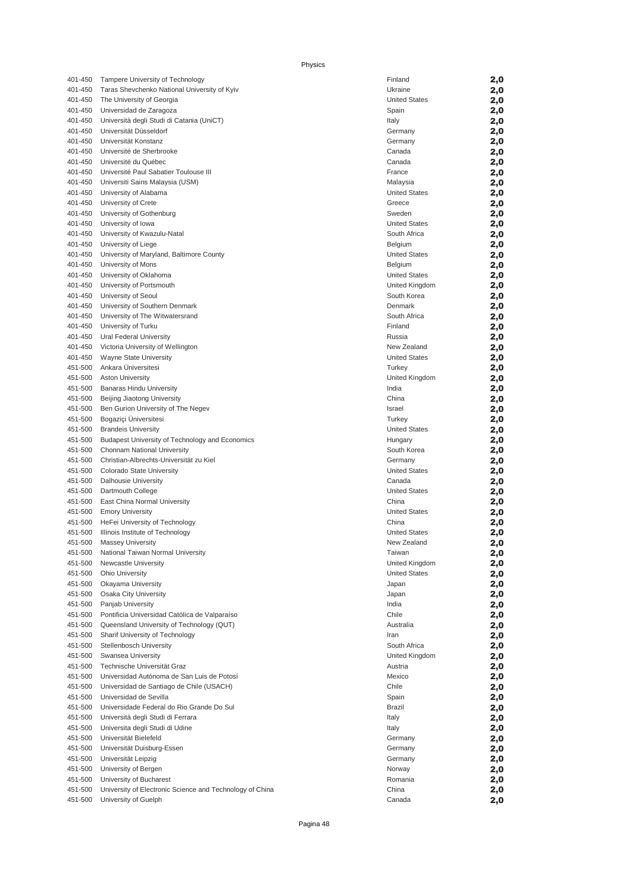| 401-450 | Tampere University of Technology                         | Finland              | 2,0 |
|---------|----------------------------------------------------------|----------------------|-----|
| 401-450 | Taras Shevchenko National University of Kyiv             | Ukraine              | 2,0 |
| 401-450 | The University of Georgia                                | <b>United States</b> | 2,0 |
| 401-450 | Universidad de Zaragoza                                  | Spain                | 2,0 |
| 401-450 | Università degli Studi di Catania (UniCT)                |                      |     |
|         |                                                          | Italy                | 2,0 |
| 401-450 | Universität Düsseldorf                                   | Germany              | 2,0 |
| 401-450 | Universität Konstanz                                     | Germany              | 2,0 |
| 401-450 | Université de Sherbrooke                                 | Canada               | 2,0 |
| 401-450 | Université du Québec                                     | Canada               | 2,0 |
| 401-450 | Université Paul Sabatier Toulouse III                    | France               | 2,0 |
| 401-450 | Universiti Sains Malaysia (USM)                          | Malaysia             | 2,0 |
| 401-450 | University of Alabama                                    | <b>United States</b> | 2,0 |
| 401-450 | University of Crete                                      | Greece               | 2,0 |
| 401-450 | University of Gothenburg                                 | Sweden               |     |
|         |                                                          |                      | 2,0 |
| 401-450 | University of Iowa                                       | <b>United States</b> | 2,0 |
| 401-450 | University of Kwazulu-Natal                              | South Africa         | 2,0 |
| 401-450 | University of Liege                                      | Belgium              | 2,0 |
| 401-450 | University of Maryland, Baltimore County                 | <b>United States</b> | 2,0 |
| 401-450 | University of Mons                                       | Belgium              | 2,0 |
| 401-450 | University of Oklahoma                                   | <b>United States</b> | 2,0 |
| 401-450 | University of Portsmouth                                 | United Kingdom       | 2,0 |
| 401-450 | University of Seoul                                      | South Korea          | 2,0 |
| 401-450 | University of Southern Denmark                           | Denmark              | 2,0 |
| 401-450 | University of The Witwatersrand                          | South Africa         | 2,0 |
| 401-450 | University of Turku                                      | Finland              | 2,0 |
| 401-450 |                                                          | Russia               |     |
|         | Ural Federal University                                  |                      | 2,0 |
| 401-450 | Victoria University of Wellington                        | New Zealand          | 2,0 |
| 401-450 | Wayne State University                                   | <b>United States</b> | 2,0 |
| 451-500 | Ankara Üniversitesi                                      | Turkey               | 2,0 |
| 451-500 | <b>Aston University</b>                                  | United Kingdom       | 2,0 |
| 451-500 | <b>Banaras Hindu University</b>                          | India                | 2,0 |
| 451-500 | Beijing Jiaotong University                              | China                | 2,0 |
| 451-500 | Ben Gurion University of The Negev                       | Israel               | 2,0 |
| 451-500 | Bogaziçi Üniversitesi                                    | Turkey               | 2,0 |
| 451-500 | <b>Brandeis University</b>                               | <b>United States</b> | 2,0 |
| 451-500 | Budapest University of Technology and Economics          | Hungary              | 2,0 |
| 451-500 | Chonnam National University                              | South Korea          | 2,0 |
| 451-500 | Christian-Albrechts-Universität zu Kiel                  | Germany              |     |
|         |                                                          |                      | 2,0 |
| 451-500 | Colorado State University                                | <b>United States</b> | 2,0 |
| 451-500 | Dalhousie University                                     | Canada               | 2,0 |
| 451-500 | Dartmouth College                                        | <b>United States</b> | 2,0 |
| 451-500 | East China Normal University                             | China                | 2,0 |
| 451-500 | <b>Emory University</b>                                  | <b>United States</b> | 2,0 |
| 451-500 | HeFei University of Technology                           | China                | 2,0 |
| 451-500 | Illinois Institute of Technology                         | <b>United States</b> | 2,0 |
| 451-500 | <b>Massey University</b>                                 | New Zealand          | 2,0 |
| 451-500 | National Taiwan Normal University                        | Taiwan               | 2,0 |
| 451-500 | Newcastle University                                     | United Kingdom       | 2,0 |
| 451-500 | <b>Ohio University</b>                                   | <b>United States</b> | 2,0 |
| 451-500 | Okayama University                                       | Japan                | 2,0 |
| 451-500 | Osaka City University                                    | Japan                | 2,0 |
|         |                                                          | India                |     |
| 451-500 | Panjab University                                        |                      | 2,0 |
| 451-500 | Pontificia Universidad Católica de Valparaíso            | Chile                | 2,0 |
| 451-500 | Queensland University of Technology (QUT)                | Australia            | 2,0 |
| 451-500 | Sharif University of Technology                          | Iran                 | 2,0 |
| 451-500 | Stellenbosch University                                  | South Africa         | 2,0 |
| 451-500 | Swansea University                                       | United Kingdom       | 2,0 |
| 451-500 | Technische Universität Graz                              | Austria              | 2,0 |
| 451-500 | Universidad Autónoma de San Luis de Potosí               | Mexico               | 2,0 |
| 451-500 | Universidad de Santiago de Chile (USACH)                 | Chile                | 2,0 |
| 451-500 | Universidad de Sevilla                                   | Spain                | 2,0 |
| 451-500 | Universidade Federal do Rio Grande Do Sul                | Brazil               | 2,0 |
| 451-500 | Università degli Studi di Ferrara                        | Italy                |     |
|         |                                                          |                      | 2,0 |
| 451-500 | Universita degli Studi di Udine                          | Italy                | 2,0 |
| 451-500 | Universität Bielefeld                                    | Germany              | 2,0 |
| 451-500 | Universität Duisburg-Essen                               | Germany              | 2,0 |
| 451-500 | Universität Leipzig                                      | Germany              | 2,0 |
| 451-500 | University of Bergen                                     | Norway               | 2,0 |
| 451-500 | University of Bucharest                                  | Romania              | 2,0 |
| 451-500 | University of Electronic Science and Technology of China | China                | 2,0 |
| 451-500 | University of Guelph                                     | Canada               | 2,0 |

| Finland              | 2,0 |
|----------------------|-----|
| Ukraine              | 2,0 |
|                      |     |
| <b>United States</b> | 2,0 |
| Spain                | 2,0 |
| Italy                | 2,0 |
| Germany              | 2,0 |
| Germany              | 2,0 |
|                      |     |
| Canada               | 2,0 |
| Canada               | 2,0 |
| France               | 2,0 |
| Malaysia             | 2,0 |
| <b>United States</b> | 2,0 |
|                      |     |
| Greece               | 2,0 |
| Sweden               | 2,0 |
| <b>United States</b> | 2,0 |
| South Africa         | 2,0 |
| Belgium              |     |
|                      | 2,0 |
| <b>United States</b> | 2,0 |
| Belgium              | 2,0 |
| <b>United States</b> | 2,0 |
| United Kingdom       | 2,0 |
| South Korea          |     |
|                      | 2,0 |
| Denmark              | 2,0 |
| South Africa         | 2,0 |
| Finland              | 2,0 |
| Russia               | 2,0 |
|                      |     |
| New Zealand          | 2,0 |
| <b>United States</b> | 2,0 |
| Turkey               | 2,0 |
| United Kingdom       | 2,0 |
| India                |     |
|                      | 2,0 |
| China                | 2,0 |
| Israel               | 2,0 |
| Turkey               | 2,0 |
| <b>United States</b> | 2,0 |
|                      |     |
| Hungary              | 2,0 |
| South Korea          | 2,0 |
| Germany              | 2,0 |
| <b>United States</b> | 2,0 |
| Canada               | 2,0 |
|                      |     |
| <b>United States</b> | 2,0 |
| China                | 2,0 |
| <b>United States</b> | 2,0 |
| China                | 2,0 |
| <b>United States</b> | 2,0 |
|                      |     |
| New Zealand          | 2,0 |
| Taiwan               | 2,0 |
| United Kingdom       | 2,0 |
| <b>United States</b> | 2,0 |
| Japan                | 2,0 |
|                      |     |
| Japan                | 2,0 |
| India                | 2,0 |
| Chile                | 2,0 |
| Australia            | 2,0 |
| Iran                 |     |
|                      | 2,0 |
| South Africa         | 2,0 |
| United Kingdom       | 2,0 |
| Austria              | 2,0 |
| Mexico               | 2,0 |
| Chile                |     |
|                      | 2,0 |
| Spain                | 2,0 |
| <b>Brazil</b>        | 2,0 |
| Italy                | 2,0 |
| Italy                | 2,0 |
|                      |     |
| Germany              | 2,0 |
| Germany              | 2,0 |
| Germany              | 2,0 |
| Norway               | 2,0 |
| Romania              | 2,0 |
| China                |     |
|                      | 2,0 |
| Canada               | 2,0 |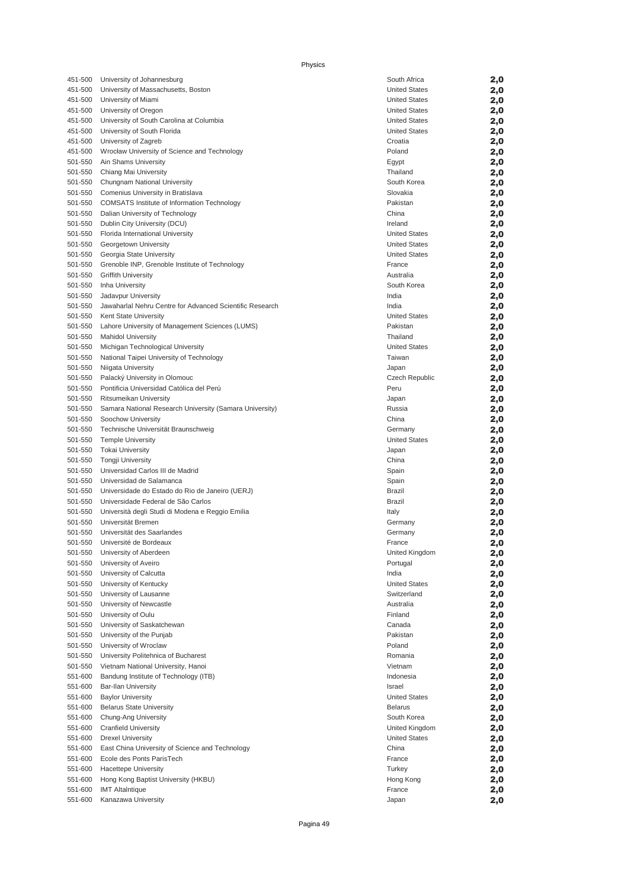| 451-500            | University of Johannesburg                                                             | South Africa         | 2,0        |
|--------------------|----------------------------------------------------------------------------------------|----------------------|------------|
| 451-500            | University of Massachusetts, Boston                                                    | <b>United States</b> | 2,0        |
| 451-500            | University of Miami                                                                    | <b>United States</b> | 2,0        |
| 451-500            | University of Oregon                                                                   | <b>United States</b> | 2,0        |
| 451-500            | University of South Carolina at Columbia                                               | <b>United States</b> | 2,0        |
| 451-500            | University of South Florida                                                            | <b>United States</b> | 2,0        |
| 451-500            | University of Zagreb                                                                   | Croatia              | 2,0        |
| 451-500            | Wrocław University of Science and Technology                                           | Poland               | 2,0        |
| 501-550            | Ain Shams University                                                                   | Egypt                | 2,0        |
| 501-550            | Chiang Mai University                                                                  | Thailand             | 2,0        |
| 501-550            | Chungnam National University                                                           | South Korea          | 2,0        |
| 501-550            | Comenius University in Bratislava                                                      | Slovakia<br>Pakistan | 2,0        |
| 501-550<br>501-550 | <b>COMSATS Institute of Information Technology</b>                                     | China                | 2,0        |
| 501-550            | Dalian University of Technology<br>Dublin City University (DCU)                        | Ireland              | 2,0        |
| 501-550            | Florida International University                                                       | <b>United States</b> | 2,0<br>2,0 |
| 501-550            | Georgetown University                                                                  | <b>United States</b> | 2,0        |
| 501-550            | Georgia State University                                                               | <b>United States</b> | 2,0        |
| 501-550            | Grenoble INP, Grenoble Institute of Technology                                         | France               | 2,0        |
| 501-550            | <b>Griffith University</b>                                                             | Australia            | 2,0        |
| 501-550            | Inha University                                                                        | South Korea          | 2,0        |
| 501-550            | Jadavpur University                                                                    | India                | 2,0        |
| 501-550            | Jawaharlal Nehru Centre for Advanced Scientific Research                               | India                | 2,0        |
| 501-550            | Kent State University                                                                  | <b>United States</b> | 2,0        |
| 501-550            | Lahore University of Management Sciences (LUMS)                                        | Pakistan             | 2,0        |
| 501-550            | <b>Mahidol University</b>                                                              | Thailand             | 2,0        |
| 501-550            | Michigan Technological University                                                      | <b>United States</b> | 2,0        |
| 501-550            | National Taipei University of Technology                                               | Taiwan               | 2,0        |
| 501-550            | Niigata University                                                                     | Japan                | 2,0        |
| 501-550            | Palacký University in Olomouc                                                          | Czech Republic       | 2,0        |
| 501-550            | Pontificia Universidad Católica del Perú                                               | Peru                 | 2,0        |
| 501-550            | Ritsumeikan University                                                                 | Japan                | 2,0        |
| 501-550            | Samara National Research University (Samara University)                                | Russia               | 2,0        |
| 501-550            | Soochow University                                                                     | China                | 2,0        |
| 501-550            | Technische Universität Braunschweig                                                    | Germany              | 2,0        |
| 501-550            | <b>Temple University</b>                                                               | <b>United States</b> | 2,0        |
| 501-550            | <b>Tokai University</b>                                                                | Japan                | 2,0        |
| 501-550            | <b>Tongji University</b>                                                               | China                | 2,0        |
| 501-550            | Universidad Carlos III de Madrid                                                       | Spain                | 2,0        |
| 501-550            | Universidad de Salamanca                                                               | Spain                | 2,0        |
| 501-550            | Universidade do Estado do Rio de Janeiro (UERJ)                                        | <b>Brazil</b>        | 2,0        |
| 501-550<br>501-550 | Universidade Federal de São Carlos<br>Università degli Studi di Modena e Reggio Emilia | <b>Brazil</b>        | 2,0        |
| 501-550            | Universität Bremen                                                                     | Italy<br>Germany     | 2,0<br>2,0 |
| 501-550            | Universität des Saarlandes                                                             | Germany              | 2,0        |
| 501-550            | Université de Bordeaux                                                                 | France               | 2,0        |
| 501-550            | University of Aberdeen                                                                 | United Kingdom       | 2,0        |
| 501-550            | University of Aveiro                                                                   | Portugal             | 2,0        |
| 501-550            | University of Calcutta                                                                 | India                | 2,0        |
| 501-550            | University of Kentucky                                                                 | <b>United States</b> | 2,0        |
| 501-550            | University of Lausanne                                                                 | Switzerland          | 2,0        |
| 501-550            | University of Newcastle                                                                | Australia            | 2,0        |
| 501-550            | University of Oulu                                                                     | Finland              | 2,0        |
| 501-550            | University of Saskatchewan                                                             | Canada               | 2,0        |
| 501-550            | University of the Punjab                                                               | Pakistan             | 2,0        |
| 501-550            | University of Wroclaw                                                                  | Poland               | 2,0        |
| 501-550            | University Politehnica of Bucharest                                                    | Romania              | 2,0        |
| 501-550            | Vietnam National University, Hanoi                                                     | Vietnam              | 2,0        |
| 551-600            | Bandung Institute of Technology (ITB)                                                  | Indonesia            | 2,0        |
| 551-600            | <b>Bar-Ilan University</b>                                                             | Israel               | 2,0        |
| 551-600            | <b>Baylor University</b>                                                               | <b>United States</b> | 2,0        |
| 551-600            | <b>Belarus State University</b>                                                        | <b>Belarus</b>       | 2,0        |
| 551-600            | Chung-Ang University                                                                   | South Korea          | 2,0        |
| 551-600            | <b>Cranfield University</b>                                                            | United Kingdom       | 2,0        |
| 551-600            | <b>Drexel University</b>                                                               | <b>United States</b> | 2,0        |
| 551-600            | East China University of Science and Technology                                        | China                | 2,0        |
| 551-600            | Ecole des Ponts ParisTech                                                              | France               | 2,0        |
| 551-600            | <b>Hacettepe University</b>                                                            | Turkey               | 2,0        |
| 551-600            | Hong Kong Baptist University (HKBU)                                                    | Hong Kong            | 2,0        |
| 551-600            | <b>IMT Altaintique</b>                                                                 | France               | 2,0        |
| 551-600            | Kanazawa University                                                                    | Japan                | 2,0        |